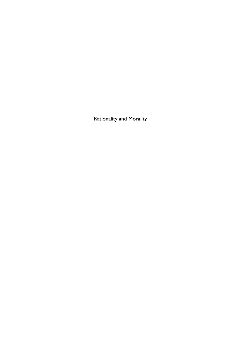Rationality and Morality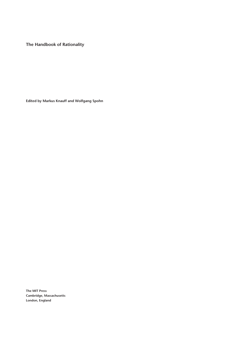**The Handbook of Rationality**

**Edited by Markus Knauff and Wolfgang Spohn**

**The MIT Press Cambridge, Massachusetts London, England**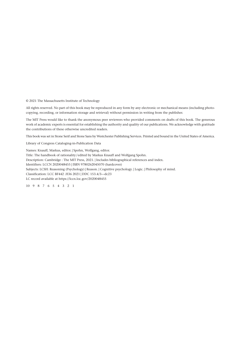© 2021 The Massachusetts Institute of Technology

All rights reserved. No part of this book may be reproduced in any form by any electronic or mechanical means (including photocopying, recording, or information storage and retrieval) without permission in writing from the publisher.

The MIT Press would like to thank the anonymous peer reviewers who provided comments on drafts of this book. The generous work of academic experts is essential for establishing the authority and quality of our publications. We acknowledge with gratitude the contributions of these otherwise uncredited readers.

This book was set in Stone Serif and Stone Sans by Westchester Publishing Services. Printed and bound in the United States of America.

Library of Congress Cataloging-in-Publication Data

Names: Knauff, Markus, editor. | Spohn, Wolfgang, editor. Title: The handbook of rationality / edited by Markus Knauff and Wolfgang Spohn. Description: Cambridge : The MIT Press, 2021. | Includes bibliographical references and index. Identifiers: LCCN 2020048455 | ISBN 9780262045070 (hardcover) Subjects: LCSH: Reasoning (Psychology) | Reason. | Cognitive psychology. | Logic. | Philosophy of mind. Classification: LCC BF442 .H36 2021 | DDC 153.4/3—dc23 LC record available at https://lccn.loc.gov/2020048455

10 9 8 7 6 5 4 3 2 1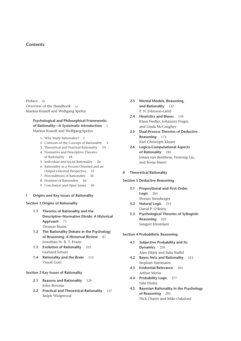# **Contents**

Preface ix Overview of the Handbook xi Markus Knauff and Wolfgang Spohn

# **Psychological and Philosophical Frameworks**  of Rationality-A Systematic Introduction 1 Markus Knauff and Wolfgang Spohn

- 1. Why Study Rationality? 1
- 2. Contours of the Concept of Rationality 3
- 3. Theoretical and Practical Rationality 10
- 4. Normative and Descriptive Theories of Rationality 18
- 5. Individual and Social Rationality 26
- 6. Rationality in a Process- Oriented and an Output-Oriented Perspective 31
- 7. Preconditions of Rationality 34
- 8. Frontiers of Rationality 44
- 9. Conclusion and Open Issues 50
- **I Origins and Key Issues of Rationality**

## **Section 1 Origins of Rationality**

- **1.1 Theories of Rationality and the Descriptive– Normative Divide: A Historical Approach** 71 Thomas Sturm
- **1.2** The Rationality Debate in the Psychology **of Reasoning: A Historical Review** 87 Jonathan St. B. T. Evans
- **1.3 Evolution of Rationality** 101 Gerhard Schurz
- **1.4 Rationality and the Brain** 115 Vinod Goel

## **Section 2 Key Issues of Rationality**

- **2.1 Reasons and Rationality** 129 John Broome
- **2.2 Practical and Theoretical Rationality** 137 Ralph Wedgwood
- **2.3 Mental Models, Reasoning, and Rationality** 147 P. N. Johnson-Laird
- **2.4 Heuristics and Biases** 159 Klaus Fiedler, Johannes Prager, and Linda McCaughey
- **2.5 Dual- Process Theories of Deductive Reasoning** 173 Karl Christoph Klauer
- **2.6 Logico- Computational Aspects of Rationality** 185 Johan van Benthem, Fenrong Liu, and Sonja Smets

### **II Theoretical Rationality**

## **Section 3 Deductive Reasoning**

- **3.1 Propositional and First- Order Logic** 201 Florian Steinberger
- **3.2 Natural Logic** 215 David P. O'Brien
- **3.3 Psychological Theories of Syllogistic Reasoning** 225 Sangeet Khemlani

## **Section 4 Probabilistic Reasoning**

- **4.1 Subjective Probability and Its Dynamics** 239 Alan Hájek and Julia Staffel
- **4.2 Bayes Nets and Rationality** 253 Stephan Hartmann
- **4.3 Evidential Relevance** 265 Arthur Merin
- **4.4 Probability Logic** 277 Niki Pfeifer
- **4.5 Bayesian Rationality in the Psychology of Reasoning** 285 Nick Chater and Mike Oaksford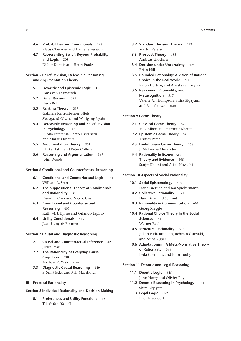- 4.6 Probabilities and Conditionals 295 Klaus Oberauer and Danielle Pessach
- 4.7 Representing Belief: Beyond Probability and Logic 305 Didier Dubois and Henri Prade

# Section 5 Belief Revision, Defeasible Reasoning, and Argumentation Theory

- 5.1 Doxastic and Epistemic Logic 319 Hans van Ditmarsch
- 5.2 Belief Revision 327 Hans Rott
- 5.3 Ranking Theory 337 Gabriele Kern-Isberner, Niels Skovgaard-Olsen, and Wolfgang Spohn
- 5.4 Defeasible Reasoning and Belief Revision in Psychology 347 Lupita Estefania Gazzo Castañeda and Markus Knauff
- 5.5 Argumentation Theory 361 Ulrike Hahn and Peter Collins
- 5.6 Reasoning and Argumentation 367 John Woods

### Section 6 Conditional and Counterfactual Reasoning

- 6.1 Conditional and Counterfactual Logic 381 William B. Starr
- 6.2 The Suppositional Theory of Conditionals and Rationality 395 David E. Over and Nicole Cruz
- 6.3 Conditional and Counterfactual Reasoning 405 Ruth M. J. Byrne and Orlando Espino
- 6.4 Utility Conditionals 419 Jean-François Bonnefon

## Section 7 Causal and Diagnostic Reasoning

- 7.1 Causal and Counterfactual Inference 427 Iudea Pearl
- 7.2 The Rationality of Everyday Causal Coanition 439 Michael R. Waldmann
- 7.3 Diagnostic Causal Reasoning 449 Björn Meder and Ralf Mayrhofer

## **III** Practical Rationality

## Section 8 Individual Rationality and Decision Making

8.1 Preferences and Utility Functions 461 Till Grüne-Yanoff

- 8.2 Standard Decision Theory 473 Martin Peterson
- 8.3 Prospect Theory 485 Andreas Glöckner
- 8.4 Decision under Uncertainty 495 Brian Hill
- 8.5 Bounded Rationality: A Vision of Rational Choice in the Real World 505 Ralph Hertwig and Anastasia Kozyreva
- 8.6 Reasoning, Rationality, and Metacognition 517 Valerie A. Thompson, Shira Elgayam, and Rakefet Ackerman

## **Section 9 Game Theory**

- 9.1 Classical Game Theory 529 Max Albert and Hartmut Kliemt
- 9.2 Epistemic Game Theory 543 Andrés Perea
- 9.3 Evolutionary Game Theory 553 J. McKenzie Alexander
- 9.4 Rationality in Economics: Theory and Evidence 565 Sanjit Dhami and Ali al-Nowaihi

### **Section 10 Aspects of Social Rationality**

- 10.1 Social Epistemology 579 Franz Dietrich and Kai Spiekermann
- 10.2 Collective Rationality 591 Hans Bernhard Schmid
- 10.3 Rationality in Communication 601 Georg Meggle
- 10.4 Rational Choice Theory in the Social Sciences 611 Werner Raub
- 10.5 Structural Rationality 625 Julian Nida-Rümelin, Rebecca Gutwald, and Niina Zuber
- 10.6 Adaptationism: A Meta-Normative Theory of Rationality 633 Leda Cosmides and John Tooby

### Section 11 Deontic and Legal Reasoning

- 11.1 Deontic Logic 645 John Horty and Olivier Roy
- 11.2 Deontic Reasoning in Psychology 651 Shira Elqayam
- 11.3 Legal Logic 659 Eric Hilgendorf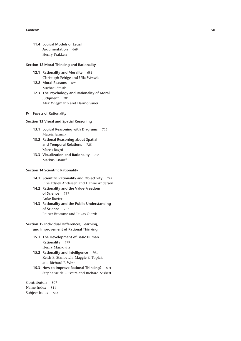#### **Contents vii**

**11.4 Logical Models of Legal Argumentation** 669 Henry Prakken

## **Section 12 Moral Thinking and Rationality**

- **12.1 Rationality and Morality** 681 Christoph Fehige and Ulla Wessels
- **12.2 Moral Reasons** 693 Michael Smith
- 12.3 The Psychology and Rationality of Moral **Judgment** 701 Alex Wiegmann and Hanno Sauer

## **IV Facets of Rationality**

## **Section 13 Visual and Spatial Reasoning**

- **13.1 Logical Reasoning with Diagrams** 715 Mateja Jamnik
- **13.2 Rational Reasoning about Spatial and Temporal Relations** 725 Marco Ragni
- **13.3 Visualization and Rationality** 735 Markus Knauff

## **Section 14 Scientific Rationality**

- **14.1 Scientific Rationality and Objectivity** 747 Line Edslev Andersen and Hanne Andersen
- 14.2 Rationality and the Value-Freedom **of Science** 757 Anke Bueter
- **14.3 Rationality and the Public Understanding of Science** 767 Rainer Bromme and Lukas Gierth

# **Section 15 Individual Differences, Learning, and Improvement of Rational Thinking**

- **15.1 The Development of Basic Human Rationality** 779 Henry Markovits
- **15.2 Rationality and Intelligence** 791 Keith E. Stanovich, Maggie E. Toplak, and Richard F. West
- **15.3 How to Improve Rational Thinking?** 801 Stephanie de Oliveira and Richard Nisbett

Contributors 807 Name Index 811 Subject Index 843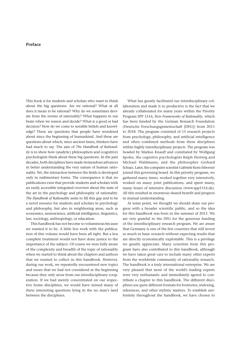# **Preface**

This book is for students and scholars who want to think about the big questions: Are we rational? What at all does it mean to be rational? Why do we sometimes deviate from the norms of rationality? What happens in our brain when we reason and decide? What is a good or bad decision? How do we come to sensible beliefs and knowledge? These are questions that people have wondered about since the beginning of humankind. And these are questions about which, since ancient times, thinkers have had much to say. The aim of *The Handbook of Rationality* is to show how (analytic) philosophers and (cognitive) psychologists think about these big questions. In the past de cades, both disciplines have made tremendous advances in better understanding the very nature of human rationality. Yet, the interaction between the fields is developed only in rudimentary forms. The consequence is that no publications exist that provide students and scholars with an easily accessible integrated overview about the state of the art in the psychology and philosophy of rationality. *The Handbook of Rationality* seeks to fill this gap and to be a novel resource for students and scholars in psychology and philosophy, but also in neighboring areas, such as economics, neuroscience, artificial intelligence, linguistics, law, sociology, anthropology, or education.

This handbook has not become so voluminous because we wanted it to be. A little less work with the publication of this volume would have been all right. But a less complete treatment would not have done justice to the importance of the subject. Of course we were fully aware of the complexity and breadth of the topic of rationality when we started to think about the chapters and authors that we wanted to collect in this handbook. However, during our work, we repeatedly encountered new topics and issues that we had not considered at the beginning because they only arose from our interdisciplinary cooperation. If we had merely concentrated on our respective home disciplines, we would have missed many of these interesting questions lying in the no man's land between the disciplines.

What has greatly facilitated our interdisciplinary collaboration and made it so productive is the fact that we already collaborated for many years within the Priority Program SPP 1516, *New Frameworks of Rationality*, which has been funded by the German Research Foundation (Deutsche Forschungsgemeinschaft [DFG]) from 2011 to 2018. The program consisted of 15 research projects from psychology, philosophy, and artificial intelligence and often combined methods from these disciplines within highly interdisciplinary projects. The program was headed by Markus Knauff and coinitiated by Wolfgang Spohn, the cognitive psychologists Ralph Hertwig and Michael Waldmann, and the philosopher Gerhard Schurz. Later, the computer scientist Gabriele Kern-Isberner joined this governing board. In this priority program, we gathered many times, worked together very intensively, worked on many joint publications, and spent many, many hours of intensive discussion (www.spp1516.de). All this resulted in enormous shared benefit and progress in mutual understanding.

At some point, we thought we should share our progress with a broader scientific public, and so the idea for this handbook was born in the summer of 2015. We are very grateful to the DFG for the generous funding of the interdisciplinary research program. We are aware that Germany is one of the few countries that still invest so much in basic research without expecting results that are directly economically exploitable. This is a privilege we greatly appreciate. Many scientists from this program have also contributed to this handbook, although we have taken great care to include many other experts from the worldwide community of rationality research. The handbook is a truly international enterprise. We are very pleased that most of the world's leading experts were very enthusiastic and immediately agreed to contribute a chapter to this handbook. The different disciplines use quite different formats for footnotes, indexing, references, and other stylistic matters. To establish uniformity throughout the handbook, we have chosen to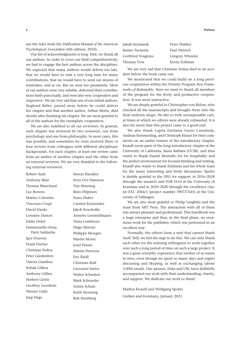use the rules from the *Publication Manual of the American Psychological Association* (6th edition, 2010).

Our list of acknowledgments is long. First, we thank all our authors. In order to cover our field comprehensively, we had to engage the best authors across the disciplines. We expected that many authors would deliver too late, that we would have to wait a very long time for many contributions, that we would have to send out dozens of reminders, and so on. But we were too pessimistic. Most of our authors were very reliable, delivered their contributions fairly punctually, and were also very cooperative and responsive. We are very sad that one of our initial authors, Sieghard Beller, passed away before he could deliver his chapter and that another author, Arthur Merin, died shortly after finishing his chapter. We are most grateful to all of the authors for the exemplary cooperation.

We are also indebted to all our reviewers. In general, each chapter was reviewed by two reviewers, one from psychology and one from philosophy. In most cases, this was possible, and sometimes we even received three or four reviews from colleagues with different disciplinary backgrounds. For each chapter, at least one review came from an author of another chapter and the other from an external reviewer. We are very thankful to the following external reviewers:

| Robert Audi            | Simon Handley        |
|------------------------|----------------------|
| Anthony Blair          | Sven Ove Hansson     |
| Thomas Blanchard       | Tim Henning          |
| Luc Bovens             | Risto Hilpinen       |
| Matteo Colombo         | Franz Huber          |
| Vincenzo Crupi         | Carsten Koenneker    |
| David Danks            | Jakob Koscholke      |
| Lorraine Daston        | Annette Lessmöllmann |
| Eddie Dekel            | Tania Lombrozo       |
| Emmanuelle-Anna        | Hugo Mercier         |
| Dietz Saldanha         | Philippe Mongin      |
| Igor Douven            | Martin Monti         |
| Frank Fischer          | <b>Josef Perner</b>  |
| Christian Freksa       | Martin Peterson      |
| Peter Gärdenfors       | Eric Raidl           |
| Valeria Giardino       | Christian Ruff       |
| Itzhak Gilboa          | Giovanni Sartor      |
| <b>Anthony Gillies</b> | Walter Schaeken      |
| <b>Herbert Gintis</b>  | Mark Schroeder       |
| Geoffrey Goodwin       | Armin Schulz         |
| Werner Güth            | Keith Stenning       |
| Jaap Hage              | <b>Bob Sternberg</b> |

| Jakub Szymanik     | Peter Wakker    |
|--------------------|-----------------|
| Raimo Tuomela      | Paul Weirich    |
| Gottfried Vosgerau | Gregory Wheeler |
| Thomas Voss        | Kevin Zollman   |

We are very sad that Christian Freksa died in an accident before the book came out.

We mentioned that we could build on a long previous cooperation within the Priority Program *New Frameworks of Rationality*. Here we want to thank all members of the program for the lively and productive cooperation. It was most instructive.

We are deeply grateful to Christopher von Bülow, who checked all the manuscripts and brought them into the final uniform shape. He did so with unsurpassable care, at times at which we editors were already exhausted. It is also his merit that this project came to a good end.

We also thank Lupita Estefania Gazzo Castañeda, Andreas Kemmerling, and Christoph Klauer for their comments on an earlier version of the introductory chapter. Knauff wrote parts of the long introductory chapter at the University of California, Santa Barbara (UCSB), and thus wants to thank Daniel Montello for his hospitality and the perfect environment for focused thinking and writing. Knauff also wants to thank Estefania and his whole team for the many interesting and lively discussions. Spohn is doubly grateful to the DFG for support: in 2016–2018 through the research unit FOR 1614 at the University of Konstanz and in 2019–2020 through the excellence cluster EXC 2064/1 (project number 390727645) at the University of Tübingen.

We are also most grateful to Philip Laughlin and the team from MIT Press. The interaction with all of them was always pleasant and professional. This handbook was a huge enterprise and thus, in the final phase, an enormous work for the publisher, which was performed in an excellent way.

Normally, the editors form a unit that cannot thank itself. Still, we feel the urge to do this. We can only thank each other for the untiring willingness to work together over such a long period of time on such a large project. It was a great scientific experience that neither of us wants to miss, even though we spent so many days and nights discussing and Skyping, as well as exchanging (about 3,000) emails. Our spouses, Erika and Ulli, have faithfully accompanied our work with their understanding, charity, and support. We dedicate our work to them!

Markus Knauff and Wolfgang Spohn

Gießen and Konstanz, January 2021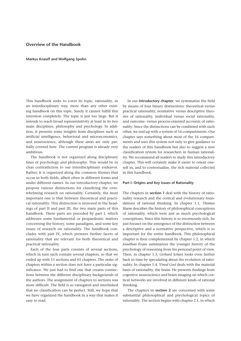# **Overview of the Handbook**

#### **Markus Knauff and Wolfgang Spohn**

This handbook seeks to cover its topic, rationality, in an interdisciplinary way, more than any other existing handbook on this topic. Surely it cannot fulfill this intention completely. The topic is just too large. But it intends to reach broad representativity at least in its two main disciplines, philosophy and psychology. In addition, it presents some insights from disciplines such as artificial intelligence, behavioral and microeconomics, and neuroscience, although these areas are only partially covered here. The current program is already very ambitious.

The handbook is not organized along disciplinary lines of psychology and philosophy. This would be in clear contradiction to our interdisciplinary endeavor. Rather, it is organized along the common themes that occur in both fields, albeit often in different forms and under different names. In our introductory chapter, we propose various distinctions for classifying the overwhelming research on rationality. Certainly, the most important one is that between theoretical and practical rationality. This distinction is mirrored in the headings of part II and part III, the two main parts of this handbook. These parts are preceded by part I, which addresses some fundamental or propaedeutic matters concerning the history, some paradigms, and some key issues of research on rationality. The handbook concludes with part IV, which presents further facets of rationality that are relevant for both theoretical and practical rationality.

Each of the four parts consists of several sections, which in turn each contain several chapters, so that we ended up with 15 sections and 65 chapters. The order of chapters within a section does not have a particular significance. We just had to find one that creates connections between the different disciplinary backgrounds of the authors. The assignment of chapters to sections was more difficult. The field is so variegated and interlinked that no classification can be perfect. Still, we hope that we have organized the handbook in a way that makes it easy to read.

In our **introductory chapter**, we systematize the field by means of four binary distinctions: theoretical versus practical rationality, normative versus descriptive theories of rationality, individual versus social rationality, and outcome-versus process-oriented accounts of rationality. Since the distinctions can be combined with each other, we end up with a system of 16 compartments. Our chapter says something about most of the 16 compartments and uses this system not only to give guidance to the readers of this handbook but also to suggest a new classification system for researchers in human rationality. We recommend all readers to study this introductory chapter. This will certainly make it easier to orient oneself in, and to contextualize, the rich material collected in this handbook.

#### **Part I: Origins and Key Issues of Rationality**

The chapters in **section 1** deal with the history of rationality research and the cortical and evolutionary foundations of rational thinking. In chapter 1.1, *Thomas Sturm* describes the history of philosophical conceptions of rationality, which were just as much psychological conceptions. Since this history is so enormously rich, he just focuses on the emergence of the distinction between a descriptive and a normative perspective, which is so important for the entire handbook. This philosophical chapter is then complemented by chapter 1.2, in which *Jonathan Evans* summarizes the younger history of the psychology of reasoning from his personal point of view. Then, in chapter 1.3, *Gerhard Schurz* looks even farther back in time by speculating about the evolution of rationality. In chapter 1.4, *Vinod Goel* deals with the material basis of rationality, the brain. He presents findings from cognitive neuroscience and brain imaging on which cortical networks are involved in different kinds of rational thinking.

The chapters in **section 2** are concerned with some substantial philosophical and psychological topics of rationality. The section begins with chapter 2.1, in which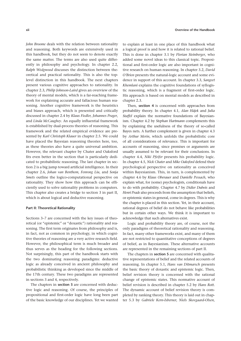*John Broome* deals with the relation between rationality and reasoning. Both keywords are extensively used in this handbook, but they do not seem to denote exactly the same matter. The terms are also used quite differently in philosophy and psychology. In chapter 2.2, *Ralph Wedgwood* discusses the distinction between theoretical and practical rationality. This is also the toplevel distinction in this handbook. The next chapters present various cognitive approaches to rationality. In chapter 2.3, *Philip Johnson- Laird* gives an overview of the theory of mental models, which is a far-reaching framework for explaining accurate and fallacious human reasoning. Another cognitive framework is the heuristics and biases approach, which is presented and critically discussed in chapter 2.4 by *Klaus Fiedler, Johannes Prager*, and *Linda McCaughey*. An equally influential framework is established by dual-process theories of reasoning. This framework and the related empirical evidence are presented by *Karl Christoph Klauer* in chapter 2.5. We could have placed the Bayesian reasoning theories here, too, as these theories also have a quite universal ambition. However, the relevant chapter by Chater and Oaksford fits even better in the section that is particularly dedicated to probabilistic reasoning. The last chapter in section 2 is a big jump toward artificial intelligence. In their chapter 2.6, *Johan van Benthem, Fenrong Liu*, and *Sonja Smets* outline the logico-computational perspective on rationality. They show how this approach can be efficiently used to solve rationality problems in computers. This chapter also creates a bridge to section 3 in part II, which is about logical and deductive reasoning.

### **Part II: Theoretical Rationality**

Sections 3–7 are concerned with the key issues of theoretical (or "epistemic" or "doxastic") rationality and reasoning. The first term originates from philosophy and is, in fact, not as common in psychology, in which cognitive theories of reasoning are a very active research field. However, the philosophical term is much broader and thus serves as the heading for the following sections. Not surprisingly, this part of the handbook starts with the two dominating reasoning paradigms: deductive logic as already conceived in ancient philosophy and probabilistic thinking as developed since the middle of the 17th century. These two paradigms are represented in sections 3 and 4, respectively.

The chapters in **section 3** are concerned with deductive logic and reasoning. Of course, the principles of propositional and first-order logic have long been part of the basic knowledge of our disciplines. Yet we wanted

to explain at least in one place of this handbook what a logical proof is and how it is related to rational belief. This is done in chapter 3.1 by *Florian Steinberger*, who added some novel ideas to this classical topic. Propositional and first-order logic are also important in cognitive research on human reasoning. In chapter 3.2, *David O'Brien* presents the natural-logic account and some evidence in support of this account. In chapter 3.3, *Sangeet Khemlani* explains the cognitive foundations of syllogistic reasoning, which is a fragment of first-order logic. His approach is based on mental models as described in chapter 2.3.

Then, **section 4** is concerned with approaches from probability theory. In chapter 4.1, *Alan Hájek* and *Julia Staffel* explain the normative foundations of Bayesianism. Chapter 4.2 by *Stephan Hartmann* complements this by explaining the usefulness of the theory of so-called Bayes nets. A further complement is given in chapter 4.3 by *Arthur Merin*, which unfolds the probabilistic core of all considerations of relevance. This is important for accounts of reasoning, since premises or arguments are usually assumed to be relevant for their conclusions. In chapter 4.4, *Niki Pfeifer* presents his probability logic. In chapter 4.5, *Nick Chater* and *Mike Oaksford* defend their psychological perspective on rationality as conceived within Bayesianism. This, in turn, is complemented by chapter 4.6 by *Klaus Oberauer* and *Danielle Pessach*, who explain what, for (some) psychologists, conditionals have to do with probability. Chapter 4.7 by *Didier Dubois* and *Henri Prade* also proceeds from the assumption that beliefs, or epistemic states in general, come in degrees. This is why the chapter is placed in this section. Yet, in their account, rational degrees of belief do not behave like probabilities but in certain other ways. We think it is important to acknowledge that such alternatives exist.

Logic and probability theory are, of course, not the only paradigms of theoretical rationality and reasoning. In fact, many other frameworks exist, and many of them are not restricted to quantitative conceptions of degrees of belief, as in Bayesianism. These alternative accounts are represented in the remaining sections of part II.

The chapters in **section 5** are concerned with qualitative representations of belief and the related accounts of reasoning. In chapter 5.1, *Hans van Ditmarsch* presents the basic theory of doxastic and epistemic logic. Then, belief revision theory is concerned with the rational change of epistemic states. This normative account of belief revision is described in chapter 5.2 by *Hans Rott*. The dynamic account of belief revision theory is completed by ranking theory. This theory is laid out in chapter 5.3 by *Gabriele Kern- Isberner, Niels Skovgaard- Olsen*,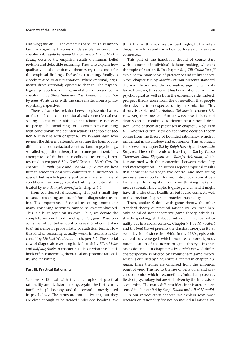and *Wolfgang Spohn*. The dynamics of belief is also important in cognitive theories of defeasible reasoning. In chapter 5.4, *Lupita Estefania Gazzo Castañeda* and *Markus Knauff* describe the empirical results on human belief revision and defeasible reasoning. They also explain how qualitative and quantitative theories try to account for the empirical findings. Defeasible reasoning, finally, is closely related to argumentation, where (rational) arguments drive (rational) epistemic change. The psychological perspective on argumentation is presented in chapter 5.5 by *Ulrike Hahn* and *Peter Collins*. Chapter 5.6 by *John Woods* deals with the same matter from a philosophical perspective.

There is also a close relation between epistemic change, on the one hand, and conditional and counterfactual reasoning, on the other, although the relation is not easy to specify. The broad range of approaches to reasoning with conditionals and counterfactuals is the topic of **section 6**. It begins with chapter 6.1 by *William Starr*, who reviews the different attempts to capture the logic of conditional and counterfactual constructions. In psychology, so- called supposition theory has become prominent. This attempt to explain human conditional reasoning is represented in chapter 6.2 by *David Over* and *Nicole Cruz*. In chapter 6.3, *Ruth Byrne* and *Orlando Espino* explain how human reasoners deal with counterfactual inferences. A special, but psychologically particularly relevant, case of conditional reasoning, so-called utility conditionals, is treated by *Jean- François Bonnefon* in chapter 6.4.

From counterfactual reasoning, it is just a small step to causal reasoning and its subform, diagnostic reasoning. The importance of causal reasoning among our many reasoning activities cannot be overemphasized. This is a huge topic on its own. Thus, we devote the complete **section 7** to it. In chapter 7.1, *Judea Pearl* presents his influential account of causal (and counterfactual) inference in probabilistic or statistical terms. How this kind of reasoning actually works in humans is discussed by *Michael Waldmann* in chapter 7.2. The special case of diagnostic reasoning is dealt with by *Björn Meder* and *Ralf Mayrhofer* in chapter 7.3. This is what this handbook offers concerning theoretical or epistemic rationality and reasoning.

### **Part III: Practical Rationality**

Sections 8–12 deal with the core topics of practical rationality and decision making. Again, the first term is familiar in philosophy, and the second is mostly used in psychology. The terms are not equivalent, but they are close enough to be treated under one heading. We think that in this way, we can best highlight the interdisciplinary links and show how both research areas are connected.

This part of the handbook should of course start with accounts of individual decision making, which is the topic of **section 8**. In chapter 8.1, *Till Grüne- Yanoff* explains the main ideas of preference and utility theory. Next, chapter 8.2 by *Martin Peterson* presents standard decision theory and the normative arguments in its favor. However, this account has been criticized from the psychological as well as from the economic side. Indeed, prospect theory arose from the observation that people often deviate from expected utility maximization. This theory is explained by *Andreas Glöckner* in chapter 8.3. However, there are still further ways how beliefs and desires can be combined to determine a rational decision. Some of them are presented in chapter 8.4 by *Brian Hill*. Another critical view on economic decision theory comes from the theory of bounded rationality, which is influential in psychology and economics. This approach is reviewed in chapter 8.5 by *Ralph Hertwig* and *Anastasia Kozyreva*. The section ends with a chapter 8.6 by *Valerie Thompson, Shira Elqayam*, and *Rakefet Ackerman*, which is concerned with the connection between rationality and metacognition. The authors report empirical results that show that metacognitive control and monitoring processes are important for promoting our rational performance. Thinking about our own thinking makes us more rational. This chapter is quite general, and it might have fit under other headlines, but it also connects well to the previous chapters on practical rationality.

Then, **section 9** deals with game theory, the other standard theory of practical rationality. We treat here only so- called noncooperative game theory, which is, strictly speaking, still about individual practical rationality but in a social context. Chapter 9.1 by *Max Albert* and *Hartmut Kliemt* presents the classical theory, as it has been developed since the 1940s. In the 1980s, epistemic game theory emerged, which promises a more rigorous rationalization of the norms of game theory. This theory is described in chapter 9.2 by *Andrés Perea*. A different perspective is offered by evolutionary game theory, which is outlined by *J. McKenzie Alexander* in chapter 9.3. Again, these theories are criticized from the empirical point of view. This led to the rise of behavioral and psychoeconomics, which are sometimes (mistakenly) seen as fields of psychology but are still driven by the interests of economists. The many different ideas in this area are presented in chapter 9.4 by *Sanjit Dhami* and *Ali al- Nowaihi*.

In our introductory chapter, we explain why most research on rationality focuses on individual rationality.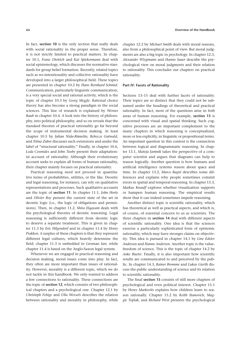In fact, **section 10** is the only section that really deals with social rationality in the proper sense. Therefore, it is not strictly limited to practical matters. In chapter 10.1, *Franz Dietrich* and *Kai Spiekermann* deal with social epistemology, which discusses the normative standards for group belief formation. Recently, related topics such as we-intentionality and collective rationality have developed into a larger philosophical field. These topics are presented in chapter 10.2 by *Hans Bernhard Schmid*. Communication, particularly linguistic communication, is a very special social and rational activity, which is the topic of chapter 10.3 by *Georg Meggle*. Rational choice theory has also become a strong paradigm in the social sciences. This line of research is explained by *Werner Raub* in chapter 10.4. A look into the history of philosophy, into political philosophy, and so on reveals that the standard theories of practical rationality go far beyond the scope of instrumental decision making. At least chapter 10.5 by *Julian Nida- Rümelin, Rebecca Gutwald*, and *Niina Zuber* discusses such extensions and under the label of "structural rationality." Finally, in chapter 10.6, Leda Cosmides and *John Tooby* present their adaptationist account of rationality. Although their evolutionary account seeks to explain all forms of human rationality, their chapter mainly focuses on practical rationality.

Practical reasoning need not proceed in quantitative terms of probabilities, utilities, or the like. Deontic and legal reasoning, for instance, can rely on qualitative representations and processes. Such qualitative accounts are the topic of **section 11**. In chapter 11.1, *John Horty* and *Olivier Roy* present the current state of the art in deontic logic (i.e., the logic of obligations and permissions). Then, in chapter 11.2, *Shira Elqayam* deals with the psychological theories of deontic reasoning. Legal reasoning is sufficiently different from deontic logic to deserve a separate treatment. This is given in chapter 11.3 by *Eric Hilgendorf* and in chapter 11.4 by *Henry Prakken*. A surplus of these chapters is that they represent different legal cultures, which heavily determine the field: chapter 11.3 is embedded in German law, while chapter 11.4 is based on the Anglo-Saxon legal system.

Whenever we are engaged in practical reasoning and decision making, moral issues come into play. In fact, they often are more important than issues of rationality. However, morality is a different topic, which we do not tackle in this handbook. We only wanted to address a few connections to rationality. These connections are the topic of **section 12**, which consists of two philosophical chapters and a psychological one. Chapter 12.1 by *Christoph Fehige* and *Ulla Wessels* describes the relation between rationality and morality in philosophy, while

chapter 12.2 by *Michael Smith* deals with moral reasons, also from a philosophical point of view. But moral judgments are also a big topic in psychology. In chapter 12.3, *Alexander Wiegmann* and *Hanno Sauer* describe the psychological view on moral judgments and their relation to rationality. This concludes our chapters on practical rationality.

## **Part IV: Facets of Rationality**

Sections 13–15 deal with further facets of rationality. Their topics are so distinct that they could not be subsumed under the headings of theoretical and practical rationality. In fact, most of the questions arise in *both* areas of human reasoning. For example, **section 13** is concerned with visual and spatial thinking. Such cognitive processes are an important complement to the many chapters in which reasoning is conceptualized, more or less explicitly, in linguistic or propositional terms. An important question in this context is the connection between logical and diagrammatic reasoning. In chapter 13.1, *Mateja Jamnik* takes the perspective of a computer scientist and argues that diagrams can help to reason logically. Another question is how humans and artificial intelligence systems reason about space and time. In chapter 13.2, *Marco Ragni* describes some differences and explains why people sometimes commit errors in spatial and temporal reasoning. In chapter 13.3, *Markus Knauff* explores whether visualization supports or hampers human reasoning. The empirical results show that it can indeed sometimes impede reasoning.

Another distinct topic is scientific rationality, which has theoretical as well as practical aspects, and which is, of course, of essential concern to us as scientists. The three chapters in **section 14** deal with different aspects of scientific rationality. One idea is that the sciences exercise a particularly sophisticated form of epistemic rationality, which may have stronger claims on objectivity. This idea is pursued in chapter 14.1 by *Line Edslev Andersen* and *Hanne Andersen*. Another topic is the valuefreedom of science. This is the topic of chapter 14.2 by *Anke Bueter*. Finally, it is also important how scientific results are communicated to and perceived by the public. In chapter 14.3, *Rainer Bromme* and *Lukas Gierth* discuss the public understanding of science and its relation to scientific rationality.

The final **section 15** consists of still more chapters of psychological and even political interest. Chapter 15.1 by *Henry Markovits* explains how children learn to reason rationally. Chapter 15.2 by *Keith Stanovich, Maggie Toplak*, and *Richard West* presents the psychological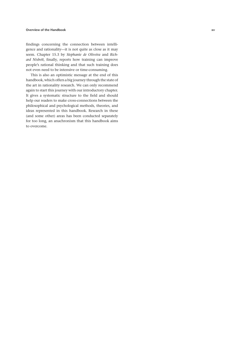## **Overview of the Handbook** xv

findings concerning the connection between intelligence and rationality—it is not quite as close as it may seem. Chapter 15.3 by *Stephanie de Oliveira* and *Rich*ard Nisbett, finally, reports how training can improve people's rational thinking and that such training does not even need to be intensive or time-consuming.

This is also an optimistic message at the end of this handbook, which offers a big journey through the state of the art in rationality research. We can only recommend again to start this journey with our introductory chapter. It gives a systematic structure to the field and should help our readers to make cross-connections between the philosophical and psychological methods, theories, and ideas represented in this handbook. Research in these (and some other) areas has been conducted separately for too long, an anachronism that this handbook aims to overcome.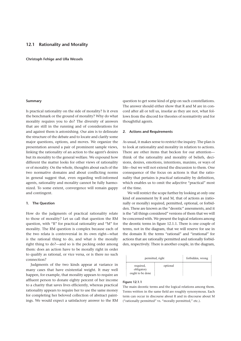## **12.1 Rationality and Morality**

**Christoph Fehige and Ulla Wessels**

### **Summary**

Is practical rationality on the side of morality? Is it even the benchmark or the ground of morality? Why do what morality requires you to do? The diversity of answers that are still in the running and of considerations for and against them is astonishing. Our aim is to delineate the structure of the debate and to locate and clarify some major questions, options, and moves. We organize the presentation around a pair of prominent sample views, linking the rationality of an action to the agent's desires but its morality to the general welfare. We expound how different the matter looks for other views of rationality or of morality. On the whole, thoughts about each of the two normative domains and about conflicting norms in general suggest that, even regarding well-informed agents, rationality and morality cannot be fully harmonized. To some extent, convergence will remain gappy and contingent.

## **1. The Question**

How do the judgments of practical rationality relate to those of morality? Let us call that question the RM question, with "R" for practical rationality and "M" for morality. The RM question is complex because each of the two relata is controversial in its own right-what *is* the rational thing to do, and what *is* the morally right thing to do?— and so is the pecking order among them: does an action have to be morally right in order to qualify as rational, or vice versa, or is there no such connection?

Judgments of the two kinds appear at variance in many cases that have existential weight. It may well happen, for example, that morality appears to require an affluent person to donate eighty percent of her income to a charity that saves lives efficiently, whereas practical rationality appears to require her to use the same money for completing her beloved collection of abstract paintings. We would expect a satisfactory answer to the RM

question to get some kind of grip on such constellations. The answer should either show that R and M are in concord after all or tell us, insofar as they are not, what follows from the discord for theories of normativity and for thoughtful agents.

### **2. Actions and Requirements**

As usual, it makes sense to restrict the inquiry. The plan is to look at rationality and morality in relation to actions. There are other items that beckon for our attention think of the rationality and morality of beliefs, decisions, desires, emotions, intentions, maxims, or ways of life— but we will not extend the discussion to them. One consequence of the focus on actions is that the rationality that pertains is *practical* rationality by definition, which enables us to omit the adjective "practical" most of the time.

We will restrict the scope further by looking at only one kind of assessment by R and M, that of actions as (rationally or morally) required, permitted, optional, or forbidden. These are known as the "deontic" assessments, and it is the "all things considered" versions of them that we will be concerned with. We present the logical relations among the deontic terms in figure 12.1.1. There is one couple of terms, not in the diagram, that we will reserve for use in the domain R: the terms "rational" and "irrational" for actions that are rationally permitted and rationally forbidden, respectively. There is another couple, in the diagram,

| permitted, right                            |          | forbidden, wrong |
|---------------------------------------------|----------|------------------|
| required,<br>obligatory<br>ought to be done | optional |                  |

#### **Figure 12.1.1**

The main deontic terms and the logical relations among them. Terms written in the same field are roughly synonymous. Each term can occur in discourse about R and in discourse about M ("rationally permitted" vs. "morally permitted," etc.).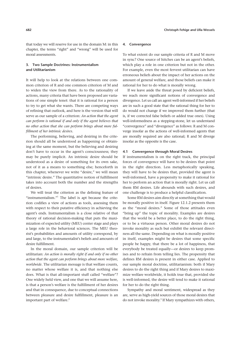that today we will reserve for use in the domain M: in this chapter, the terms "right" and "wrong" will be used for moral assessments.

# **3. Two Sample Doctrines: Instrumentalism and Utilitarianism**

It will help to look at the relations between one common criterion of R and one common criterion of M and to widen the view from there. As to the rationality of actions, many criteria that have been proposed are variations of one simple tenet: that it is rational for a person to try to get what she wants. There are competing ways of refining that outlook, and here is the version that will serve as our sample of a criterion: *An action that the agent can perform is rational if and only if the agent believes that no other action that she can perform brings about more fulfillment of her intrinsic desires*.

The performing, believing, and desiring in the criterion should all be understood as happening or obtaining at the same moment, but the believing and desiring don't have to occur in the agent's consciousness; they may be purely implicit. An intrinsic desire should be understood as a desire of something for its own sake, not of it as a means to something else; henceforth in this chapter, whenever we write "desire," we will mean "intrinsic desire." The quantitative notion of fulfillment takes into account both the number and the strengths of desires.

We will treat the criterion as the defining feature of "instrumentalism."<sup>1</sup> The label is apt because the criterion codifies a view of actions as tools, assessing them with respect to their putative efficiency in achieving the agent's ends. Instrumentalism is a close relative of that theory of rational decision-making that puts the maximization of expected utility (MEU) center stage and plays a large role in the behavioral sciences. The MEU theorist's probabilities and amounts of utility correspond, by and large, to the instrumentalist's beliefs and amounts of desire fulfillment.

In the moral domain, our sample criterion will be utilitarian: *An action is morally right if and only if no other action that the agent can perform brings about more welfare, worldwide*. The utilitarian message is that welfare counts, no matter whose welfare it is, and that nothing else does. What is that all-important stuff called "welfare"? One widely held view, and one that we will assume here, is that a person's welfare is the fulfillment of her desires and that in consequence, due to conceptual connections between pleasure and desire fulfillment, pleasure is an important part of welfare.<sup>2</sup>

### **4. Convergence**

To what extent do our sample criteria of R and M move in sync? One source of hitches can be an agent's beliefs, which play a role in one criterion but not in the other. For example, even the most fervent utilitarian can have erroneous beliefs about the impact of her actions on the amount of general welfare, and those beliefs can make it rational for her to do what is morally wrong.

If we leave aside the threat posed by deficient beliefs, we reach more significant notions of convergence and divergence. Let us call an agent well-informed if her beliefs are in such a good state that the rational thing for her to do would not change if we improved them further (that is, if we corrected false beliefs or added true ones). Using well-informedness as a stepping-stone, let us understand "convergence" and "divergence" as follows: R and M converge insofar as the actions of well-informed agents that are morally required are also rational; R and M diverge insofar as the opposite is the case.

#### **4.1 Convergence through Moral Desires**

If instrumentalism is on the right track, the principal forces of convergence will have to be desires that point in the right direction. Less metaphorically speaking, they will have to be desires that, provided the agent is well-informed, have a propensity to make it rational for her to perform an action that is morally right. Let us call them RM desires. Life abounds with such desires, and one challenge is to produce a helpful classification.

Some RM desires aim directly at something that would be morally positive in itself. Figure 12.1.2 presents them as the "moral desires." Some of those attitudes even "bring up" the topic of morality. Examples are desires that the world be a better place, to do the right thing, or to be a virtuous person. Other moral desires do not invoke morality as such but exhibit the relevant directness all the same. Depending on what is morally positive in itself, examples might be desires that some specific people be happy, that there be a lot of happiness, that every body be treated equally—or desires to keep promises and to refrain from telling lies. The propensity that defines RM desires is present in either case. Applied to our sample moral doctrine, utilitarianism: both if Mary desires to do the right thing and if Mary desires to maximize welfare worldwide, it holds true that, provided she is well-informed, the desire will tend to make it rational for her to do the right thing.

Sympathy and moral sentiment, widespread as they are, serve as high-yield sources of those moral desires that do not invoke morality.<sup>3</sup> If Mary sympathizes with others,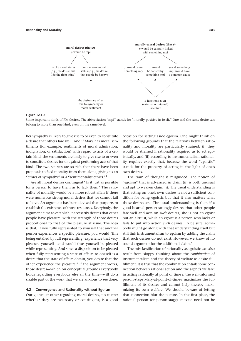

#### **Figure 12.1.2**

Some important kinds of RM desires. The abbreviation "mpi" stands for "morally positive in itself." One and the same desire can belong to more than one kind, even on the same level.

her sympathy is likely to give rise to or even to constitute a desire that others fare well. And if Mary has moral sentiments (for example, sentiments of moral admiration, indignation, or satisfaction) with regard to acts of a certain kind, the sentiments are likely to give rise to or even to constitute desires for or against performing acts of that kind. The two sources are so rich that there have been proposals to feed morality from them alone, giving us an "ethics of sympathy" or a "sentimentalist ethics."4

Are all moral desires contingent? Is it just as possible for a person to have them as to lack them? The rationality of morality would be a more robust affair if there were numerous strong moral desires that we cannot fail to have. An argument has been devised that purports to establish the existence of those resources. Everybody, the argument aims to establish, necessarily desires that other people have pleasure, with the strength of those desires proportional to that of the pleasure at issue. The idea is that, if you fully represented to yourself that another person experiences a specific pleasure, you would (this being entailed by full representing) experience that very pleasure yourself—and would thus yourself be pleased while representing. And since a disposition to be pleased when fully representing a state of affairs to oneself is a desire that the state of affairs obtain, you desire that the other experience the pleasure.<sup>5</sup> If the argument works, those desires—which on conceptual grounds everybody holds regarding everybody else all the time-will do a sizable part of the work that we are anxious to see done.

### **4.2 Convergence and Rationality without Egoism**

Our glance at other- regarding moral desires, no matter whether they are necessary or contingent, is a good occasion for setting aside egoism. One might think on the following grounds that the relations between rationality and morality are particularly strained: (i) they would be strained if rationality required us to act egoistically, and (ii) according to instrumentalism rationality requires exactly that, because the word "egoistic" stands for the property of acting in the light of one's own desires.

The train of thought is misguided. The notion of "egoism" that is advanced in claim (ii) is both unusual and apt to weaken claim (i). The usual understanding is that acting on one's own desires is not a sufficient condition for being egoistic but that it also matters what those desires are. The usual understanding is that, if a good- hearted person strongly desires that other people fare well and acts on *such* desires, she is not an egoist but an altruist, while an egoist is a person who lacks or fails to put into action *such* desires. To be sure, somebody might go along with that understanding itself but still link instrumentalism to egoism by adding the claim that such desires do not exist. However, we know of no sound argument for the additional claim.<sup>6</sup>

The misclassification of rationality as egoistic can also result from sloppy thinking about the *combination* of instrumentalism and the theory of welfare as desire fulfillment. It is true that the combination entails some connection between rational action and the agent's welfare: in acting rationally at point of time *t*, the well-informed person-stage Mary-at-point-of-time-t maximizes the fulfillment of its desires and cannot help thereby maximizing its own welfare. We should beware of letting that connection blur the picture. In the first place, the rational person (or person-stage) at issue need not be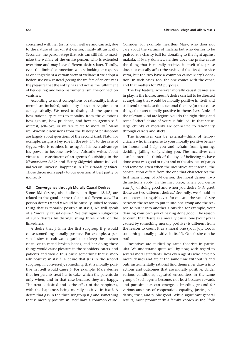concerned with her (or its) own welfare and can act, due to the nature of her (or its) desires, highly altruistically. Secondly, the person-stage that acts can still fail to maximize the welfare of the entire person, who is extended over time and may have different desires later. Thirdly, even the limited connection we are looking at requires as one ingredient a certain view of welfare; if we adopt a hedonistic view instead (seeing the welfare of an entity as the pleasure that the entity has and not as the fulfillment of her desires) and keep instrumentalism, the connection vanishes.

According to most conceptions of rationality, instrumentalism included, rationality does not require us to act egoistically. We need to distinguish the question how rationality relates to morality from the questions how egoism, how prudence, and how an agent's selfinterest, self-love, or welfare relate to morality.<sup>7</sup> Many well-known discussions from the history of philosophy are largely about questions of the second kind. Plato, for example, assigns a key role in the *Republic* to the case of Gyges, who is ruthless in using for his own advantage his power to become invisible; Aristotle writes about virtue as a constituent of an agent's flourishing in the *Nicomachean Ethics* and Henry Sidgwick about individual versus universal happiness in *The Methods of Ethics*. Those discussions apply to our question at best partly or indirectly.

## **4.3 Convergence through Morally Causal Desires**

Some RM desires, also indicated in figure 12.1.2, are related to the good or the right in a different way. If a person desires *p* and *p* would be causally linked to something that is morally positive in itself, we will speak of a "morally causal desire." We distinguish subgroups of such desires by distinguishing three kinds of the linkedness.

A desire that *p* is in the first subgroup if *p* would cause something morally positive. For example, a person desires to cultivate a garden, to keep the kitchen clean, or to mend broken bones, and her doing these things would cause pleasure in the beholders, eaters, and patients and would thus cause something that is morally positive in itself. A desire that  $p$  is in the second subgroup if, conversely, something that is morally positive in itself would cause *p*. For example, Mary desires that her parents treat her to cake, which the parents do only when, and in that case because, they are happy. The treat is desired and is the effect of the happiness, with the happiness being morally positive in itself. A desire that *p* is in the third subgroup if *p* and something that is morally positive in itself have a common cause.

Consider, for example, heartless Mary, who does not care about the victims of malaria but who desires to be praised at a charity ball for donating to the fight against malaria. If Mary donates, neither does the praise cause the thing that is morally positive in itself (the praise does not causally affect the saving of the lives) nor vice versa, but the two have a common cause: Mary's donation. In such cases, too, the one comes with the other, and that matters for RM purposes.

The key feature, wherever morally causal desires are in play, is the indirectness. A desire can fail to be directed at anything that would be morally positive in itself and still tend to make actions rational that are (or that cause things that are) morally positive in themselves. Links of the relevant kind are legion: you do the right thing and some "other" desire of yours is fulfilled. In that sense, large chunks of morality are connected to rationality through carrots and sticks.

The incentives can be external—think of fellowcitizens who in response to your morally positive behavior honor and help you and refrain from ignoring, deriding, jailing, or lynching you. The incentives can also be internal—think of the joys of believing to have done what was good or right and of the absence of pangs and remorse. Even when the incentives are internal, the constellation differs from the one that characterizes the first main group of RM desires, the moral desires. Two distinctions apply. In the first place, when you desire *your joy* of doing good and when you desire *to do good*, those are two different desires.<sup>8</sup> Secondly, we should in some cases distinguish even for one and the same desire between the reason to put it into one group and the reason to put it into another. Consider, for example, your desiring your own joy of having done good. The reason to count that desire as a morally causal one (your joy is caused by something morally positive) is different from the reason to count it as a moral one (your joy, too, is something morally positive in itself). One desire can be both.

Incentives are studied by game theorists in particular. We understand quite well by now, with regard to several moral standards, how even agents who have no moral desires and are at the same time without ifs and buts instrumentally rational find themselves drawn into actions and outcomes that are morally positive. Under various conditions, repeated encounters in the same group of such agents become, not least because rewards and punishments can emerge, a breeding ground for various amounts of cooperation, equality, justice, solidarity, trust, and public good. While significant general results, most prominently a family known as the "folk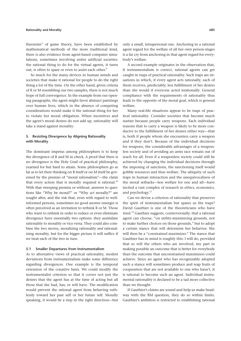theorems" of game theory, have been established by mathematical methods of the more traditional kind, there is also evidence from agent-based computer simulations, sometimes involving entire artificial societies: the rational thing to do for the virtual agents, it turns out, is often to spare or even to assist each other.<sup>9</sup>

So much for the many devices in human minds and societies that make it rational for people to do the right thing a lot of the time. On the other hand, given criteria of R or M resembling our two samples, there is not much hope of full convergence. In the example from our opening paragraphs, the agent might favor abstract paintings over human lives, which in the absence of competing considerations would make it the rational thing for her to violate her moral obligation. When incentives and the agent's moral desires do not add up, rationality will take a stand against morality.

# **5. Resisting Divergence by Aligning Rationality with Morality**

The dominant impetus among philosophers is to keep the divergence of R and M in check. A proof that there is no divergence is the Holy Grail of practical philosophy, yearned for but hard to attain. Some philosophers go as far as to let their thinking on R itself or on M itself be governed by the premiss of "moral rationalism"— the claim that every action that is morally required is rational.<sup>10</sup> With that sweeping premiss or without, answers to questions like "Why be moral?" or "Why *act* morally?" are sought after, and the risk that, even with regard to wellinformed persons, sometimes no good answer emerges is often perceived as an invitation to rethink R or M. Those who want to rethink in order to reduce or even eliminate divergence have essentially two options: they assimilate rationality to morality or vice versa. They could also combine the two moves, moralizing rationality *and* rationalizing morality, but for the bigger picture it will suffice if we treat each of the two in turn.

## **5.1 Smaller Departures from Instrumentalism**

As to alternative views of practical rationality, modest deviations from instrumentalism make some difference regarding divergences. One example is the temporal extension of the conative basis. We could modify the instrumentalist criterion so that it covers not just the desires that the agent has at the time of acting but all those that she had, has, or will have. The modification would prevent the rational agent from behaving ruthlessly toward her past self or her future self. Morally speaking, it would be a step in the right direction— but

only a small, intrapersonal one. Anchoring in a rational agent regard for the welfare of all her own person-stages is a far cry from anchoring in that agent regard for everybody's welfare.

A second example originates in the observation that, if instrumentalism is correct, rational agents can get caught in traps of practical rationality. Such traps are situations in which, if every agent acts rationally, each of them receives, predictably, less fulfillment of her desires than she would if everyone acted irrationally. General compliance with the requirements of rationality thus leads to the opposite of the moral goal, which is general welfare.

Many real-life situations appear to be traps of practical rationality. Consider societies that become much nastier because people carry weapons. Each individual reasons that to carry a weapon is likely to be more conducive to the fulfillment of her desires either way— that is, both if people whom she encounters carry a weapon and if they don't. Because of the individual decisions for weapons, the considerable advantages of a weaponless society and of avoiding an arms race remain out of reach for all. Even if a weaponless society could still be achieved by changing the individual decisions through the imposing of sanctions, the sanctioning itself would gobble resources and thus welfare. The ubiquity of such traps in human interaction and the unequivocalness of the moral setbacks— less welfare for one and all— have incited a vast complex of research in ethics, economics, and psychology.<sup>11</sup>

Can we devise a criterion of rationality that preserves the spirit of instrumentalism but spares us the traps? David Gauthier is one of the theoreticians who have tried.<sup>12</sup> Gauthier suggests, controversially, that a rational agent can choose, "on utility-maximizing grounds, not to make further choices on those grounds," but to adopt a certain stance that will determine her behavior. She will then be a "constrained maximizer." The stance that Gauthier has in mind is roughly this: I will do, provided that so will the others who are involved, my part in making possible an outcome that is better for every body than the outcome that unconstrained maximizers could achieve. Since an agent who has recognizably adopted such a stance will sometimes produce and reap fruits of cooperation that are not available to one who hasn't, it is rational to become such an agent. Individual instrumental rationality is declared to be a tad more collective than we thought.

If Gauthier's claims are sound and help us make headway with the RM question, they do so within limits. Gauthier's ambition is restricted to establishing rational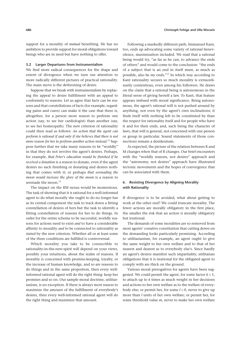support for a morality of *mutual* benefiting. He has no ambition to provide support for moral obligations toward beings who are in need but have nothing to offer.

#### **5.2 Larger Departures from Instrumentalism**

We find more radical consequences for the shape and extent of divergence when we turn our attention to more radically different pictures of practical rationality. The main move is the dethroning of desire.

Suppose that we break with instrumentalism by replacing the appeal to desire fulfillment with an appeal to conformity to reasons. Let us agree that facts can be reasons and that constellations of facts (for example, regarding pains and cures) can make it the case that there is, altogether, for a person more reason to perform one action (say, to see her cardiologist) than another (say, to see her homeopath). The new criterion of rationality could then read as follows: *An action that the agent can perform is rational if and only if she believes that there is not more reason for her to perform another action instead*. 13 Suppose further that we take many reasons to be "worldly" in that they do not involve the agent's desires. Perhaps, for example, *that Peter's education would be finished if he received a donation* is a reason to donate, even if the agent desires no such finishing or donating and desires nothing that comes with it; or perhaps *that serenading the moon would increase the glory of the moon* is a reason to serenade the moon.<sup>14</sup>

The impact on the RM nexus would be momentous. The task of showing that it is rational for a well-informed agent to do what morally she ought to do no longer has as its central component the task to track down a fitting constellation of desires of hers but the task to identify a fitting constellation of reasons for her to do things. In order for the entire scheme to be successful, worldly reasons for actions need to exist *and* to have a considerable affinity to morality *and* to be connected to rationality as stated by the new criterion. Whether all or at least some of the three conditions are fulfilled is controversial.

Which morality you take to be connectible to rationality-in-the-new-spirit will depend on your views, possibly your intuitions, about the realm of reasons. If morality is concerned with promise-keeping, loyalty, or the increase of human knowledge, and so are reasons to do things and in the same proportion, then every wellinformed rational agent will do the right thing: keep her promises and so on. Our sample moral doctrine, utilitarianism, is no exception. If there is always most reason to maximize the amount of the fulfillment of everybody's desires, then every well-informed rational agent will do the right thing and maximize that amount.

Following a markedly different path, Immanuel Kant, too, ends up advocating some variety of rational benevolence, maximization included. We read that a rational being would try, "as far as he can, to advance the ends of others" and would come to the conclusion: "the ends of a subject that is an end in itself must, as much as possible, also be *my* ends."<sup>15</sup> In which way according to Kant rationality secures so much morality is extraordinarily contentious, even among his followers. He draws on the claim that a rational being is autonomous in the literal sense of giving herself a law. To Kant, that feature appears imbued with moral significance. Being autonomous, the agent's rational will is not pushed around by anything, not even by the agent's own inclinations; it finds itself with nothing left to be constituted by than the respect for rationality itself and for people who have it and for their ends; and, such being the character of laws, that will is general, not concerned with one person or group in particular. Sound statements of those connections remain a desideratum.

As expected, the picture of the relation between R and M changes when that of R changes. Our brief encounters with the "worldly reasons, not desires" approach and the "autonomy, not desires" approach have illustrated tectonic movements and the hopes of convergence that can be associated with them.

# **6. Resisting Divergence by Aligning Morality with Rationality**

If divergence is to be avoided, what about getting to work at the other end? We could truncate morality. The fewer actions are morally obligatory in the first place, the smaller the risk that an action is morally obligatory but irrational.

The demands of some moralities are so removed from most agents' conative constitution that cutting down on the demanding looks particularly promising. According to utilitarianism, for example, an agent ought to give the same weight to her own welfare and to that of her nearest and dearest as to everybody else's. Since hardly an agent's desires manifest such impartiality, utilitarian obligations that it is irrational for the obligated agent to comply with are thick on the ground.

Various moral prerogatives for agents have been suggested. We could permit the agent, for some factor  $k > 1$ , to attach up to *k* times as much weight in her decisions and actions to her own welfare as to the welfare of everybody else; or permit her, for some *l*#0, never to give up more than *l* units of her own welfare; or permit her, for some threshold value *m*, never to make her own welfare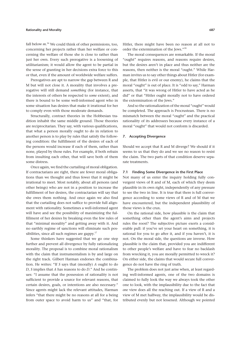### **Rationality and Morality 687**

fall below *m*. 16 We could think of other permissions, too, concerning her projects rather than her welfare or concerning the welfare of those she is close to rather than just her own. Every such prerogative is a loosening of utilitarianism; it would allow the agent to be partial in the sense of granting in her decisions extra force to this or that, even if the amount of worldwide welfare suffers.

Prerogatives are apt to narrow the gap between R and M but will not close it. A morality that involves a prerogative will still demand *something* (for instance, that the interests of others be respected to *some* extent), and there is bound to be some well-informed agent who in some situation has desires that make it irrational for her to comply even with those moderate demands.

Structurally, contract theories in the Hobbesian tradition inhabit the same middle ground. Those theories are reciprocitarian. They say, with various qualifications, that what a person morally ought to do in relation to another person is to play by rules that satisfy the following condition: the fulfillment of the desires of each of the persons would increase if each of them, rather than none, played by those rules. For example, if both refrain from insulting each other, that will save both of them some distress.

Once again, we find the curtailing of moral obligation. If contractarians are right, there are fewer moral obligations than we thought and thus fewer that it might be irrational to meet. Most notably, about all persons (and other beings) who are not in a position to increase the fulfillment of her desires, the contractarian will say that she owes them nothing. And once again we also find that the curtailing does not suffice to provide full alignment with rationality. Sometimes a well-informed agent will have and see the possibility of maximizing the fulfillment of her desires by breaking even the few rules of that "minimal morality" and getting away with it. And no earthly regime of sanctions will eliminate such possibilities, since all such regimes are gappy. $17$ 

Some thinkers have suggested that we go one step further and prevent all divergence by fully rationalizing morality. The proposal is to combine moral rationalism with the claim that instrumentalism is by and large on the right track. Gilbert Harman endorses the combination. He writes: "If *S* says that (morally) *A* ought to do *D*, *S* implies that *A* has reasons to do *D*." And he continues: "I assume that the possession of rationality is not sufficient to provide a source for relevant reasons, that certain desires, goals, or intentions are also necessary." Since agents might lack the relevant attitudes, Harman infers "that there might be no reasons at all for a being from outer space to avoid harm to us" and "that, for

Hitler, there might have been no reason at all not to order the extermination of the Jews."18

The moral consequences are remarkable. If the moral " ought" requires reasons, and reasons require desires, but the desires aren't in place and thus neither are the reasons, then neither is the moral "ought." While Harman invites us to say other things about Hitler (for example, that Hitler is evil or our enemy), he claims that the moral "ought" is out of place. It is "odd to say," Harman asserts, that "it was wrong of Hitler to have acted as he did" or that "Hitler ought morally not to have ordered the extermination of the Jews."

And so the rationalization of the moral "ought" would be completed. The approach is Procrustean. There is no mismatch between the moral "ought" and the practical rationality of its addressees because every instance of a moral "ought" that would not conform is discarded.

## **7. Accepting Divergence**

Should we accept that R and M diverge? We should if it seems to us that they do and we see no reason to resist the claim. The two parts of that condition deserve separate treatments.

## **7.1 Finding Some Divergence in the First Place**

Not many of us enter the inquiry holding fully convergent views of R and of M, each of which they deem plausible in its own right, independently of any pressure to see the two in line. It is true that there is full convergence according to some views of R and of M that we have encountered, but the independent plausibility of those views is the crux.

On the rational side, how plausible is the claim that something other than the agent's aims and projects rules the roost? The subjective picture exerts a considerable pull: if you've set your heart on something, it is rational for you to go after it, and if you haven't, it is not. On the moral side, the questions are inverse. How plausible is the claim that, provided you are indifferent to other people's welfare and have to fear no backlash from wrecking it, you are morally permitted to wreck it? On either side, the claims that would secure full convergence do not have the ring of truth.

The problem does not just arise when, at least regarding well-informed agents, one of the two domains is claimed to fully look the way we always took the other one to look, with the implausibility due to the fact that *one* view does all the reaching out. If a view of R and a view of M met halfway, the implausibility would be distributed evenly but not lessened. Although we pointed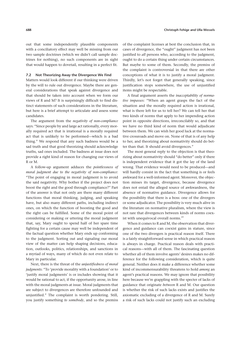out that some independently plausible components with a conciliatory effect may well be missing from our two sample doctrines (which we didn't call sample doctrines for nothing), no such components are in sight that would happen to dovetail, resulting in a perfect fit.

### **7.2 Not Theorizing Away the Divergence We Find**

Matters would look different if our thinking were driven by the will to rule out divergence. Maybe there are general considerations that speak against divergence and that should be taken into account when we form our views of R and M? It is surprisingly difficult to find distinct statements of such considerations in the literature, but here is a brief attempt to articulate and assess some candidates.

The argument from the *negativity of non- compliance* says: "Since people by and large act rationally, every morally required act that is irrational is a morally required act that is unlikely to be performed— which is a bad thing." We respond that any such badness would be a sad truth and that good theorizing should acknowledge truths, sad ones included. The badness at issue does not provide a right kind of reason for changing our views of R or M.

A follow-up argument adduces the *pointlessness of moral judgment due to the negativity of non- compliance*: "The point of engaging in moral judgment is to avoid the said negativity. Why bother if the project does not boost the right and the good through compliance?" Part of the answer is that not only are there many different functions that moral thinking, judging, and speaking have, but also many different paths, including indirect ones, on which the function of boosting the good and the right can be fulfilled. Some of the moral point of considering or making or uttering the moral judgment that, say, Mary ought to spend half of her spare time fighting for a certain cause may well be independent of the factual question whether Mary ends up conforming to the judgment. Sorting out and signaling our moral view of the matter can help shaping decisions, education, outlooks, politics, relationships, and sanctions in a myriad of ways, many of which do not even relate to Mary in particular.

Next, there is the threat of the *unjustifiedness of moral judgments*: "To 'provide morality with a foundation' or to 'justify moral judgments' is or includes showing that it would be rational to act, if the opportunity arose, in line with the moral judgments at issue. Moral judgments that are subject to divergences are therefore unfounded and unjustified." The complaint is worth pondering. Still, you justify something *to somebody*, and so the premiss

of the complaint licenses at best the conclusion that, in cases of divergence, the "ought" judgment has not been justified to *all* persons who, according to the judgment, ought to do a certain thing under certain circumstances. But maybe to some of them. Secondly, the premiss of the complaint is controversial in that there are other conceptions of what it is to justify a moral judgment. Thirdly, let's not forget that generally speaking, since justification stops somewhere, the use of unjustified items might be respectable.

A final argument asserts the *inacceptability of normative impasses*: "When an agent grasps the fact of the situation and the morally required action is irrational, what is there left for us to tell her? We can tell her that two kinds of norms that apply to her impending action point in opposite directions, irreconcilably so, and that we have no third kind of norm that would adjudicate between them. We can wish her good luck at the normative crossroads and move on. None of that is of any help to her, and theorizing about normativity should do better than that. It should avoid divergences."

The most general reply to the objection is that theorizing about normativity should "do better" only if there is independent evidence that it got the lay of the land wrong. That evidence would need to be produced— and will hardly consist in the fact that something is or feels awkward for a well-informed agent. Moreover, the objection misses its target, divergence, because divergence does not entail the alleged source of awkwardness, the absence of normative guidance. Divergence allows for the possibility that there is a boss: one of the divergers or some adjudicator. The possibility is very much alive in the literature on normative pluralism, where the view is not rare that divergences between kinds of norms coexist with unequivocal overall norms.<sup>19</sup>

When it comes to R and M, the observation that divergence and guidance can coexist gains in stature, since one of the two divergers is practical reason itself. There is a fairly straightforward sense in which practical reason is always in charge. Practical reason deals with practical reasons— with all of them. The fascinating question whether all of them involve agents' desires makes no difference for the following consideration, which is quite general. Neither does it make a difference whether some kind of incommensurability threatens to hold *among* an agent's practical reasons. We may ignore that possibility here because we're grappling with the specter of lacks of guidance that originate *between* R and M. Our question is whether the risk of such lacks exists and justifies the axiomatic excluding of a divergence of R and M. Surely a risk of such lacks could not justify such an excluding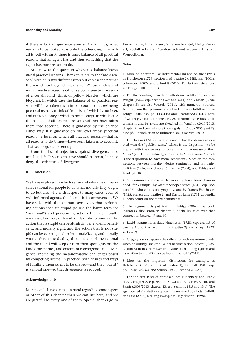### **Rationality and Morality 689**

if there is lack of guidance even *within* R. Thus, what remains to be looked at is only the other case, in which all is well within R: there is some balance of all practical reasons that an agent has and thus something that the agent has most reason to do.

And now to the question where the balance leaves *moral* practical reasons. They can relate to the "most reason" verdict in two different ways but can escape neither the verdict nor the guidance it gives. We can understand moral practical reasons either as being practical reasons of a certain kind (think of yellow bicycles, which are bicycles), in which case the balance of all practical reasons will have taken them into account—or as *not* being practical reasons (think of "root beer," which is not beer, and of "toy money," which is not money), in which case the balance of all practical reasons will not have taken them into account. There is guidance by the balance either way. It is guidance on the level "most practical reason," a level on which all practical reasons— that is, all reasons to do things— have been taken into account. That seems guidance enough.

From the list of objections against divergence, not much is left. It seems that we should bemoan, but not deny, the existence of divergence.

### **8. Conclusion**

We have explored in which sense and why it is in many cases rational for people to do what morally they ought to do but also why with respect to many cases, even of well-informed agents, the diagnosis is controversial. We have sided with the common-sense view that performing actions that are stupid (to use the laity's term for "irrational") and performing actions that are morally wrong are two very different kinds of shortcomings. The action that is stupid can be altruistic, benevolent, beneficent, and morally right, and the action that is not stupid can be egoistic, malevolent, maleficent, and morally wrong. Given the duality, theoreticians of the rational and the moral will keep or turn their spotlights on the kinds, mechanics, and extents of convergence and divergence, including the metanormative challenges posed by competing norms. In practice, both desires and ways of fulfilling them ought to be shaped—and that "ought" is a moral one—so that divergence is reduced.

#### **Acknowl edgments**

More people have given us a hand regarding some aspect or other of this chapter than we can list here, and we are grateful to every one of them. Special thanks go to

Kevin Baum, Inga Lassen, Susanne Mantel, Helge Rückert, Rudolf Schüßler, Stephan Schweitzer, and Christian Wendelborn.

#### **Notes**

1. More on doctrines like instrumentalism and on their rivals in Hutcheson (1728, section 1 of treatise 2), Millgram (2001), Schroeder (2007), and Schmidt (2016). For further references, see Fehige (2001, note 1).

2. For the equating of welfare with desire fulfillment, see von Wright (1963, esp. sections 5.9 and 5.11) and Carson (2000, chapter 3); see also Wessels (2011), with numerous sources. For the claim that pleasure is one kind of desire fulfillment, see Fehige (2004, esp. pp. 143–145) and Heathwood (2007), both of which give further references. As to normative ethics: utilitarianism and its rivals are sketched in Vaughn (2010/2013, chapter 2) and treated more thoroughly in Copp (2006, part 2); a helpful introduction to utilitarianism is Bykvist (2010).

3. Hutcheson (1728) covers in some detail the desires associated with the "publick sense," which is the disposition "to be pleased with the *Happiness* of others, and to be uneasy at their *Misery*" (art. 1.1 of treatise 1), and with the "moral sense," which is the disposition to have moral sentiments. More on the connections between morality, desire, sentiment, and sympathy in Bricke (1996, esp. chapter 6), Fehige (2004), and Fehige and Frank (2010).

4. Single-source approaches to morality have been championed, for example, by Arthur Schopenhauer (1841, esp. section 16), who counts on sympathy, and by Francis Hutcheson (1725, preface and treatise 2) and David Hume (1751, appendix 1), who count on the moral sentiments.

5. The argument is put forth in Fehige (2004); the book includes a discussion, in chapter 6, of the limits of even that connection between R and M.

6. Lucid treatments include Hutcheson (1728, esp. art. 1.3 of treatise 1 and the beginning of treatise 2) and Sharp (1923, section 2).

7. Gregory Kavka captures the difference with maximum clarity when he distinguishes the "Wider Reconciliation Project" (1985, section 5) from a narrower one. More on handling egoism and its relation to morality can be found in Cholbi (2011).

8. More on the important distinction, for example, in Hutcheson (1728, art. 1.4 of treatise 1), Rashdall (1907, esp. pp. 17–18, 28–32), and Schlick (1930, sections 2.6–2.8).

9. For the first kind of approach, see Fudenberg and Tirole (1991, chapter 5, esp. section 5.1.2) and Maschler, Solan, and Zamir (2008/2013, chapter 13, esp. sections 13.5 and 13.6). The agent-based simulation approach is surveyed by Gotts, Polhill, and Law (2003); a telling example is Hegselmann (1998).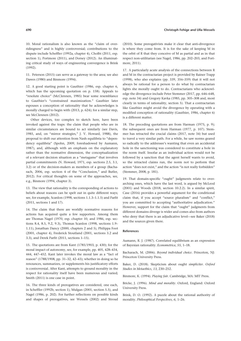11. Peterson (2015) can serve as a gateway to the area; see also Dawes (1980) and Binmore (1994).

12. A good starting point is Gauthier (1986, esp. chapter 6, which has the upcoming quotation on p. 158). Appeals to "resolute choice" (McClennen, 1985) bear some resemblance to Gauthier's "constrained maximization." Gauthier later espouses a conception of rationality that he acknowledges is morally charged to begin with (2013, p. 624); for a similar step, see McClennen (2012).

Other devices, too complex to sketch here, have been invoked against the traps: the claim that people who are in similar circumstances are bound to act similarly (see Davis, 1985, and, on "mirror strategies," J. V. Howard, 1988), the proposal to shift our attention from Nash equilibria to "dependency equilibria" (Spohn, 2009, foreshadowed by Aumann, 1987), and, although with an emphasis on the explanatory rather than the normative dimension, the conceptualization of a relevant decision situation as a "metagame" that involves partial commitments (N. Howard, 1971, esp. sections 2.5, 3.1, 3.2) or of the decision-makers as members of a group (Bacharach, 2006, esp. section 4 of the "Conclusion," and Butler, 2012). For critical thoughts on some of the approaches, see, e.g., Binmore (1994, chapter 3).

13. The view that rationality is the corresponding of actions to beliefs about reasons can be spelt out in quite different ways; see, for example, Scanlon (1998, sections 1.1.3–1.1.5) and Parfit (2011, sections 1 and 17).

14. The claim that there are worldly normative reasons for actions has acquired quite a few supporters. Among them are Thomas Nagel (1970, esp. chapter 10, and 1986, esp. sections 8.4, 8.5, 9.2, 9.3), Thomas Scanlon (1998, sections 1.9– 1.11), Jonathan Dancy (2000, chapters 2 and 5), Philippa Foot (2001, chapter 4), Frederick Stoutland (2001, sections 3.2 and 3.3), and Derek Parfit (2011, sections 1–15).

15. The quotations are from Kant (1785/1903, p. 430); for the moral impact of autonomy, see, for example, pp. 405, 428–434, 444, 447–452. Kant later invokes the moral law as a "fact of reason" (1788/1908, pp. 31–32, 42–43); whether in doing so he renounces, summarizes, or supplements his justificatory efforts is controversial. After Kant, attempts to ground morality in the respect for rationality itself have been numerous and varied; Smith (2011) is one case in point.

16. The three kinds of prerogatives are considered, one each, in Scheffler (1992b, section 1), Mulgan (2001, section 5.5), and Nagel (1986, p. 202). For further reflections on possible kinds and shapes of prerogatives, see Wessels (2002) and Stroud

(2010). Some prerogativists make it clear that anti-divergence is where they come from. It is for the sake of keeping M in the orbit of R that they conceive of M as partial and as in that respect non-utilitarian (see Nagel, 1986, pp. 202-203, and Portmore, 2011).

17. A particularly acute analysis of the connections between R and M in the contractarian project is provided by Rainer Trapp (1998), who also explains (pp. 339, 356–359) that it will not always be rational for a person to do what by contractarian lights she morally ought to do. Contractarians who acknowledge the divergence include Peter Stemmer (2017, pp. 646–648, esp. note 34) and Gregory Kavka (1985, pp. 305–308 and, most clearly in terms of rationality, section 5). That a contractarian like Gauthier might avoid the divergence by operating with a modified conception of rationality (Gauthier, 1986, chapter 6) is a different matter.

18. The preceding quotations are from Harman (1975, p. 9); the subsequent ones are from Harman (1977, p. 107). Stemmer has retracted the crucial claims (2017, note 34) but used to travel a very similar path. For a while, he saw norms geared so radically to the addressee's wanting that even an accidental hole in the sanctioning was considered to constitute a hole in the norm itself. Insofar as an individual action would not be followed by a sanction that the agent herself wants to avoid, so the retracted claims run, the norm not to perform that action "does not exist," and the action "is not really forbidden" (Stemmer, 2008, p. 181).

19. That domain-specific "ought" judgments relate to overarching ones, which have the last word, is argued by McLeod (2001) and Woods (2018, section 10.2.2). In a similar spirit, Case (2016) provides a powerful argument for the conditional claim that, if you accept "source pluralism" and "conflict," you are committed to accepting "authoritative adjudication." However, support for the claim that "ought" judgments from different domains diverge is wider and comes also from authors who deny that there is an adjudicative level— see Baker (2018) and the sources given there.

#### **References**

Aumann, R. J. (1987). Correlated equilibrium as an expression of Bayesian rationality. *Econometrica*, *55*, 1–18.

Bacharach, M. (2006). *Beyond individual choice*. Princeton, NJ: Princeton University Press.

Baker, D. (2018). Skepticism about ought *simpliciter*. *Oxford Studies in Metaethics*, *13*, 230–252.

Binmore, K. (1994). *Playing fair*. Cambridge, MA: MIT Press.

Bricke, J. (1996). *Mind and morality*. Oxford, England: Oxford University Press.

Brink, D. O. (1992). A puzzle about the rational authority of morality. *Philosophical Perspectives*, *6*, 1–26.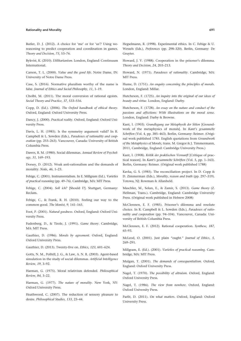### **Rationality and Morality 691**

Butler, D. J. (2012). A choice for 'me' or for 'us'? Using wereasoning to predict cooperation and coordination in games. *Theory and Decision*, *73*, 53–76.

Bykvist, K. (2010). *Utilitarianism*. London, England: Continuum International.

Carson, T. L. (2000). *Value and the good life*. Notre Dame, IN: University of Notre Dame Press.

Case, S. (2016). Normative pluralism worthy of the name is false. *Journal of Ethics and Social Philosophy*, *11*, 1–19.

Cholbi, M. (2011). The moral conversion of rational egoists. *Social Theory and Practice*, *37*, 533–556.

Copp, D. (Ed.). (2006). *The Oxford handbook of ethical theory*. Oxford, England: Oxford University Press.

Dancy, J. (2000). *Practical reality*. Oxford, England: Oxford University Press.

Davis, L. H. (1985). Is the symmetry argument valid? In R. Campbell & L. Sowden (Eds.), *Paradoxes of rationality and cooperation* (pp. 255–263). Vancouver, Canada: University of British Columbia Press.

Dawes, R. M. (1980). Social dilemmas. Annual Review of Psychol*ogy*, *31*, 169–193.

Dorsey, D. (2012). Weak anti-rationalism and the demands of morality. *Noûs*, *46*, 1–23.

Fehige, C. (2001). Instrumentalism. In E. Millgram (Ed.), *Varieties of practical reasoning* (pp. 49–76). Cambridge, MA: MIT Press.

Fehige, C. (2004). *Soll ich?* [Should I?]. Stuttgart, Germany: Reclam.

Fehige, C., & Frank, R. H. (2010). Feeling our way to the common good. *The Monist*, *9*, 141–165.

Foot, P. (2001). *Natural goodness*. Oxford, England: Oxford University Press.

Fudenberg, D., & Tirole, J. (1991). *Game theory*. Cambridge, MA: MIT Press.

Gauthier, D. (1986). *Morals by agreement*. Oxford, England: Oxford University Press.

Gauthier, D. (2013). Twenty- five on. *Ethics*, *123*, 601–624.

Gotts, N. M., Polhill, J. G., & Law, A. N. R. (2003). Agent-based simulation in the study of social dilemmas. *Artificial Intelligence Review*, *19*, 3–92.

Harman, G. (1975). Moral relativism defended. *Philosophical Review*, *84*, 3–22.

Harman, G. (1977). *The nature of morality*. New York, NY: Oxford University Press.

Heathwood, C. (2007). The reduction of sensory pleasure to desire. *Philosophical Studies*, *133*, 23–44.

Hegselmann, R. (1998). Experimental ethics. In C. Fehige & U. Wessels (Eds.), *Preferences* (pp. 298–320). Berlin, Germany: De Gruyter.

Howard, J. V. (1988). Cooperation in the prisoner's dilemma. *Theory and Decision*, *24*, 203–213.

Howard, N. (1971). *Paradoxes of rationality*. Cambridge, MA: MIT Press.

Hume, D. (1751). An enquiry concerning the principles of morals. London, England: Millar.

Hutcheson, F. (1725). *An inquiry into the original of our ideas of beauty and virtue*. London, England: Darby.

Hutcheson, F. (1728). *An essay on the nature and conduct of the passions and affections: With illustrations on the moral sense*. London, England: Darby & Browne.

Kant, I. (1903). *Grundlegung zur Metaphysik der Sitten* [Groundwork of the metaphysics of morals]. In *Kant's gesammelte Schriften* (Vol. 4, pp. 385–463). Berlin, Germany: Reimer. (Original work published 1785. En glish quotations from *Groundwork of the Metaphysics of Morals*, trans. M. Gregor & J. Timmermann, 2011, Cambridge, England: Cambridge University Press.)

Kant, I. (1908). *Kritik der praktischen Vernunft* [Critique of practical reason]. In *Kant's gesammelte Schriften* (Vol. 5, pp. 1–163). Berlin, Germany: Reimer. (Original work published 1788)

Kavka, G. S. (1985). The reconciliation project. In D. Copp  $\&$ D. Zimmerman (Eds.), *Morality, reason and truth* (pp. 297–319). Totowa, NJ: Rowman & Allanheld.

Maschler, M., Solan, E., & Zamir, S. (2013). *Game theory* (Z. Hellman, Trans.). Cambridge, England: Cambridge University Press. (Original work published in Hebrew 2008)

McClennen, E. F. (1985). Prisoner's dilemma and resolute choice. In R. Campbell & L. Sowden (Eds.), *Paradoxes of rationality and cooperation* (pp. 94–104). Vancouver, Canada: University of British Columbia Press.

McClennen, E. F. (2012). Rational cooperation. *Synthese*, *187*, 65–93.

McLeod, O. (2001). Just plain " ought." *Journal of Ethics*, *5*, 269–291.

Millgram, E. (Ed.). (2001). *Varieties of practical reasoning*. Cambridge, MA: MIT Press.

Mulgan, T. (2001). *The demands of consequentialism*. Oxford, England: Oxford University Press.

Nagel, T. (1970). *The possibility of altruism*. Oxford, England: Oxford University Press.

Nagel, T. (1986). *The view from nowhere*. Oxford, England: Oxford University Press.

Parfit, D. (2011). *On what matters*. Oxford, England: Oxford University Press.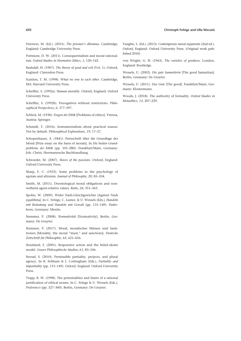#### **692 Christoph Fehige and Ulla Wessels**

Peterson, M. (Ed.). (2015). *The prisoner's dilemma*. Cambridge, England: Cambridge University Press.

Portmore, D. W. (2011). Consequentialism and moral rationalism. *Oxford Studies in Normative Ethics*, *1*, 120–142.

Rashdall, H. (1907). *The theory of good and evil* (Vol. 1). Oxford, England: Clarendon Press.

Scanlon, T. M. (1998). *What we owe to each other*. Cambridge, MA: Harvard University Press.

Scheffler, S. (1992a). *Human morality*. Oxford, England: Oxford University Press.

Scheffler, S. (1992b). Prerogatives without restrictions. *Philosophical Perspectives*, *6*, 377–397.

Schlick, M. (1930). *Fragen der Ethik* [Problems of ethics]. Vienna, Austria: Springer.

Schmidt, T. (2016). Instrumentalism about practical reason: Not by default. *Philosophical Explorations*, *19*, 17–27.

Schopenhauer, A. (1841). Preisschrift über die Grundlage der Moral [Prize essay on the basis of morals]. In *Die beiden Grundprobleme der Ethik* (pp. 101–280). Frankfurt/Main, Germany: Joh. Christ. Herrmannsche Buchhandlung.

Schroeder, M. (2007). *Slaves of the passions*. Oxford, England: Oxford University Press.

Sharp, F. C. (1923). Some problems in the psychology of egoism and altruism. *Journal of Philosophy*, *20*, 85–104.

Smith, M. (2011). Deontological moral obligations and nonwelfarist agent- relative values. *Ratio*, *24*, 351–363.

Spohn, W. (2009). Wider Nash- Gleichgewichte [Against Nash equilibria]. In C. Fehige, C. Lumer, & U. Wessels (Eds.), *Handeln mit Bedeutung und Handeln mit Gewalt* (pp. 131–149). Paderborn, Germany: Mentis.

Stemmer, P. (2008). *Normativität* [Normativity]. Berlin, Germany: De Gruyter.

Stemmer, P. (2017). Moral, moralisches Müssen und Sanktionen [Morality, the moral "must," and sanctions]. *Deutsche Zeitschrift für Philosophie*, *65*, 621–656.

Stoutland, F. (2001). Responsive action and the belief–desire model. *Grazer Philosophische Studien*, *61*, 83–106.

Stroud, S. (2010). Permissible partiality, projects, and plural agency. In B. Feltham & J. Cottingham (Eds.), *Partiality and impartiality* (pp. 131–149). Oxford, England: Oxford University Press.

Trapp, R. W. (1998). The potentialities and limits of a rational justification of ethical norms. In C. Fehige & U. Wessels (Eds.), *Preferences* (pp. 327–360). Berlin, Germany: De Gruyter.

Vaughn, L. (Ed.). (2013). *Con temporary moral arguments* (2nd ed.). Oxford, England: Oxford University Press. (Original work published 2010)

von Wright, G. H. (1963). *The varieties of goodness*. London, England: Routledge.

Wessels, U. (2002). *Die gute Samariterin* [The good Samaritan]. Berlin, Germany: De Gruyter.

Wessels, U. (2011). *Das Gute* [The good]. Frankfurt/Main, Germany: Klostermann.

Woods, J. (2018). The authority of formality. *Oxford Studies in Metaethics*, *13*, 207–229.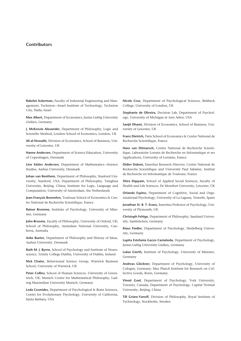# **Contributors**

**Rakefet Ackerman,** Faculty of Industrial Engineering and Management, Technion—Israel Institute of Technology, Technion City, Haifa, Israel

**Max Albert,** Department of Economics, Justus Liebig University Gießen, Germany

**J. McKenzie Alexander,** Department of Philosophy, Logic and Scientific Method, London School of Economics, London, UK

**Ali al- Nowaihi,** Division of Economics, School of Business, University of Leicester, UK

**Hanne Andersen,** Department of Science Education, University of Copenhagen, Denmark

Line Edslev Andersen, Department of Mathematics-Science Studies, Aarhus University, Denmark

**Johan van Benthem,** Department of Philosophy, Stanford University, Stanford, USA; Department of Philosophy, Tsinghua University, Beijing, China; Institute for Logic, Language and Computation, University of Amsterdam, the Netherlands

**Jean- François Bonnefon,** Toulouse School of Economics & Centre National de Recherche Scientifique, France

Rainer Bromme, Institute of Psychology, University of Münster, Germany

**John Broome,** Faculty of Philosophy, University of Oxford, UK; School of Philosophy, Australian National University, Canberra, Australia

**Anke Bueter,** Department of Philosophy and History of Ideas, Aarhus University, Denmark

**Ruth M. J. Byrne,** School of Psychology and Institute of Neuroscience, Trinity College Dublin, University of Dublin, Ireland

**Nick Chater,** Behavioural Science Group, Warwick Business School, University of Warwick, UK

**Peter Collins,** School of Human Sciences, University of Greenwich, UK; Munich Center for Mathematical Philosophy, Ludwig Maximilian University Munich, Germany

**Leda Cosmides,** Department of Psychological & Brain Sciences, Center for Evolutionary Psychology, University of California, Santa Barbara, USA

**Nicole Cruz,** Department of Psychological Sciences, Birkbeck College, University of London, UK

Stephanie de Oliveira, Decision Lab, Department of Psychology, University of Michigan at Ann Arbor, USA

**Sanjit Dhami,** Division of Economics, School of Business, University of Leicester, UK

**Franz Dietrich,** Paris School of Economics & Centre National de Recherche Scientifique, France

**Hans van Ditmarsch,** Centre National de Recherche Scientifique, Laboratoire Lorrain de Recherche en Informatique et ses Applications, University of Lorraine, France

**Didier Dubois,** Emeritus Research Director, Centre National de Recherche Scientifique and Université Paul Sabatier, Institut de Recherche en Informatique de Toulouse, France

**Shira Elqayam,** School of Applied Social Sciences, Faculty of Health and Life Sciences, De Montfort University, Leicester, UK

**Orlando Espino,** Department of Cognitive, Social and Organizational Psychology, University of La Laguna, Tenerife, Spain

**Jonathan St. B. T. Evans, Emeritus Professor of Psychology, Uni**versity of Plymouth, UK

**Christoph Fehige,** Department of Philosophy, Saarland University, Saarbrücken, Germany

Klaus Fiedler, Department of Psychology, Heidelberg University, Germany

Lupita Estefania Gazzo Castañeda, Department of Psychology, Justus Liebig University Gießen, Germany

Lukas Gierth, Institute of Psychology, University of Münster, Germany

Andreas Glöckner, Department of Psychology, University of Cologne, Germany; Max Planck Institute for Research on Collective Goods, Bonn, Germany

Vinod Goel, Department of Psychology, York University, Toronto, Canada; Department of Psychology, Capital Normal University, Beijing, China

**Till Grüne- Yanoff,** Division of Philosophy, Royal Institute of Technology, Stockholm, Sweden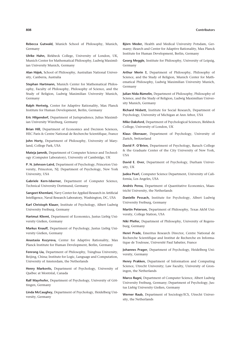#### Contributors

Rebecca Gutwald, Munich School of Philosophy, Munich, Germany

Ulrike Hahn, Birkbeck College, University of London, UK, Munich Center for Mathematical Philosophy, Ludwig Maximilian University Munich, Germany

Alan Hájek, School of Philosophy, Australian National University, Canberra, Australia

Stephan Hartmann, Munich Center for Mathematical Philosophy, Faculty of Philosophy, Philosophy of Science, and the Study of Religion, Ludwig Maximilian University Munich, Germany

Ralph Hertwig, Center for Adaptive Rationality, Max Planck Institute for Human Development, Berlin, Germany

Eric Hilgendorf, Department of Jurisprudence, Julius Maximilian University Würzburg, Germany

Brian Hill, Department of Economics and Decision Sciences, HEC Paris & Centre National de Recherche Scientifique, France

John Horty, Department of Philosophy, University of Maryland. College Park. USA

Mateja Jamnik, Department of Computer Science and Technology (Computer Laboratory), University of Cambridge, UK

P. N. Johnson-Laird, Department of Psychology, Princeton University, Princeton, NJ; Department of Psychology, New York University, USA

Gabriele Kern-Isberner, Department of Computer Science, Technical University Dortmund, Germany

Sangeet Khemlani, Navy Center for Applied Research in Artificial Intelligence, Naval Research Laboratory, Washington, DC, USA

Karl Christoph Klauer, Institute of Psychology, Albert Ludwig University Freiburg, Germany

Hartmut Kliemt, Department of Economics, Justus Liebig University Gießen, Germany

Markus Knauff, Department of Psychology, Justus Liebig University Gießen, Germany

Anastasia Kozyreva, Center for Adaptive Rationality, Max Planck Institute for Human Development, Berlin, Germany

Fenrong Liu, Department of Philosophy, Tsinghua University, Beijing, China; Institute for Logic, Language and Computation, University of Amsterdam, the Netherlands

Henry Markovits, Department of Psychology, University of Québec at Montréal, Canada

Ralf Mayrhofer, Department of Psychology, University of Göttingen, Germany

Linda McCaughey, Department of Psychology, Heidelberg University. Germany

Björn Meder, Health and Medical University Potsdam, Germany; iSearch and Center for Adaptive Rationality, Max Planck Institute for Human Development, Berlin, Germany

Georg Meggle, Institute for Philosophy, University of Leipzig, Germany

Arthur Merin †, Department of Philosophy, Philosophy of Science, and the Study of Religion, Munich Center for Mathematical Philosophy, Ludwig Maximilian University Munich, Germany

Julian Nida-Rümelin, Department of Philosophy, Philosophy of Science, and the Study of Religion, Ludwig Maximilian University Munich, Germany

Richard Nisbett, Institute for Social Research, Department of Psychology. University of Michigan at Ann Arbor. USA

Mike Oaksford, Department of Psychological Sciences, Birkbeck College, University of London, UK

Klaus Oberauer, Department of Psychology, University of Zurich, Switzerland

David P. O'Brien. Department of Psychology. Baruch College & the Graduate Center of the City University of New York, **USA** 

David E. Over, Department of Psychology, Durham Universitv. UK

Judea Pearl, Computer Science Department, University of California, Los Angeles, USA

Andrés Perea, Department of Quantitative Economics, Maastricht University, the Netherlands

Danielle Pessach, Institute for Psychology, Albert Ludwig University Freiburg, Germany

Martin Peterson, Department of Philosophy, Texas A&M University, College Station, USA

Niki Pfeifer, Department of Philosophy, University of Regensburg, Germany

Henri Prade, Emeritus Research Director, Centre National de Recherche Scientifique and Institut de Recherche en Informatique de Toulouse. Université Paul Sabatier. France

Johannes Prager, Department of Psychology, Heidelberg University, Germany

Henry Prakken, Department of Information and Computing Science, Utrecht University; Law Faculty, University of Groningen, the Netherlands

Marco Ragni, Department of Computer Science, Albert Ludwig University Freiburg, Germany; Department of Psychology, Justus Liebig University Gießen, Germany

Werner Raub, Department of Sociology/ICS, Utrecht University, the Netherlands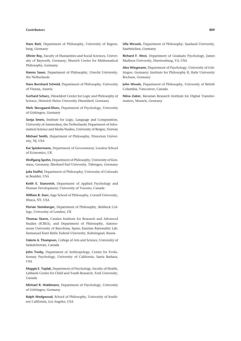#### **Contributors 809**

**Hans Rott,** Department of Philosophy, University of Regensburg, Germany

**Olivier Roy,** Faculty of Humanities and Social Sciences, University of Bayreuth, Germany; Munich Center for Mathematical Philosophy, Germany

**Hanno Sauer,** Department of Philosophy, Utrecht University, the Netherlands

**Hans Bernhard Schmid,** Department of Philosophy, University of Vienna, Austria

**Gerhard Schurz,** Düsseldorf Center for Logic and Philosophy of Science, Heinrich Heine University Düsseldorf, Germany

Niels Skovgaard-Olsen, Department of Psychology, University of Göttingen, Germany

**Sonja Smets,** Institute for Logic, Language and Computation, University of Amsterdam, the Netherlands; Department of Information Science and Media Studies, University of Bergen, Norway

Michael Smith, Department of Philosophy, Princeton University, NJ, USA

**Kai Spiekermann,** Department of Government, London School of Economics, UK

**Wolfgang Spohn,** Department of Philosophy, University of Konstanz, Germany; Eberhard Karl University, Tübingen, Germany

**Julia Staffel,** Department of Philosophy, University of Colorado at Boulder, USA

Keith E. Stanovich, Department of Applied Psychology and Human Development, University of Toronto, Canada

**William B. Starr,** Sage School of Philosophy, Cornell University, Ithaca, NY, USA

**Florian Steinberger,** Department of Philosophy, Birkbeck College, University of London, UK

**Thomas Sturm,** Catalan Institute for Research and Advanced Studies (ICREA), and Department of Philosophy, Autonomous University of Barcelona, Spain; Kantian Rationality Lab, Immanuel Kant Baltic Federal University, Kaliningrad, Russia

**Valerie A. Thompson,** College of Arts and Science, University of Saskatchewan, Canada

**John Tooby,** Department of Anthropology, Center for Evolutionary Psychology, University of California, Santa Barbara, **USA** 

**Maggie E. Toplak, Department of Psychology, Faculty of Health,** LaMarsh Centre for Child and Youth Research, York University, Canada

**Michael R. Waldmann, Department of Psychology, University** of Göttingen, Germany

**Ralph Wedgwood,** School of Philosophy, University of Southern California, Los Angeles, USA

**Ulla Wessels,** Department of Philosophy, Saarland University, Saarbrücken, Germany

**Richard F. West, Department of Graduate Psychology, James** Madison University, Harrisonburg, VA, USA

Alex Wiegmann, Department of Psychology, University of Göttingen, Germany; Institute for Philosophy II, Ruhr University Bochum, Germany

**John Woods,** Department of Philosophy, University of British Columbia, Vancouver, Canada

**Niina Zuber,** Bavarian Research Institute for Digital Transformation, Munich, Germany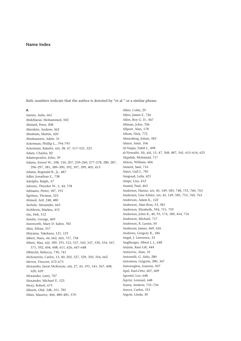# Name Index

Italic numbers indicate that the author is denoted by "et al." or a similar phrase.

### $\overline{A}$

Aarnio, Aulis, 661 Abdellaoui, Mohammed, 502 Abelard, Peter, 208 Aberdein, Andrew, 362 Abraham, Martin, 620 Abrahamsen, Adele, 31 Ackerman, Phillip L., 794-795 Ackerman, Rakefet, xiii, 38, 47, 517-521, 523 Adam, Charles, 82 Adamopoulos, John, 29 Adams, Ernest W., 108, 150, 207, 259-260, 277-278, 280, 287, 296-297, 381, 389-390, 392, 397, 399, 405, 413 Adams, Reginald B., Jr., 487 Adler, Jonathan E., 738 Adolphs, Ralph, 37 Adorno, Theodor W., 5, 44, 758 Adriaans, Pieter, 187, 193 Ågotnes, Thomas, 323 Ahmed, Arif, 248, 480 Aichele, Alexander, 663 Aichhorn, Markus, 412 Ain, Deb, 512 Ainslie, George, 469 Ainsworth, Mary D. Salter, 783 Akin, Ethan, 557 Akiyama, Takekazu, 121, 123 Albert, Hans, 44, 662, 665, 757, 758 Albert, Max, xiii, 189, 191, 512, 537, 543, 547, 550, 554, 567, 571, 592, 604, 608, 611, 626, 647-648 Albrecht, Rebecca, 730, 741 Alchourrón, Carlos, 13, 40, 202, 327, 329, 350, 356, 662 Aleven, Vincent, 672-673 Alexander, Jason McKenzie, xiii, 27, 43, 191, 541, 567, 608, 620, 639 Alexander, Larry, 707 Alexander, Michael P., 123 Alexy, Robert, 675 Alksnis, Olaf, 348, 351, 785 Allais, Maurice, 466, 480-481, 570

Allen, Colin, 29 Allen, James F., 726 Allen, Roy G. D., 467 Allman, John, 706 Allport, Alan, 178 Allum, Nick, 772 Almenberg, Johan, 585 Almor, Amit, 106 Al-Najjar, Nabil I., 498 al-Nowaihi, Ali, xiii, 15, 47, 368, 487, 541, 615-616, 625 Alqadah, Mohanad, 717 Alston, William, 606 Amarel, Saul, 716 Ames, Gail J., 781 Amgoud. Leila. 421 Ampe, Lisa, 412 Anand, Paul, 463 Andersen, Hanne, xiv, 45, 149, 585, 748, 753, 760, 763 Andersen, Line Edslev, xiv, 45, 149, 585, 753, 760, 763 Anderson, Adam K., 122 Anderson, Alan Ross, 53, 381 Anderson, Elizabeth, 594, 751, 759 Anderson, John R., 40, 93, 174, 180, 454, 716 Anderson, Michael, 717 Anderson, R. Lanier, 50 Andreoni, James, 469, 626 Andrews, Gregory R., 186 Angel, J. Lawrence, 35 Anglberger, Albert J. J., 648 Anjum, Rani Lill, 444 Anticevic, Alan, 35 Antonelli, G. Aldo, 280 Antoniou, Grigoris, 280, 347 Antonoglou, Ioannis, 507 Apel, Karl-Otto, 607, 609 Apostel, Leo, 648 Åqvist, Lennart, 648 Arana, Andrew, 735-736 Areces, Carlos, 331

Argote, Linda, 30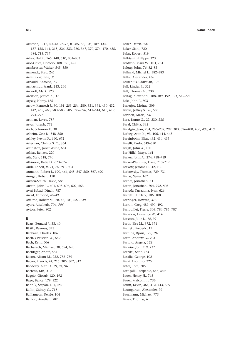Aristotle, 1, 17, 40–42, 72–73, 81–85, 88, 105, 109, 134, 137–138, 144, 215, 226, 233, 280, 367, 370, 374, 470, 625, 684, 715, 737 Arkes, Hal R., 165, 440, 510, 801–803 Arló-Costa, Horacio, 188, 391, 427 Armbruster, Walter, 545, 550 Armendt, Brad, 245 Armstrong, Este, *35* Arnauld, Antoine, 73 Arntzenius, Frank, 243, 246 Aronoff, Mark, 523 Aronson, Jessica A., 37 Arpaly, Nomy, 135 Arrow, Kenneth J., 30, 191, 253–254, 280, 331, 391, 430, 432, 442, 465, 468, 580–583, 585, 595–596, 611–614, 616, 619, 794–797 Artman, Lavee, 787 Arvai, Joseph, 772 Asch, Solomon E., 30 Asheim, Geir B., 548–550 Ashley, Kevin D., 660, 672 Asterhan, Christa S. C., 364 Astington, Janet Wilde, 654 Athias, Renato, 220 Atir, Stav, 518, 770 Atkinson, Katie D., 673–674 Audi, Robert, x, 71, 76, 291, 804 Aumann, Robert J., 190, 464, 545, 547–550, 567, 690 Aunger, Robert, 110 Austen-Smith, David, 585 Austin, John L., 601, 605–606, 609, 653 Avni-Babad, Dinah, 787 Awad, Edmond, 48–49 Axelrod, Robert M., 28, 43, 103, 627, 639 Ayars, Alisabeth, 704, *706* Ayton, Peter, 802

#### **B**

Baars, Bernard J., 33, 40 Bååth, Rasmus, 373 Babbage, Charles, 186 Bach, Christian W., 549 Bach, Kent, 606 Bacharach, Michael, 30, 594, 690 Bächtiger, André, 584 Bacon, Alison M., 232, 738–739 Bacon, Francis, 44, 215, 305, 307, 312 Baddeley, Alan D., 39, 94, 96 Baetens, Kris, *412* Baggio, Giosuè, 120, 192 Bago, Bence, 179, 522 Bahník, Štěpán, 161, *487* Bailin, Sidney C., 718 Baillargeon, Renée, 104 Baillon, Aurélien, 502

Baker, Derek, 690 Baker, Siani, 720 Balas, Robert, 519 Balbiani, Philippe, 323 Baldwin, Mark W., 103, 784 Balguy, John, 76, 82–83 Balinski, Michel L., 582–583 Balke, Alexander, 436 Balkenius, Christian, 192 Ball, Linden J., 522 Ball, Thomas M., 738 Baltag, Alexandru, 188–189, 192, 323, 549–550 Balz, John P., 803 Banerjee, Mohua, 309 Banks, Jeffrey S., 76, 585 Bannert, Maria, 737 Bara, Bruno G., 22, 230, 235 Baral, Chitta, 332 Baratgin, Jean, 234, 286–287, 297, 303, 396–400, 406, *408*, *410* Barbey, Aron K., 93, 106, 414, 445 Bareinboim, Elias, 432, 434–435 Barelli, Paulo, 549–550 Bargh, John A., 180 Bar-Hillel, Maya, 161 Barker, John A., 374, 718–719 Barker-Plummer, Dave, 718–719 Barkow, Jerome H., 42, 106 Barkowsky, Thomas, 729–731 Barlas, Sema, 167 Barnes, Jonathan, 73 Baron, Jonathan, 704, 792, *805* Barreda-Tarrazona, Ivan, 626 Barrett, H. Clark, 106, 108 Barringer, Howard, 373 Barron, Greg, 489–490, 492 Barrouillet, Pierre, 303, 784–785, 787 Barsalou, Lawrence W., 414 Barston, Julie L., 88, 97 Barth, Else M., 372, 374 Bartlett, Frederic, 17 Bartling, Björn, 179, *181* Barto, Andrew G., 703 Bartolo, Angela, *122* Barwise, Jon, 719, 737 Barzilai, Sarit, 773 Basalla, George, 102 Bassi, Agostino, 225 Bates, Tom, 705 Battigalli, Pierpaolo, 543, 549 Bauer, Henry H., 748 Bauer, Malcolm I., 736 Baum, Kevin, 364, 412, 443, 689 Baumgarten, Alexander, 79 Baurmann, Michael, 773 Bayes, Thomas, 6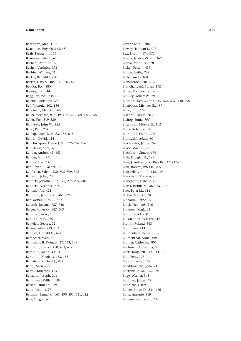#### **Name Index 813**

Bazerman, Max H., 30 Beach, Lee Roy, 90, 163, 450 Beals, Kenneth L., 35 Bearman, Peter S., 620 Bechara, Antoine, *37* Becher, Verónica, 331 Bechtel, William, 31 Becker, Benedikt, 730 Becker, Gary S., 485, 611, 616, 620 Beddor, Bob, 580 Beesley, Tom, 441 Begg, Ian, 228, 235 Beierle, Christoph, 342 Bell, Victoria, 102, 156 Bellemare, Marc G., *705* Beller, Sieghard, x, 5, 49, 177, 290, 301, 653, 655 Beller, Yael, 519–520 Belliveau, John W., *122* Bello, Paul, 234 Belnap, Nuel D., jr., 53, 188, 648 Beltrán, David, 414 Bench-Capon, Trevor J. M., 672–674, 676 Ben-David, Shai, 320 Bender, Andrea, 49, 653 Bender, Jens, 771 Bender, Lisa, 737 Ben-Eliyahu, Rachel, 320 Benferhat, Salem, 280, 308–309, 342 Bengson, John, 705 Bennett, Jonathan, 52, 177, 296–297, 604 Bennett, W. Lance, 675 Benozio, Avi, 421 Bentham, Jeremy, 48, 466, 625 Ben-Yashar, Ruth C., 587 Berendt, Bettina, 727, 740 Berger, James O., 147, 503 Bergstra, Jan A., 186 Berk, Laura E., 780 Berkeley, George, 52 Berker, Selim, 213, 702 Berman, Donald H., 674 Bernecker, Sven, 52 Bernheim, B. Douglas, 27, 543, 548 Bernoulli, Daniel, 470, 481, 487 Bernoulli, Jakob, 306, 311 Bernoulli, Nicolaus, 473, 482 Bernstein, Michael J., *487* Bertel, Sven, 729 Berto, Francesco, 413 Bertrand, Joseph, 244 Beth, Evert Willem, 186 Betsch, Tilmann, 519 Betti, Arianna, 73 Bettman, James R., 165, 490–491, 511, *512* Betz, Gregor, 761

Beveridge, M., 786 Bewley, Truman F., 497 Bex, Floris J., 674–675 Bhatia, Jaydeep-Singh, 362 Biazzo, Veronica, 278 Bickel, Peter J., 433 Biddle, Justin, 762 Biele, Guido, 168 Bienenstock, Elie, 512 Bikhchandani, Sushil, 192 Billari, Francesco C., 619 Binkley, Robert W., 39 Binmore, Ken G., 463, 467, 536–537, 540, 690 Birnbaum, Michael H., 489 Biro, John, 374 Bischoff, Tobias, 263 Bishop, Sonia, *795* Bitterman, Morton E., 102 Bjork, Robert A., 38 Björklund, Fredrik, 704 Bjorndahl, Adam, 80 Blachowicz, James, 748 Black, Max, 71, 76 Blackburn, Simon, 474 Blair, Douglas H., 595 Blair, J. Anthony, x, 367–368, 371–374 Blair, Robert James R., 705 Blaisdell, Aaron P., 442, 449 Blanchard, Thomas, x Blanchette, Isabelle, 47 Blank, Joshua M., 389, 637, 771 Blau, Peter M., 611 Blehar, Mary C., 783 Blöbaum, Bernd, 770 Block, Ned, 108, 216 Blokpoel, Mark, 34 Bloor, David, 750 Blossfeld, Hans-Peter, 619 Bluhm, Roland, 363 Blum, Ben, 443 Blumenberg, Bennett, *35* Blumenthal, Anna, *120* Blumer, Catherine, 801 Bochman, Alexander, 333 Bock, Tanja, 20, 342–343, 356 Bod, Rens, 193 Boddy, Rachel, 192 Boeddinghaus, Jona, 741 Boethius, A. M. T. S., 280 Böge, Werner, 545 Bohman, James, 753 Bohr, Niels, 109 Bolker, Ethan D., 241, 476 Bolte, Annette, 519 Boltzmann, Ludwig, 737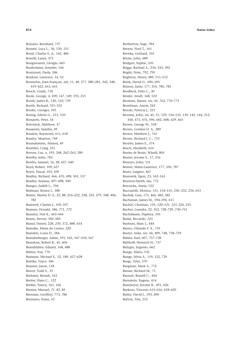Bolzano, Bernhard, 737 Bonatti, Luca L., 36, 120, 151 Bond, Charles F., jr., 162, 486 Bonelli, Laura, 373 Bongiovanni, Giorgio, 665 Bonhomme, Jennifer, 166 Bonizzoni, Paola, 186 BonJour, Laurence, 16, 52 Bonnefon, Jean-François, xiii, 11, 48, 277, 280-281, 342, 348, 419-422, 653, 655 Booch, Grady, 718 Boole, George, 4, 109, 147, 149, 193, 215 Booth, James R., 120, 122, 739 Booth, Richard, 331-332 Bordes, Georges, 595 Boring, Edwin G., 215, 510 Bossaerts, Peter, 34 Botvinick, Matthew, 37 Bouanini, Samiha, 49 Boudon, Raymond, 611, 618 Boudry, Maarten, 769 Boussahmine, Ahmed, 49 Boutilier, Craig, 331 Bovens, Luc, x, 193, 248, 262-263, 289 Bowlby, John, 783 Bowles, Samuel, 16, 28, 627, 640 Boyd, Robert, 109, 627 Boyer, Pascal, 103, 109 Bradley, Richard, 466, 470, 498, 501, 537 Bradley, Seamus, 497-498, 500 Braeges, Judith L., 704 Brafman, Ronen I., 188 Braine, Martin D. S., 22, 88, 216-222, 228, 235, 279, 348, 406, 782 Brainerd, Charles J., 105-107 Braman, Donald, 586, 771, 772 Bramley, Neil R., 443-444 Brams, Steven, 582-583 Brand, Daniel, 228, 230, 372, 488, 654 Brandão, Maria do Carmo, 220 Brandeis, Louis D., 584 Brandenburger, Adam, 191, 543, 547-550, 567 Brandom. Robert B., 45, 606 Brandstätter, Eduard, 168, 488 Bråten, Ivar, 770 Bratman, Michael E., 52, 189, 627-628 Brattka, Vasco, 186 Brauner, Jason, 118 Braver, Todd S., 35 Brehmer, Berndt, 163 Breiter, Hans C., 122 Brekke, Nancy, 161, 166 Bremer, Manuel, 71, 82, 85 Brennan, Geoffrey, 773, 786 Brentano, Franz, 52

Bretherton, Inge, 784 Brewer, Noel T., 161 Brewka, Gerhard, 333 Bricke, John, 689 Bridgers, Sophie, 105 Briggs, Rachael A., 234, 243, 392 Bright, Peter, 792, 795 Brighton, Henry, 489, 511-512 Brink, David O., 690, 695 Brisson, Janie, 177, 354, 780, 785 Brodbeck, Felix C., 30 Bröder, Arndt, 168, 522 Bromme, Rainer, xiv, 45, 762, 770-773 Bronfman, Aaron, 242 Brooks, Patricia J., 221 Broome, John, xii, 45, 51, 129, 134-135, 139, 142, 144, 212. 344, 473, 476, 596, 602, 608, 629, 665 Brown, George W., 558 Brown, Gordon D. A., 289 Brown, Matthew J., 761 Brown, Richard J. C., 753 Broyles, James E., 374 Bruch, Elizabeth, 616 Bruine de Bruin, Wändi, 805 Bruner, Jerome S., 17, 216 Brunero, John, 131 Brunet, Marie-Laurence, 177, 350, 787 Bruni, Luigino, 467 Brunswik, Egon, 23, 162-163 Brunton-Smith, Jan. 772 Brzezicka, Aneta, 122 Bucciarelli, Monica, 151, 154-155, 230, 232, 234, 653 Buchak, Lara, 175, 466, 482, 582 Buchanan, James M., 594-596, 611 Buchel, Christian, 119, 120-121, 123, 226, 235 Bucher, Leandra, 22, 352, 728-729, 730-731 Buchsbaum, Daphna, 105 Budai, Riccardo, 123 Buehner, Marc J., 444 Bueno, Orlando F. A., 735 Bueter, Anke, xiv, 44, 499, 748, 758-759 Bühler, Karl, 607, 737-738 Bülthoff, Heinrich H., 737 Bulygin, Eugenio, 662 Bunge, Mario, 535 Bunge, Silvia A., 119, 122, 729 Burge, Tyler, 370 Burgman, Mark A., 772 Burian, Richard M., 71 Burnett, Russell C., 444 Burnstein, Eugene, 414 Busemeyer, Jerome R., 491, 626 Buskens, Vincent, 615-616, 618-620 Butler, David J., 593, 690 Button, Tim, 212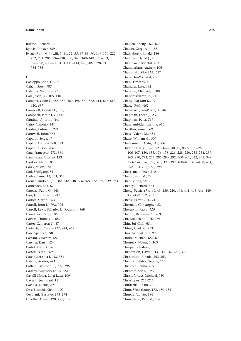Buxton, Richard, 71 Bykvist, Krister, 689 Byrne, Ruth M. J., xiii, 5, 11, 22, *33*, 87–89, *90*, 149–150, 222, 232, 234, 281, 296–298, 300, 343, 348–349, 351–353, 396–398, 405–409, 410, 411–414, 420, *421*, 728–731, 784–785

# **C**

Cacioppo, John T., 795 Cahan, Sorel, 787 Calamia, Matthew, *37* Call, Josep, 43, 105, 110 Camerer, Colin F., 485–486, 489, 495, 571–572, 614, 616–617, 620, 637 Campbell, Donald T., 102, 110 Campbell, Jamie I. C., 518 Cándido, Antonio, 441 Caño, Antonio, 441 Cantor, Joshua B., 221 Cantwell, John, 332 Caparos, Serge, 47 Caplin, Andrew, 568, 573 Capon, Alison, 786 Cara, Francesco, 273, 361 Caramazza, Alfonso, 123 Cardon, Alain, 188 Carey, Susan, 151 Carl, Wolfgang, 81 Carles, Laure, 13, 351, 355 Carnap, Rudolf, 5, 19, 82, 242, 248, 266–268, 272, 274, 339, 523 Carneades, 663, 672 Carozza, Paolo G., 665 Carr, Jennifer Rose, 213 Carrier, Martin, 763 Carroll, John B., 792, 796 Carroll, Lewis (Charles L. Dodgson), 369 Carruthers, Peter, 106 Carson, Thomas L., 689 Carter, Cameron S., 37 Cartwright, Nancy, 427, 444, 452 Case, Spencer, 690 Cassam, Quassim, 586 Cassirer, Ernst, 124 Castel, Alan D., 36 Castell, Sarah, 769 Cate, Christina L., 13, 351 Catena, Andrés, 441 Cattell, Raymond B., 792, 796 Cauchy, Augustin-Louis, 722 Cavalli-Sforza, Luigi Luca, 109 Caverni, Jean-Paul, 151 Caviola, Lucius, *702* Cesa-Bianchi, Nicolò, 107 Cevolani, Gustavo, 273–274 Chadha, Angad, 120, *122*, 739

Chaiken, Shelly, 162, 167 Chaitin, Gregory J., 155 Chakraborty, Pinaki, 186 Chalmers, David J., 9 Chalupka, Krzysztof, 263 Chamberlain, Andrew, 106 Chammah, Albert M., 627 Chan, Hoi-Yee, 704, *706* Chan, Timothy, 16 Chandler, Jake, 332 Chandler, Michael J., 780 Chandrasekaran, B., 717 Chang, Kai-Min K., 29 Chang, Ruth, 462 Changeux, Jean-Pierre, 33, *40* Chapman, Loren J., 233 Chapman, Peter, 717 Charalambides, Laetitia, 655 Charlton, Anne, *769* Chase, Valerie M., 454 Chase, William G., 507 Chateauneuf, Alain, 313, 502 Chater, Nick, xii, 5–6, 12, 21–22, 40, 47, 88, 91, 93–96, 106–107, 150, 153, 176–178, 221, 228, 230, 233–234, 239, 263, 270, *271*, 277, 285–290, 292, 300–301, 342, 344, 349, 353–354, 356, 368, 373, 395, 397, 400–401, 405–408, 454, 652, 654, 767, 782, 798 Cheeseman, Peter, 310 Chein, Jason M., 793 Chen, Yiling, *585* Cheney, Richard, 364 Cheng, Patricia W., 40, 43, 156, 220, 406, 441–443, 446, 449, 451–452, 652, 783 Cheng, Peter C.-H., 716 Cherniak, Christopher, 83 Cherubini, Paolo, *120* Cheung, Benjamin Y., 769 Chi, Michelene T. H., 769 Chin, Jui-Chih, 654 Chinn, Clark A., 773 Choi, Incheol, 801, *802* Cholbi, Michael, 689–690 Chomsky, Noam, 1, 103 Choquet, Gustave, 306 Christensen, David, 243–244, 246, 248, 338 Christmann, Ursula, 362–363 Christodoulides, George, 166 Christoff, Kalina, *729* Christoff, Zoé L., 192 Christoforides, Michael, 780 Chrysippus, 215–216 Chuderski, Adam, 795 Chun, Woo Young, 178, 180–181 Church, Alonzo, 186 Churchland, Paul M., 102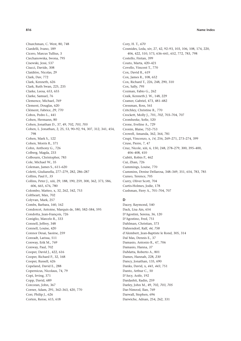Churchman, C. West, 80, 748 Ciardelli, Ivano, 189 Cicero, Marcus Tullius, 3 Ciechanowska, Iwona, 795 Cisewski, Jessi, 537 Ciucci, Davide, 308 Claidière, Nicolas, 29 Clark, Dav, 772 Clark, Kenneth, 626 Clark, Ruth Swan, 225, 235 Clarke, Leesa, 653, 655 Clarke, Samuel, 76 Clemence, Michael, *769* Clement, Douglas, 620 Clément, Fabrice, *29*, *770* Cobos, Pedro L., 441 Cohen, Hermann, 80 Cohen, Jonathan D., 37, 49, 702, *703*, *705* Cohen, L. Jonathan, 2, 25, 53, 90–92, 94, 307, 312, 341, 454, 798 Cohen, Mark S., 122 Cohen, Morris R., 371 Cohn, Anthony G., 726 Colberg, Magda, 233 Colbourn, Christopher, 783 Cole, Michael W., 35 Coleman, James S., 611–620 Coletti, Giulianella, 277–279, 282, 286–287 Collins, Paul F., *35* Collins, Peter J., xiii, 29, 188, 190, 259, 300, 362, 373, 586, 606, 665, 676, 780 Colombo, Matteo, x, 32, 262, 342, 753 Coltheart, Max, 702 Colyvan, Mark, 257 Combs, Barbara, 160, 162 Condorcet, Antoine, Marquis de, 580, 582–584, 595 Condotta, Jean-François, 726 Coniglio, Marcelo R., 333 Connell, Jeffrey, 348 Connell, Louise, 420 Connor Desai, Saoirse, 259 Conradt, Larissa, 511 Conway, Erik M., 769 Conway, Paul, 702 Cooper, David J., 422, 616 Cooper, Richard P., 32, 168 Cooper, Russell, 626 Copeland, David E., 288 Copernicus, Nicolaus, 74, 79 Copi, Irving, 371 Copp, David, 689 Corcoran, John, 367 Corner, Adam, 291, 362–363, 420, 770 Corr, Philip J., 626 Corten, Rense, 615, 618

Cory, H. T., *670* Cosmides, Leda, xiv, 27, 42, 92–93, 103, 106, 108, 174, 220, 406, 422, 510, 573, 636–641, 652, 772, 783, 798 Costello, Fintan, 399 Couto, Marta, 420–421 Covello, Vincent T., 770 Cox, David R., 619 Cox, James R., 108, 652 Cox, Richard T., 226, 248, 290, 310 Cox, Sally, *795* Cozman, Fabio G., 262 Craik, Kenneth J. W., 148, 229 Cramer, Gabriel, 473, 481–482 Cressman, Ross, 561 Critchley, Christine R., 770 Crockett, Molly J., 701, *702*, 703–704, 707 Cromheeke, Sofie, 520 Crone, Eveline A., 729 Cronin, Blaise, 752–753 Crowell, Amanda, 362, 364, 781 Crupi, Vincenzo, x, *14*, 256, 269–271, 273–274, 399 Cruse, Pierre, 7, 47 Cruz, Nicole, xiii, 6, 150, 248, 278–279, 300, 395–400, 406–408, 410 Cubitt, Robin P., 462 Cui, Zhan, 726 Cummings, Louise, 770 Cummins, Denise Dellarosa, 348–349, 351, 654, 783, 785 Cuneo, Terence, 705 Curry, Oliver Scott, 704 Curtis-Holmes, Jodie, 178 Cushman, Fiery A., 701–704, 707

# **D**

Dacey, Raymond, 540 Dack, Lisa Ain, 654 D'Agostini, Serena, 36, 120 D'Agostino, Fred, 751 Dahlman, Christian, 373 Dahrendorf, Ralf, *44*, *758* d'Alembert, Jean-Baptiste le Rond, 305, 314 Dal Mas, Dennis E., 37 Damasio, Antonio R., 47, 706 Damasio, Hanna, *37* DaMatta, Roberto A., 801 Dames, Hannah, 228, *230* Dancy, Jonathan, 135, 690 Danks, David, x, *441*, *443*, 751 Danto, Arthur C., 50 D'Arcy, Aoife, 192 Dardashti, Radin, 259 Darley, John M., 49, 702, *703*, *705* Dar-Nimrod, Ilan, 769 Darwall, Stephen, 696 Darwiche, Adnan, 254, 262, 331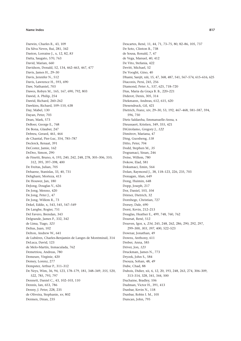Darwin, Charles R., 43, 109 Da Silva Neves, Rui, 281, 342 Daston, Lorraine J., x, 12, 82, 83 Datta, Saugato, 570, 763 David, Marian, 660 Davidson, Donald, 52, 134, 462-463, 467, 477 Davis, James H., 29-30 Davis, Jennifer N., 512 Davis, Lawrence H., 593, 690 Daw, Nathaniel, 703 Dawes, Robyn M., 165, 167, 690, 792, 803 Dawid, A. Philip, 254 Dawid, Richard, 260-262 Dawkins, Richard, 109-110, 638 Day, Mabel, 130 Davan, Peter, 703 Dean, Mark, 573 DeBoer, George E., 768 De Bona, Glauber, 247 Debreu, Gerard, 461, 464 de Chantal, Pier-Luc, 354, 785-787 Declerck, Renaat, 391 DeCoster, Jamie, 162 DeDeo, Simon, 290 de Finetti, Bruno, 6, 193, 240, 242, 248, 278, 305-306, 310, 312, 395, 397-398, 400 De Freitas. Julian. 705 Dehaene, Stanislas, 33, 40, 731 Dehghani, Morteza, 413 De Houwer, Jan, 180 DeJong, Douglas V., 626 De Jong, Menno, 420 De Jong, Peter J., 47 De Jong, Willem R., 73 Dekel, Eddie, x, 543, 545, 547-549 De Langhe, Rogier, 751 Del Favero, Brendan, 343 Delgrande, James P., 332, 342 de Lima, Tiago, 323 Delius, Juan, 102 Delton, Andrew W., 641 de Lubières, Charles-Benjamin de Langes de Montmirail, 314 DeLuca, David, 123 de Melo-Martín, Inmaculada, 762 Demetriou, Andreas, 780 Demeure, Virginie, 420 Demey, Lorenz, 277 Dempster, Arthur P., 311-312 De Neys, Wim, 36, 94, 123, 178-179, 181, 348-349, 355, 520, 522, 785, 793, 797 Dennett, Daniel C., 43, 102-103, 110 Dennis, Ian, 653, 786 Denny, J. Peter, 228, 235 de Oliveira, Stephanie, xv, 802 Dermen, Diran, 235

Descartes, René, 11, 44, 71, 73-75, 80, 82-86, 105, 737 De Soto, Clinton B., 738 de Sousa, Ronald, 7, 47 de Vega, Manuel, 40, 412 De Vito, Stefania, 422 Devitt, Michael, 52 De Vooght, Gino, 40 Dhami, Sanjit, xiii, 15, 47, 368, 487, 541, 567-574, 615-616, 625 Diaconis, Persi, 245, 256 Diamond, Peter A., 537, 625, 718-720 Dias, Maria da Graça B. B., 220-221 Diderot, Denis, 305, 314 Diekmann, Andreas, 612, 615, 620 Diesendruck, Gil, 421 Dietrich, Franz, xiv, 29-30, 53, 192, 467-468, 581-587, 594, 596 750 Dietz Saldanha, Emmanuelle-Anna, x Dieussaert, Kristien, 349, 355, 421 DiGirolamo, Gregory J., 122 Dimitrov, Mariana, 47 Ding, Guosheng, 118 Ditto, Peter, 704 Dodd, Stephen M., 35 Dogramaci, Sinan, 246 Doise, Willem, 780 Dokow, Elad, 581 Dokumaci. Emin. 564 Dolan, Raymond J., 38, 118-123, 226, 235, 703 Donagan, Alan, 649 Dong, Huimin, 648 Dopp, Joseph, 217 Dor, Daniel, 103, 104 Dörner, Dietrich, 32 Dornhege, Christian, 727 Dorsey, Dale, 690 Dorst, Kevin, 212-213 Douglas, Heather E., 499, 748, 760, 762 Doursat, René, 512 Douven, Igor, x, 234, 245, 248, 262, 286, 290, 292, 297, 299-300, 303, 397, 400, 522-523 Downar, Jonathan, 49 Downs, Anthony, 611 Dreber, Anna, 585 Driver, Jon, 123 Druckman, James N., 773 Dryzek, John S., 584 Dsouza, Sohan, 48, 49 Dube, Chad, 88 Dubois, Didier, xii, 6, 12, 20, 193, 248, 263, 274, 306-309, 313-314, 328, 341, 344, 500 Duchaine, Bradley, 106 Dudman, Victor H., 391, 413 Dunbar, Kevin N., 118 Dunbar, Robin I. M., 105 Duncan, John, 795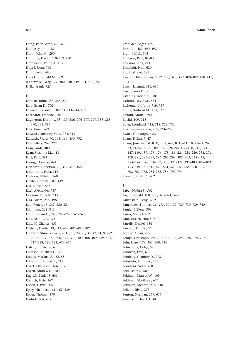Dung, Phan Minh, 671-673 Dunlosky, John, 38 Dunn, John C., 290 Dunning, David, 518-519, 770 Dunwoody, Philip T., 165 Dupré, John, 763 Dutt, Varun, 490 Dworkin, Ronald M., 669 d'Ydewalle, Géry, 177, 302, 348-349, 354, 406, 785 Dylla, Frank, 727

## E

Earman, John, 257, 268, 271 Earp, Brian D., 702 Easwaran, Kenny, 210-213, 243-244, 482 Eberhardt. Frederick. 263 Edgington, Dorothy, 95, 139, 286, 296-297, 299, 353, 388, 390, 395, 397 Edis, Taner, 769 Edwards, Anthony W. F., 274, 314 Edwards, Ward, 90, 163, 166, 450, 792 Eells, Ellery, 269, 272 Egan, Andy, 480 Egan, Suzanne M., 411 Egré, Paul, 391 Ehring, Douglas, 441 Eichhorn, Christian, 20, 342-343, 356 Eimontaite, Iveta, 118 Einhorn. Hillel I., 168 Einstein, Albert, 109, 149 Eisele, Theo, 545 Eitel, Alexander, 737 Ekstrom, Ruth B., 233 Elga, Adam, 246, 498 Elio, Renée, 13, 347, 350-351 Elkin, Lee, 262, 342 Elliott, Kevin C., 248, 758-759, 761-763 Ellis, Alan L., 29-30 Ellis, M. Charles, 653 Ellsberg, Daniel, 19, 311, 489, 495-498, 502 Elgayam, Shira, xiii-xiv, 2, 11, 18, 24, 26, 38, 47, 51, 91-92, 95-96, 117, 277, 300, 395, 398, 400, 408-409, 419, 421, 517-518, 520-523, 654-655 Elster, Jon, 16, 82, 618 Emerson, Michael J., 37 Enders, Markus, 71, 82, 85 Enderton, Herbert B., 212 Engel, Christoph, 166, 665 Engell, Andrew D., 702 Engisch, Karl, 48, 661 Englich, Birte, 167 Enoch, David, 705 Epley, Nicholas, 161, 167, 289 Epper, Thomas, 570 Epstude, Kai, 405

Erdfelder, Edgar, 175 Erev, Ido, 489-490, 492 Ergin, Haluk, 503 Erickson, Paul, 82-83 Eriksson, Lina, 241 Ermakoff, Ivan, 620 Ert, Eyal, 490, 689 Espino, Orlando, xiii, 5, 22, 150, 348, 353, 408-409, 410, 412, 414 Esser, Hartmut, 611, 616 Esser, James K., 30 Esterling, Kevin M., 584 Estlund, David M., 581 Etchemendy, John, 719, 737 Etling, Kathryn M., 161, 166 Etzioni, Amitai, 792 Euclid, 109, 715 Euler, Leonhard, 715, 718, 722, 736 Eva, Benjamin, 256, 259, 261-262 Evans, Christopher, 82 Evans, Dylan, 7, 47 Evans, Jonathan St. B. T., xi, 2, 4-5, 8, 10-11, 18, 23-24, 26, 33, 51-52, 71, 80, 82, 87-92, 94-95, 106-108, 117, 121, 147, 149, 159, 173-176, 178-181, 221, 228-229, 234, 274, 279, 281, 286-287, 296, 298-299, 302, 303, 348-349, 353-354, 356, 361-362, 389, 395-397, 399-400, 405-409, 413, 419-421, 518, 520-521, 523, 651-655, 660, 665, 702-703, 772, 781-782, 786, 792-794 Everett, Jim A. C., 702

# F

Faber, Nadira S., 702 Fagin, Ronald, 188, 190, 320-321, 540 Fallenstein, Benja, 510 Fangmeier, Thomas, 36, 41, 120, 122, 729-730, 739-740 Fargier, Hélène, 308 Farias, Miguel, 702 Faro, José Heleno, 502 Farrelly, Daniel, 654 Fawcett, Tim W., 510 Feeney, Aidan, 289 Fehige, Christoph, xiv, 9, 17, 48, 133, 593, 625, 689, 707 Fehr, Ernst, 179, 181, 568, 616 Fehr-Duda, Helga, 570 Feinberg, Fred, 616 Feinberg, Geoffrey D., 773 Feinstein, Jeffrey A., 795 Feinstein, Noah, 768 Feld, Scott L., 584 Feldman, Marcus W., 109 Feldman, Martha S., 675 Feldman, Richard, 246, 248 Felletti, Silvia, 373 Fenton, Norman, 259, 675

Ference, Richard, 1, 30

## 818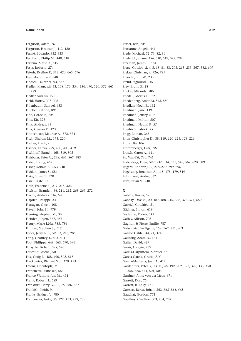Ferguson, Adam, 76 Ferguson, Heather J., 412, 420 Fermé, Eduardo, 332-333 Fernbach, Philip M., 440, 518 Ferreira, Mário B., 519 Festa, Roberto, 274 Feteris, Eveline T., 373, 420, 665, 676 Feyerabend, Paul, 748 Fiddick, Laurence, 93, 637 Fiedler, Klaus, xii, 53, 168, 176, 354, 454, 490, 520, 572, 665, 779 Fiedler, Susann, 491 Field, Hartry, 207-208 Fillenbaum, Samuel, 653 Fincher, Katrina, 805 Fine. Cordelia. 705 Fine, Kit, 323 Fink, Andreas, 35 Fink, Gereon R., 123 Finocchiaro, Maurice A., 372, 374 Fisch, Shalom M., 175, 220 Fischer, Frank, x Fischer, Katrin, 299, 400, 409, 410 Fischhoff, Baruch, 168, 519, 805 Fishburn, Peter C., 248, 465, 567, 583 Fisher, Irving, 467 Fisher, Ronald A., 553, 748 Fishkin, James S., 584 Fiske. Susan T., 520 Fissell, Kate, 37 Fitch, Frederic B., 217-218, 323 Fitelson, Branden, 14, 211, 212, 268-269, 272 Flache, Andreas, 616, 620 Flajolet, Philippe, 34 Flanagan, Owen, 108 Flavell, John H., 779 Fleming, Stephen M., 38 Flender, Jürgen, 362, 363 Fleury, Marie-Léda, 785, 786 Flitman, Stephen S., 118 Fodor, Jerry A., 9, 52, 93, 216, 285 Fong. Geoffrey T., 803-804 Foot, Philippa, 649, 663, 690, 696 Forsythe, Robert, 585, 626 Foucault, Michel, 50 Fox, Craig R., 488, 490, 502, 518 Frackowiak, Richard S. J., 120, 123 Fraenz. Christoph. 35 Franchetti, Francisco, 564 Franco-Watkins, Ana M., 491 Frank, Robert H., 689 Frankfurt, Harry G., 38, 75, 586, 627 Frankish, Keith, 94 Franks, Bridget A., 780 Franzmeier, Imke, 36, 122, 123, 729, 739

Fraser, Ben, 705 Fratianne, Angela, 441 Frede, Michael, 72-73, 82, 84 Frederick, Shane, 354, 510, 519, 522, 799 Freeman, James P., 374 Frege, Gottlob, 2, 4-5, 18, 81-83, 203, 215, 233, 367, 382, 609 Freksa, Christian, x, 726, 727 French, John W., 233 Freud, Sigmund, 215 Frey, Bruno S., 28 Fricker, Miranda, 586 Friedell, Morris F., 322 Friedenberg, Amanda, 543, 550 Friedkin, Noah E., 192 Friedman, Jane, 139 Friedman. Jeffrey. 619 Friedman, Milton, 507 Friedman, Naomi P., 37 Friedrich, Patrick, 35 Frigg, Roman, 263 Frith, Christopher D., 38, 119, 120-121, 123, 226 Frith, Uta, 106 Frommberger, Lutz, 727 Frosch, Caren A., 411 Fu, Wai-Tat, 730, 741 Fudenberg, Drew, 529, 532, 534, 537, 549, 567, 620, 689 Fugard, Andrew J. B., 278-279, 299, 396 Fugelsang, Jonathan A., 118, 175, 179, 519 Fuhrmann, André, 332 Funt, Brian V., 740

# $\epsilon$

Gabaix, Xavier, 570 Gabbay, Dov M., 20, 187-188, 215, 368, 373-374, 659 Gabriel, Gottfried, 51 Gächter, Simon, 619 Gadenne, Volker, 541 Gaffey, Allison, 703 Gagnon-St-Pierre, Émilie, 787 Gaissmaier, Wolfgang, 159, 167, 511, 803 Galileo Galilei, 44, 74, 374 Galinsky, Adam D., 161 Galles, David, 429 Ganis, Giorgio, 739 García-Carpintero, Manuel, 52 Garcia Garcia, Grecia, 716 García-Madruga, Juan A., 412 Gärdenfors, Peter, x, 13, 40, 46, 192, 202, 327, 329, 333, 350, 355, 356, 444, 501, 503 Gardner, Anne von der Lieth, 671 Garrett, Don, 75 Garrett, R. Kelly, 771 Garssen, Bertus Johan, 362, 363-364, 665 Gauchat, Gordon, 771 Gauffroy, Caroline, 303, 784, 787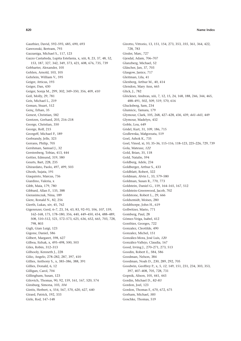Gauthier, David, 592-593, 685, 690, 693 Gawronski, Bertram, 793 Gazzaniga, Michael S., 117, 123 Gazzo Castañeda, Lupita Estefania, x, xiii, 8, 23, 37, 48, 52, 153, 187, 327, 342, 349, 373, 421, 608, 676, 735, 739 Gebharter, Alexander, 105 Gehlen, Arnold, 103, 105 Gehrlein, William V., 595 Geiger, Atticus, 193 Geiger, Dan, 430 Geiger, Sonja M., 299, 302, 349-350, 356, 409, 410 Geil, Molly, 29, 781 Geis, Michael L., 219 Geman, Stuart, 512 Genç, Erhan, 35 Genest. Christian. 582 Gentzen, Gerhard, 203, 216-218 George, Christian, 350 George, Rolf, 215 Georgeff, Michael P., 189 Gerbrandy, Jelle, 323 Gerrans, Philip, 705 Gershman, Samuel J., 32 Gerstenberg, Tobias, 413, 444 Gettier, Edmund, 319, 580 Geurts, Bart, 228, 235 Ghirardato, Paolo, 497, 499, 503 Ghosh, Sujata, 191 Giaquinto, Marcus, 736 Giardino, Valeria, x Gibb, Maia, 179, 780 Gibbard, Allan F., 135, 388 Gierasimczuk, Nina, 189 Giere, Ronald N., 82, 256 Gierth, Lukas, xiv, 45, 762 Gigerenzer, Gerd, 6-7, 23, 34, 43, 83, 92-93, 106, 107, 159, 162-168, 175, 178-180, 356, 440, 449-450, 454, 488-489, 508, 510-512, 521, 572-573, 625, 636, 652, 665, 703, 728, 798, 803 Gigli, Gian Luigi, 123 Gigone, Daniel, 586 Gilbert, Margaret, 598, 627 Gilboa, Itzhak, x, 495-498, 500, 503 Giles, Robin, 312-313 Gilhooly, Kenneth J., 228 Gilio, Angelo, 278-282, 287, 397, 410 Gillies, Anthony S., x, 385-386, 388, 391 Gillies. Donald. 6. 12 Gilligan, Carol, 704 Gillingham, Susan, 123 Gilovich, Thomas, 90, 92, 159, 161, 167, 520, 574 Ginsburg, Simona, 103, 104 Gintis, Herbert, x, 554, 567, 570, 620, 627, 640 Girard, Patrick, 192, 333 Girle, Rod, 147-148

Girotto, Vittorio, 13, 151, 154, 273, 353, 355, 361, 364, 422, 728.783 Gissler, Marc, 727 Gjesdal, Adam, 706-707 Glanzberg, Michael, 52 Gläscher, Jan, 37, 703 Glasgow, Janice, 717 Gleitman, Lila, 41 Glenberg, Arthur M., 40, 414 Glendon, Mary Ann, 665 Glick, J., 782 Glöckner, Andreas, xiii, 7, 12, 15, 24, 168, 188, 246, 344, 465, 488-491, 502, 509, 519, 570, 616 Glucksberg, Sam, 234 Glumicic, Tamara, 179 Glymour, Clark, 105, 268, 427-428, 436, 439, 441-443, 449 Glymour, Madelyn, 432 Goble, Lou, 649 Gödel, Kurt, 31, 109, 186, 715 Godlewska, Małgorzata, 519 Goel, Ashok K., 735 Goel, Vinod, xi, 10, 35-36, 115-116, 118-123, 225-226, 729, 739 Gola, Mateusz, 122 Gold, Brian, 35, 118 Gold, Natalie, 594 Goldberg, Adele, 234 Goldberger, Arthur S., 433 Goldblatt, Robert, 322 Goldman, Alvin I., 33, 579-580 Goldman, Susan R., 770, 773 Goldstein, Daniel G., 159, 164-165, 167, 512 Goldstein-Greenwood, Jacob, 702 Goldstone, Robert L., 29, 666 Goldszmidt, Moises, 280 Goldthorpe, John H., 619 Gollwitzer, Mario, 771 Gomberg, Paul, 28 Gómez-Veiga, Isabel, 412 Gonthier, Georges, 722 Gonzalez, Cleotilde, 490 Gonzalez, Michel, 151 González-Mora, José Luis, 120 González-Vallejo, Claudia, 167 Good, Irving J., 270-271, 273, 513 Goodin, Robert E., 584, 586 Goodman, Nelson, 384 Goodman, Noah D., 230, 289, 292, 705 Goodwin, Geoffrey P., x, 5, 12, 149, 151, 231, 234, 303, 353, 397, 407-408, 705, 728, 731 Gopnik, Alison, 105, 441, 443 Gordin, Michael D., 82-83 Gordon, Joel, 123 Gordon, Thomas F., 670, 672, 675 Gorham, Michael, 585 Goschke, Thomas, 519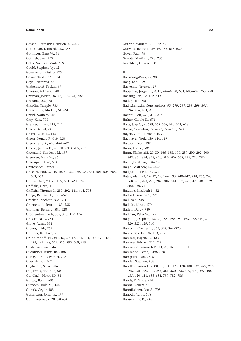Gossen, Hermann Heinrich, 465-466 Gottesman, Leonard, 233, 235 Gottinger, Hans W., 34 Gottlieb, Sara, 773 Gotts, Nicholas Mark, 689 Gould, Stephen Jay, 42 Governatori, Guido, 675 Govier, Trudy, 371, 374 Goyal, Namrata, 655 Grabenhorst, Fabian, 37 Graesser, Arthur C., 40 Grafman, Jordan, 36, 47, 118-121, 122 Graham, Jesse, 704 Grandin, Temple, 735 Granovetter, Mark S., 617-618 Gratzl. Norbert. 648 Gray, Kurt, 703 Greaves, Hilary, 213, 244 Greco, Daniel, 246 Green, Adam E., 118 Green, Donald P., 619-620 Green, Jerry R., 463, 464, 467 Greene, Joshua D., 49, 701-703, 705, 707 Greenland, Sander, 432, 437 Greenlee, Mark W., 36 Greenspan, Alan, 574 Greifeneder. Rainer. 38 Grice, H. Paul, 29, 45-46, 52, 83, 286, 290, 391, 601-603, 605, 609.653 Griffin, Dale, 90, 92, 159, 501, 520, 574 Griffiths, Oren, 441 Griffiths, Thomas L., 289, 292, 441, 444, 705 Griggs, Richard A., 108, 652 Groeben, Norbert, 362, 363 Groenendijk, Jeroen, 189, 388 Grofman, Bernard, 584, 620 Grootendorst, Rob, 362, 370, 372, 374 Grosset, Nelly, 784 Grove, Adam, 331 Groves, Trish, 752 Gründer, Karlfried, 51 Grüne-Yanoff, Till, xiii, 15, 20, 47, 241, 331, 468-470, 473-474, 497-498, 512, 535, 595, 608, 629 Guala, Francesco, 467 Guenthner, Franz, 187-188 Guesgen, Hans Werner, 726 Guez, Arthur, 507 Guglielmo, Steve, 706 Gul, Faruk, 467-468, 503 Gundlach, Horst, 80, 84 Gurcay, Burcu, 805 Gureckis, Todd M., 444 Gürerk, Özgür, 103 Gustafsson, Johan E., 477 Güth, Werner, x, 28, 540-541

Guthrie, William C. K., 72, 84 Gutwald, Rebecca, xiv, 49, 135, 615, 630 Guver, Paul, 78 Guyote, Martin J., 228, 235 Güzeldere, Güven, 108

### $H$

Ha, Young-Won, 92, 98 Haag, Karl, 659 Haavelmo, Trygve, 427 Habermas, Jürgen, 5, 9, 17, 44-46, 50, 601, 605-609, 753, 758 Hacking, Ian, 12, 152, 513 Hadar, Liat, 490 Hadjichristidis, Constantinos, 95, 279, 287, 298, 299, 302, 396, 400, 401, 413 Haenni, Rolf. 277, 312, 314 Hafner, Carole D., 674 Hage, Jaap C., x, 659, 665-666, 670-671, 673 Hagen, Cornelius, 726-727, 729-730, 740 Hagen, Gottlob Friedrich, 79 Hagmayer, York, 439-444, 449 Hagoort, Peter, 192 Hahn, Robert, 585 Hahn, Ulrike, xiii, 29-30, 166, 188, 190, 259, 290-292, 300, 343, 361-364, 373, 420, 586, 606, 665, 676, 770, 780 Haidt, Jonathan, 704-705 Haigh. Matthew. 420-422 Hailperin, Theodore, 277 Hájek, Alan, xii, 14, 17, 19, 144, 193, 240-242, 248, 256, 263, 268, 271, 274, 278, 287, 306, 344, 392, 473, 475, 481, 529, 582, 630, 747 Haldane, Elizabeth S., 82 Halford, Graeme S., 728 Hall, Ned. 248 Halldén, Sören, 470 Hallett, Darcy, 780 Halligan, Peter W., 123 Halpern, Joseph Y., 12, 20, 188, 190-191, 193, 262, 310, 314, 320-323, 429, 540 Hamblin, Charles L., 362, 367, 369-370 Hamburger, Kai, 36, 123, 739 Hammel, Eugene A., 433 Hammer, Eric M., 717-718 Hammond, Kenneth R., 23, 93, 163, 511, 801 Hammond, Peter J., 498, 670 Hampton, Jean, 77, 84 Handel, Stephen, 738 Handley, Simon L. x, 88, 95, 108, 175, 178-180, 232, 279, 286. 296, 298-299, 302, 354, 361, 362, 396, 400, 406, 407, 408, 413, 420-421, 653-654, 739, 782, 786 Hands, D. Wade, 467 Hanna, Robert, 83 Hannikainen, Ivar A., 703 Hanoch, Yaniv, 508 Hansen, Eric K., 118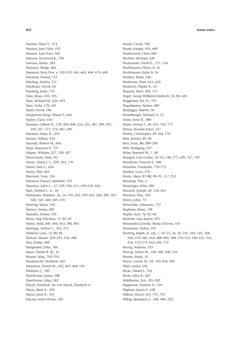Hansen, Hans V., 374 Hansen, Jens Ulrik, 192 Hansen, Lars Peter, 502 Hanson, Norwood R., 748 Hanson, Robin, 585 Hansson, Bengt, 466 Hansson, Sven Ove, x, 330-333, 461-463, 468, 470, 648 Haraway, Donna, 751 Harding, Sandra, 751 Hardman, David, 24 Hardwig, John, 770 Hare, Brian, 103, 105 Hare, Richard M., 626, 693 Hare, Todd, 179, 181 Harel, David, 186 Hargreaves-Heap, Shaun P., 626 Harley, Clare, 654 Harman, Gilbert H., 139, 206-208, 216, 235, 287, 289, 291, 350, 367, 371, 374, 687, 690 Harman, Harry H., 233 Harner, Hillary, 234 Harnish, Robert M., 606 Harp, Shannon F., 737 Harper, William, 327, 330, 427 Harrenstein, Paul, 191 Harris, Adam J. L., 259, 363, 770 Harris, Paul L., 654 Harris, Phil, 665 Harrison, Tony, 234 Harrison-Trainor, Matthew, 193 Harsanyi, John C., 27, 529, 544, 611, 618-619, 626 Hart, Herbert L. A., 18 Hartmann, Stephan, xii, 14, 193, 256, 259-263, 268, 289, 301, 340, 342, 440, 449, 676 Hartwig, Maria, 162 Haruvy, Ernan, 490 Hassabis, Demis, 705 Hasse, Dag Nikolaus, 71, 82, 85 Hastie, Reid, 440, 444, 453, 586, 803 Hastings, Arthur C., 363, 373 Hatfield, Gary, 74, 80, 84 Hattori, Masasi, 229-231, 234, 288 Hau, Robin, 490 Haugeland, John, 186 Haun, Daniel B. M., 41 Hauser, Marc, 702-703 Hausknecht, Matthew, 445 Hausman, Daniel M., 452, 467-468, 536 Hawkins, J., 782 Hawthorne, James, 280 Hawthorne, John, 582 Hayek, Friedrich. See von Hayek, Friedrich A. Hayes, Brett K., 290 Hayes, John R., 351 Haynes, John-Dylan, 120

Hazan, Cindy, 784 Heath, Joseph, 595, 609 Heathwood, Chris, 689 Hechter, Michael, 620 Heckerman, David E., 271, 310 Heckhausen, Heinz, 8, 16 Heckhausen, Jutta, 8, 16 Hedden, Brian, 246 Hedström, Peter, 615, 620 Heekeren, Hauke R., 23 Hegarty, Mary, 302, 717 Hegel, Georg Wilhelm Friedrich, 50, 80, 626 Heggestad, Eric D., 795 Hegselmann, Rainer, 689 Heidegger, Martin, 50 Heidelberger, Michael, 6, 12 Heim, Irene R., 388 Heine, Steven J., 49, 655, 769, 771 Heiner, Ronald Asher, 537 Heintz, Christophe, 29, 364, 770 Heis, Jeremy, 80, 84 Heit, Evan, 88, 289-290 Hell, Wolfgang, 637 Helm, Bennett W., 7, 48 Hempel, Carl Gustav, 52-53, 148, 271, 620, 747, 750 Hendricks, Vincent F., 188 Hendriks. Friederike. 770-771 Henkin, Leon, 370 Henle, Mary, 87-88, 90-91, 117, 215 Henning, Tim, x Henninger, Felix, 490 Henrich, Joseph, 49, 110, 655 Henrion, Max, 343 Henry, John, 73 Hentschke, Johannes, 772 Hepburn, Brian, 748 Hepfer, Karl, 76, 82, 84 Herbold, Ann-Katrin, 491 Hernández-Lloreda, María Victoria, 105 Herrmann, Esther, 105 Hertwig, Ralph, ix, xiii, 7, 10, 15, 24, 34, 101, 162, 165, 168, 246, 274, 440, 454, 488-490, 508, 510-513, 520-521, 523, 554. 572-573. 616. 636. 772 Herzig, Andreas, 323 Herzog, Stefan M., 168, 490, 508, 510 Hewitt, Emily, 35 Heyes, Cecilia M., 42, 103-104, 106 Hiatt, Laura, 234 Hicks, Daniel J., 762 Hicks, John R., 467 Hiddleston, Eric, 391-392 Higginson, Andrew D., 510 Higham, James P., 638 Hilbert, David, 523, 715, 735 Hilbig, Benjamin E., 168, 480, 522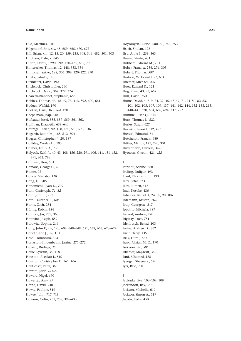Hild, Matthias, 340 Hilgendorf, Eric, xiv, 48, 659, 665, 670, 672 Hill, Brian, xiii, 12, 15, 20, 159, 235, 308, 344, 482, 501, 503 Hilpinen, Risto, x, 645 Hilton, Denis J., 290, 292, 420-421, 655, 793 Hinterecker, Thomas, 12, 148, 353, 356 Hintikka, Jaakko, 188, 305, 308, 320-322, 370 Hirata, Satoshi, 110 Hirshleifer, David, 192 Hitchcock, Christopher, 240 Hitchcock, David, 367, 372, 374 Hoareau-Blanchet, Stéphanie, 655 Hobbes, Thomas, 43, 48-49, 73, 413, 592, 620, 661 Hodges, Wilfrid, 190 Hoeken, Hans, 363, 364, 420 Hoepelman, Jaap, 648 Hofbauer, Josef, 555, 557, 559, 561-562 Hoffman, Elizabeth, 639-640 Hoffrage, Ulrich, 92, 168, 450, 510, 573, 636 Hogarth, Robin M., 168, 512, 804 Hogger, Christopher J., 20, 187 Holliday, Wesley H., 193 Holmes, Emily A., 738 Holyoak, Keith J., 40, 43, 108, 156, 220, 291, 406, 441, 451-452, 491, 652, 783 Holzman, Ron, 581 Homans, George C., 611 Homer, 72 Honda, Manabu, 118 Hong, Lu, 585 Honomichl, Ryan D., 729 Horn, Christoph, 71, 82 Horn, John L., 792 Horn, Laurence R., 605 Horne, Zach, 234 Hörnig, Robin, 354 Hornikx, Jos, 259, 363 Horovitz, Joseph, 659 Horowitz, Sophie, 246 Horty, John F., xiv, 190, 608, 648-649, 651, 659, 665, 673-674 Horvitz, Eric J., 32, 310 Hoshi, Tomohiro, 323 Hosiasson-Lindenbaum, Janina, 271-272 Hossiep, Rüdiger, 35 Houle, Sylvain, 35, 118 Houston, Alasdair I., 510 Houston, Christopher E., 161, 166 Houtlosser, Peter, 363 Howard, John V., 690 Howard, Nigel, 690 Howerter, Amy, 37 Howie, David, 748 Howie, Pauline, 519 Howse, John, 717-718 Howson, Colin, 257, 289, 399-400

Hoyningen-Huene, Paul, 82, 749, 753 Hsieh, Shulan, 178 Hsu, Anne S., 259, 363 Huang, Yimin, 431 Hubbard, Edward M., 731 Huber, Franz, x, 256, 274, 305 Hubert, Thomas, 507 Hudson, W. Donald, 77, 654 Huemer, Michael, 705 Huey, Edward D., 121 Hug, Klaus, 43, 93, 652 Hull, David, 750 Hume, David, 4, 8-9, 24, 27, 45, 48-49, 71, 74-80, 82-83, 101-102, 105, 107, 109, 137, 141-142, 144, 152-153, 215, 440-441, 620, 654, 689, 694, 737, 757 Hummell. Hans I., 614 Hunt, Thomas E., 522 Hurley, Susan, 627 Hurwicz, Leonid, 312, 497 Husserl, Edmund, 81 Hutcheson, Francis, 689 Hütter, Mandy, 177, 290, 301 Huvermann, Daniela, 342 Hyowon, Gweon, 421, 422

# I.

Iatridou. Sabine. 388 Ibeling, Duligur, 193 Icard, Thomas F., III, 193 Iliev, Petar, 323 Iliev, Rumen, 413 Imai, Kosuke, 436 Inhelder, Bärbel, 4, 24, 88, 90, 106 Intemann, Kristen, 762 Ioup, Georgette, 217 Ippolito, Michela, 387 Ireland, Andrew, 720 Irigaray, Luce, 751 Irlenbusch, Bernd, 103 Irvine, Andrew D., 362 Irwin, Terry, 135 Irzik, Gürol, 770 Isaac. Alistair M. C., 190 Isaksson, Siri, 585 Isberner, Maj-Britt, 342 Itmi, Mhamed, 188 Iyengar, Sheena S., 570 Iver, Ravi, 704

# $\mathbf{I}$

Jablonka, Eva, 103-104, 109 Jackendoff, Ray, 352 Jackson, Michelle, 619 Jackson, Simon A., 519 Jacobs, Perke, 450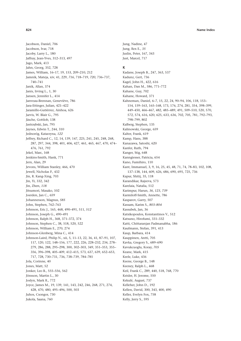Jacobson, Daniel, 706 Jacobson, Ivar, 718 Jacoby, Larry L., 180 Jaffray, Jean-Yves, 312–313, 497 Jago, Mark, 413 Jahn, Georg, 352, 728 James, William, 16–17, 19, 153, 209–210, 212 Jamnik, Mateja, xiv, 41, 229, *716*, 718–719, *720*, 736–737, 740–741 Janik, Allan, 374 Janis, Irving L., 1, 30 Jansen, Jennifer L., 414 Janveau-Brennan, Geneviève, 786 Jara-Ettinger, Julian, 421–422 Jaramillo-Gutiérrez, Ainhoa, 626 Jarvis, W. Blair G., 795 Jäsche, Gottlob, 138 Jastrzębski, Jan, 795 Jaynes, Edwin T., 244, 310 Jednoróg, Katarzyna, *122* Jeffrey, Richard C., 12, 14, 139, 147, 225, 241, 245, 248, 268, 287, 297, 344, 398, 401, 406, 427, 461, 465, 467, 470, 474– 476, 761, 792 Jekel, Marc, 168 Jenkins-Smith, Hank, 771 Jern, Alan, 29 Jevons, William Stanley, 466, 470 Jewell, Nicholas P., 432 Jin, R. Kang-Xing, 703 Jin, Yi, 332, 342 Jin, Zhen, *118* Jitsumori, Masako, 102 Joerden, Jan C., 659 Johannesson, Magnus, *585* John, Stephen, 762–763 Johnson, Eric J., 165, 468, 490–491, 511, *512* Johnson, Joseph G., 490–491 Johnson, Ralph H., 368, 371–372, 374 Johnson, Stephen C., 38, 518, 520, 522 Johnson, William E., 270, 274 Johnson-Glenberg, Mina C., 414 Johnson-Laird, Philip N., xii, 5, 11–13, 22, 36, 41, 87–91, 107, 117, 120, 122, 148–156, 177, 222, 226, 228–232, 234, 278– 279, 286, 288, 295–298, 300, 302–303, 349, 351–353, 355– 356, 396–398, 405–409, 412–415, 573, 637, 639, 652–653, 717, 728, 730–731, 736, 738–739, 784–785 Jola, Corinne, 40 Jones, Matt, 52 Jonker, Leo B., 555–556, 562 Jönsson, Martin L., 30 Joslyn, Mark R., 772 Joyce, James M., 19, 139, 141, 143, 242, 246, 268, 271, 274, 428, 470, 480, 495–496, 500, 503 Juhos, Csongor, 730 Jukola, Saana, 760

Jung, Nadine, 47 Jung, Rex E., *35* Juslin, Peter, 167, 343 Just, Marcel, 717

## **K**

Kadane, Joseph B., 247, 363, 537 Kadunz, Gert, 736 Kagel, John H., 422, 616 Kahan, Dan M., 586, 771–772 Kahane, Guy, 702 Kahane, Howard, 371 Kahneman, Daniel, 6–7, 15, 22, 24, 90–94, 106, 118, 153– 154, 159–163, 165–168, 173, 176, 274, 281, 354, 398–399, 449–450, 466–467, 482, 485–489, 491, 509–510, 520, 570, 572, 574, 616, 620, 625, 633, 636, 702, 705, 781, 792–793, 798–799, 802 Kalberg, Stephen, 135 Kalinowski, George, 659 Kalter, Frank, 619 Kamp, Hans, 388 Kanazawa, Satoshi, 620 Kanfer, Ruth, 794 Kanger, Stig, 648 Kanngiesser, Patricia, 654 Kano, Fumihiro, 110 Kant, Immanuel, 3, 9, 16, 25, 45, 48, 71, 74, 78–83, 102, 108, 137–138, 144, 609, 626, 686, 690, 695, 725, 736 Kapur, Shitij, 35, 118 Karandikar, Rajeeva, 573 Karelaia, Natalia, 512 Karimpur, Harun, *36*, *123*, *739* Karmiloff-Smith, Annette, 786 Kasparov, Garry, 507 Kassam, Karim S., *803–804* Kassubek, Jan, 36 Katsikopoulos, Konstantinos V., 512 Katsuno, Hirofumi, 331–332 Katti, Chittaranjan Padmanabha, 186 Kaufmann, Stefan, 391, 413 Kaup, Barbara, 414 Kauppinen, Antti, 705 Kavka, Gregory S., 689–690 Kavukcuoglu, Koray, *705* Keane, Mark, 415 Keele, Luke, 436 Keene, George B., 148 Keeney, Ralph L., 468 Keil, Frank C., 289, 440, 518, 768, 770 Keisler, H. Jerome, 550 Kekulé, August, 737 Kelleher, John D., 192 Kellen, David, 300, 343, 400, 490 Keller, Evelyn Fox, 758 Kelly, Jerry S., 595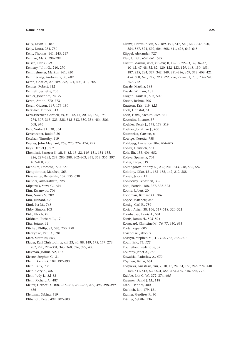Kelly, Kevin T., 187 Kelly, Laura, 234, 730 Kelly, Thomas, 141, 245, 247 Kelman, Mark, 798-799 Kelsen, Hans, 659 Kemeny, John G., 240, 270 Kemmelmeier, Markus, 361, 420 Kemmerling, Andreas, x, 38, 609 Kemp, Charles, 29, 289, 292, 391, 406, 413, 705 Kennes, Robert, 312 Kennett, Jeanette, 705 Kepler, Johannes, 74, 79 Keren, Arnon, 770, 773 Keren, Gideon, 167, 179-180 Kerkvliet, Timber, 313 Kern-Isberner, Gabriele, ix. xii. 12, 14, 20, 45, 187, 193. 274, 307, 313, 323, 328, 342-343, 350, 356, 454, 586, 608.676 Kerr, Norbert L., 30, 364 Kerschreiter, Rudolf, 30 Ketelaar, Timothy, 419 Keynes, John Maynard, 268, 270, 274, 474, 495 Keys, Daniel J., 802 Khemlani, Sangeet S., xii, 5, 12, 13, 22, 149-151, 154-155, 226, 227-232, 234, 286, 288, 302-303, 351, 353, 355, 397, 407-408, 730 Kienhues, Dorothe, 770, 771 Kienpointner, Manfred, 363 Kiesewetter, Benjamin, 132, 135, 630 Kießner, Ann-Kathrin, 728 Kilpatrick, Steve G., 654 Kim, Kwanwoo, 706 Kim, Nancy S., 289 Kim, Richard, 49 Kind, Per M., 768 Kirby, Simon, 103 Kirk, Ulrich, 49 Kirkham, Richard L., 17 Kita, Sotaro, 41 Kitcher, Philip, 82, 585, 750, 759 Klaczynski, Paul A., 781 Klatt, Matthias, 663 Klauer, Karl Christoph, x, xii, 23, 40, 88, 149, 175, 177, 273, 287, 290, 299-301, 343, 368, 396, 399, 400 Klayman, Joshua, 92, 167 Kleene, Stephen C., 31 Klein, Dominik, 189, 192-193 Klein, Felix, 735 Klein, Gary A., 507 Klein, Judy L., 82-83 Klein, Richard A., 487 Kleiter, Gernot D., 108, 277-281, 286-287, 299, 396, 398-399, 636 Kleitman, Sabina, 519 Klibanoff, Peter, 499, 502-503

Kliemt, Hartmut, xiii, 53, 189, 191, 512, 540, 543, 547, 550, 554, 567, 571, 592, 604, 608, 611, 626, 647-648 Klippel, Alexander, 727 Klug, Ulrich, 659, 661, 665 Knauff, Markus, ix-x, xiii-xiv, 8, 12-13, 22-23, 32, 36-37, 40-42, 47-48, 52, 82, 120, 122-123, 129, 148, 150, 153, 187, 225, 234, 327, 342, 349, 351-356, 369, 373, 408, 421, 454, 608, 676, 717, 720, 722, 726, 727-731, 735, 737-741, 757.772 Kneale, Martha, 185 Kneale, William, 185 Knight, Frank H., 503, 509 Knobe, Joshua, 705 Knutson, Kris, 119, 122 Koch, Christof, 51 Koch. Hans-Joachim. 659, 661 Koechlin, Etienne, 37 Koehler, Derek J., 175, 179, 519 Koehler, Jonathan J., 450 Koenneker, Carsten, x Koertge, Noretta, 758 Kohlberg, Lawrence, 104, 704-705 Köhler, Heinrich, 661 Kola, Ilir, 153, 406, 652 Koleva, Spassena, 704 Kollei, Tanja, 519 Kolmogorov, Andrey N., 239, 241, 243, 248, 567, 587 Kolodny, Niko, 131, 133-135, 142, 212, 388 Konek, Jason, 11 Konieczny, Sébastien, 332 Kooi, Barteld, 188, 277, 322-323 Koons, Robert, 20 Koopman, Bernard O., 306 Kopec, Matthew, 245 Kordig, Carl R., 759 Koriat, Asher, 38, 166, 517-518, 520-521 Kornhauser, Lewis A., 581 Korris, James H., 803-804 Korsgaard, Christine M., 76-77, 630, 695 Korta, Kepa, 605 Koscholke, Jakob, x Kosslyn, Stephen M., 41, 122, 735, 738-740 Koun, Eric, 35, 122 Kouneiher, Frédérique, 37 Kourany, Janet A., 758 Kowalski, Radoslaw A., 670 Köymen, Bahar, 654 Kozyreva, Anastasia, xiii, 7, 10, 15, 24, 34, 168, 246, 274, 440, 454, 511, 513, 520-521, 554, 572-573, 616, 636, 772 Krabbe, Erik C. W., 372, 374, 665 Kraemer, David J. M., 118 Krahl, Hannes, 400 Krajbich, Ian, 179, 181 Kramer, Geoffrey P., 30 Krämer, Sybille, 736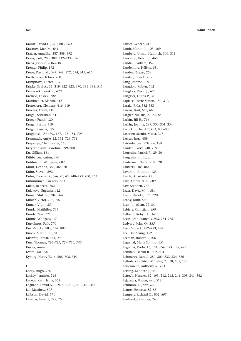Krantz, David H., 470, 803, 804 Krasnow, Max M., 641 Kratzer, Angelika, 387-388, 392 Kraus, Sarit, 280, 309, 332-333, 356 Krebs, John R., 636-638 Kremer, Philip, 192 Kreps, David M., 547, 549, 572, 574, 617, 626 Krettenauer, Tobias, 780 Krimphove, Dieter, 665 Kripke, Saul A., 31, 319, 322-323, 370, 384-385, 545 Kriwaczek, Frank R., 670 Królicki, Leszek, 122 Kronbichler, Martin, 412 Kroneberg, Clemens, 616, 619 Krueger, Frank, 118 Krügel, Sebastian, 541 Kruger, Frank, 120 Kruger, Justin, 519 Krüger, Lorenz, 122 Kruglanski, Arie W., 167, 178-181, 703 Krumnack, Antje, 22, 352, 729-731 Krupenye, Christopher, 110 Krzyżanowska, Karolina, 299-300 Ku, Gillian, 161 Kühberger, Anton, 490 Kuhlmann, Wolfgang, 609 Kuhn. Deanna. 362, 364, 781 Kuhn, Steven, 592 Kuhn, Thomas S., 5-6, 26, 45, 748-753, 760, 763 Kuhnmünch, Gregory, 653 Kukla, Rebecca, 762 Kulakova, Eugenia, 412 Kumar, Shikhar, 704, 706 Kumar, Victor, 705, 707 Kumar, Vipin, 35 Kunda, Maithilee, 735 Kunda, Ziva, 771 Künne, Wolfgang, 17 Kurtulmus, Faik, 770 Kurz-Milcke, Elke, 167, 803 Kusch, Martin, 81, 84 Kushnir, Tamar, 441, 443 Kuss. Thomas. 726-727. 729-730. 740 Kusser, Anna, 9 Kvart, Igal, 390 Kyburg, Henry E., jr., 305, 308, 310

# L

Lacey, Hugh, 760 Lackey, Jennifer, 248 Ladeur, Karl-Heinz, 665 Lagnado, David A., 259, 405-406, 413, 443-444 Lai, Matthew, 507 Laibson, David, 571 Lakatos, Imre, 5, 722, 750

Lakoff, George, 217 Lamb, Marion J., 103, 109 Lambert, Johann Heinrich, 306, 311 Lancaster, Kelvin J., 468 Landau, Barbara, 352 Landemore, Hélène, 584 Landes, Jürgen, 259 Landy, Justin F., 705 Lang, Jérôme, 309 Langdon, Robyn, 702 Langlois, David J., 629 Langlotz, Curtis P., 310 Laplace, Pierre-Simon, 150, 312 Laraki, Rida, 582-583 Larenz, Karl, 662, 665 Largier, Niklaus, 71, 82, 85 Larkin, Jill H., 716 Larkin, Joanne, 287, 300-301, 354 Larrick, Richard P., 453, 803-805 Lasonen-Aarnio, Maria, 247 Lassen, Inga, 689 Latombe, Jean-Claude, 188 Laudan, Larry, 748, 759 Laughlin, Patrick R., 29-30 Laughlin, Philip, x Lauterman, Tirza, 518, 520 Lauwers. Luc. 482 Lavaroni, Antonio, 123 Lavda, Anastasia, 47 Law, Alistair N. R., 689 Law, Stephen, 767 Lazer, David M. J., 584 Lea, R. Brooke, 175, 220 Leahy, John, 568 Lear, Jonathan, 72, 84 Lebiere, Christian, 490 LeBoeuf, Robyn A., 161 Lecas, Jean-François, 303, 784-785 Ledyard, John O., 585 Lee, Carole J., 752-753, 798 Lee, Hee Seung, 452 Leeman, Robert E. 706 Legrenzi. Maria Sonino. 151 Legrenzi, Paolo, 13, 151, 154, 353, 355, 422 Lehman, Darrin R., 802-803 Lehmann, Daniel, 280, 309, 333-334, 356 Leibniz, Gottfried Wilhelm, 73, 78, 105, 185 Leiserowitz, Anthony A., 773 Leising, Kenneth J., 442 Leitgeb, Hannes, 52, 193, 212, 242, 244, 308, 341, 362 Lejarraga, Tomás, 490, 512 Lemmon, E. John, 649 Lemov, Rebecca, 82-83 Lempert, Richard O., 802, 803 Lenhard, Johannes, 748

### 826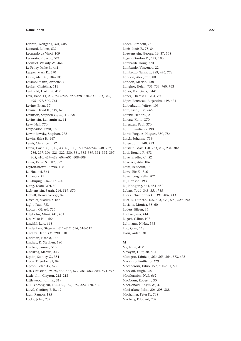Lenzen, Wolfgang, 321, 608 Leonard. Robert. 529 Leonardo da Vinci, 109 Leonesio, R. Jacob, 521 Leontief, Wassily W., 464 Le Pelley, Mike E., 441 Lepper, Mark R., 570 Leslie, Alan M., 104-105 Lessmöllmann, Annette, x Leuker, Christina, 511 Leuthold, Hartmut, 412 Levi, Isaac, 11, 212, 243-246, 327-328, 330-331, 333, 342, 495-497, 500, 761 Levine, Brian, 37 Levine, David K., 549, 620 Levinson, Stephen C., 29, 41, 290 Levinstein, Benjamin A., 11 Levy, Neil, 770 Levy-Sadot, Ravit, 166 Lewandowsky, Stephan, 772 Lewin, Shira B., 467 Lewis, Clarence I., 52 Lewis, David K., 1, 19, 43, 46, 105, 150, 242-244, 248, 282, 286, 297, 306, 321-322, 330, 381, 383-389, 391-392, 397, 405, 410, 427-428, 604-605, 608-609 Lewis, Karen S., 387, 392 Leyton-Brown, Kevin, 188 Li, Huamei, 364 Li, Peggy, 41 Li, Shujing, 216-217, 220 Liang, Diane Wei, 30 Lichtenstein, Sarah, 246, 519, 570 Liddell, Henry George, 82 Lifschitz, Vladimir, 187 Light, Paul, 783 Ligozat, Gérard, 726 Liljeholm, Mimi, 441, 451 Lin, Miao-Hui, 654 Lindahl, Lars, 648 Lindenberg, Siegwart, 611-612, 614, 616-617 Lindley, Dennis V., 290, 310 Lindman, Harold, 166 Lindsay, D. Stephen, 180 Lindsey, Samuel, 510 Lindskog, Marcus, 343 Lipkin, Stanley G., 351 Lipps, Theodor, 81, 84 Lipton, Peter, 45, 675 List, Christian, 29-30, 467-468, 579, 581-582, 584, 594-597 Littlejohn, Clayton, 212-213 Littlewood, John E., 319 Liu, Fenrong, xii, 185-186, 189, 192, 322, 470, 586 Lloyd, Geoffrey E. R., 49 Llull, Ramon, 185 Locke, John, 737

Loder, Elizabeth, 752 Loeb, Louis E., 75, 84 Loewenstein, George, 16, 37, 568 Logan, Gordon D., 174, 180 Lombardi, Doug, 770 Lombardo, Vincenzo, 22 Lombrozo, Tania, x, 289, 446, 773 London, Alex John, 80 London, Marvin, 738 Longino, Helen, 751-753, 760, 763 López, Francisco J., 441 Lopez, Theresa L., 704, 706 López-Rousseau, Alejandro, 419, 421 Lorberbaum, Jeffrey, 103 Lord, Errol, 135, 665 Lorenz. Hendrik. 2 Lorenz, Kuno, 370 Lorenzen, Paul, 370 Lorini, Emiliano, 190 Lortie-Forgues, Hugues, 350, 786 Lösch, Johanna, 739 Losee, John, 748, 753 Lotstein, Max, 150, 151, 232, 234, 302 Loui, Ronald P., 673 Love, Bradley C., 52 Lovelace, Ada, 186 Löwe. Benedikt. 186 Lowe, Ric K., 716 Lowenberg, Kelly, 702 Lu, Hanson, 193 Lu, Hongjing, 441, 451-452 Lubart, Todd, 348, 351, 785 Lucas, Christopher G., 391, 406, 413 Luce, R. Duncan, 165, 463, 470, 593, 629, 792 Luciana, Monica, 35, 60 Luders, Eileen, 35 Lüdtke, Jana, 414 Lugosi, Gábor, 107 Luhmann, Niklas, 593 Luo, Qian, 118 Lyon, Aidan, 30

### M

Ma, Ning, 412 Ma'ayan, Hilit, 38, 521 Macagno, Fabrizio, 362-363, 364, 373, 672 Macaluso, Emiliano, 120 Maccheroni, Fabio, 497, 500-501, 503 MacColl, Hugh, 270 MacCormick, Neil, 662 MacCoun, Robert J., 30 MacDonald, Angus W., 37 MacFarlane, John, 206-208, 388 Machamer, Peter K., 748 Machery, Edouard, 702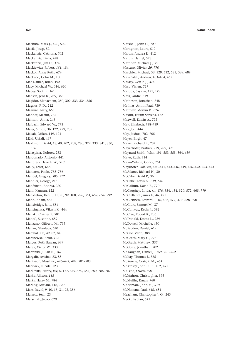Machina, Mark J., 496, 502 Macià, Josep, 52 Mackenzie, Catriona, 702 Mackenzie, Dana, 428 Mackenzie, Jim D., 374 Mackiewicz, Robert, *151*, 154 Mackor, Anne Ruth, 674 MacLeod, Colin M., 180 Mac Namee, Brian, 192 Macy, Michael W., 616, 620 Madey, Scott F., 161 Madsen, Jens K., 259, 363 Magidor, Menachem, 280, 309, 333–334, 356 Magnus, P. D., 212 Maguire, Barry, 665 Mahner, Martin, 767 Mahtani, Anna, 243 Maibach, Edward W., 773 Maier, Simon, 36, 122, 729, 739 Makale, Milan, 119, 121 Mäki, Uskali, 467 Makinson, David, 13, *40*, 202, 208, 280, 329, 333, 341, 350, 356 Malaspina, Dolores, 233 Maldonado, Antonio, 441 Mallpress, Dave E. W., *510* Mally, Ernst, 645 Mancosu, Paolo, 735–736 Mandel, Gregory, *586*, *772* Mandler, George, 215 Manfrinati, Andrea, 220 Mani, Kannan, 122 Manktelow, Ken I., 11, 90, 92, 108, 296, 361, 652, 654, 792 Mann, Adam, 585 Mansbridge, Jane, 584 Mansinghka, Vikash K., 444 Manski, Charles F., 501 Mantel, Susanne, 689 Manzano, Gilberto M., 735 Manzo, Gianluca, 620 Marchal, Kai, 49, 82, 84 Marchewka, Artur, *122* Marcus, Ruth Barcan, 649 Marek, Victor W., 333 Marewski, Julian N., 167 Margalit, Avishai, 83, 85 Marinacci, Massimo, 496–497, 499, 501–503 Marinsek, Nicole, 123 Markovits, Henry, xiv, 5, 177, 349–350, 354, 780, 785–787 Marks, Allison, *118* Marks, Harry M., 784 Marling, Miriam, 118, *120* Marr, David, 9–10, 13, 31, 93, 356 Marrett, Sean, 23 Marschak, Jacob, 629

Marshall, John C., *123* Martignon, Laura, 512 Martin, Andrea E., 412 Martin, Daniel, 573 Martinez, Michael J., 35 Mascaro, Olivier, *29*, *770* Maschler, Michael, 53, 529, 532, 535, 539, 689 Mas-Colell, Andreu, 463–464, 467 Massey, Gerald J., 374 Mast, Vivien, 727 Masuda, Sayako, 121, *123* Mata, André, 519 Matheson, Jonathan, 248 Mathias, Armin Paul, 739 Matthew, Mervin R., 626 Maxim, Hiram Stevens, 152 Maxwell, Edwin A., 722 May, Elisabeth, 738–739 May, Jon, 444 May, Joshua, 702, 705 Mayer, Birgit, 47 Mayer, Richard E., 737 Mayerhofer, Bastian, 279, 299, 396 Maynard Smith, John, 191, 553–555, 564, 639 Mayo, Ruth, 414 Mayo-Wilson, Conor, 751 Mayrhofer, Ralf, xiii, 440–441, 443–446, 449, *450–452*, 453, *454* McAdams, Richard H., 30 McCabe, David P., 36 McCabe, Kevin A., 639, *640* McCallum, David B., 770 McCaughey, Linda, xii, 176, 354, 454, 520, 572, 665, 779 McClelland, James L., 46, 491 McClennen, Edward F., 16, 462, 477, 479, 628, 690 McClure, Samuel M., 37 McConway, Kevin J., 582 McCrae, Robert R., 786 McDonald, Emma L., 739 McDowell, Michelle, 450 McFadden, Daniel, 619 McGee, Vann, 388 McGrath, Mary C., 773 McGrath, Matthew, 337 McGuire, Jonathan, 702 McKaughan, Daniel J., 759, 761–762 McKay, Thomas J., 385 McKenzie, Craig R. M., 454 McKinsey, John C. C., 462, 477 McLeod, Owen, 690 McMahon, Christopher, 593 McMullin, Ernan, 760 McNamara, John M., *510* McNamara, Paul, 645, 651 Meacham, Christopher J. G., 245 Meckl, Fabian, 541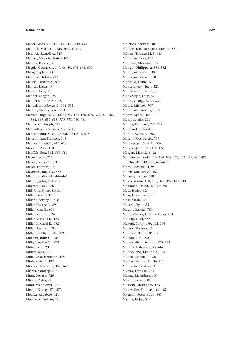Meder, Björn, xiii, 413, 441–444, 449–454 Mednick, Martha Tamara Schuch, 519 Mednick, Sarnoff A., 519 Medvec, Victoria Husted, 161 Meester, Ronald, 313 Meggle, Georg, xiv, 1, 9, 46, 50, 602–606, 609 Meier, Stephan, 28 Meilinger, Tobias, 737 Mellers, Barbara A., 805 Melnyk, Laura, 47 Menary, Kyle, 35 Mendel, Gregor, 225 Mendelssohn, Moses, 78 Mendelzon, Alberto O., 331–332 Mendes, Wendy Berry, 703 Mercier, Hugo, x, 29, 42, 83, 93, 174–176, 180, 290, 292, 361, 364, 367, 637–638, *770*, 773, 780–781 Merdes, Christoph, 259 Mergenthaler-Canseco, Max, 490 Merin, Arthur, x, xii, 10, 256, 274, 344, 605 Mertens, Jean-François, 545 Merton, Robert K., 615, 618 Mesoudi, Alex, 110 Meuffels, Bert, 362, *363–364* Meyer, Bernd, 717 Meyer, John-Jules, 331 Meyer, Thomas, 191 Meyerson, Roger B., 536 Michotte, Albert E., 444–445 Mikhail, John, 701–704 Milgrom, Paul, 626 Mill, John Stuart, 80–81 Miller, Dale T., 398 Miller, Geoffrey F., 508 Miller, George A., 39 Miller, Joan G., 655 Miller, John H., 626 Miller, Michael B., 123 Miller, Michael K., 582 Miller, Ryan M., 703 Millgram, Elijah, 144, 689 Millikan, Ruth G., 104 Mills, Candice M., 770 Milne, Peter, 207 Minker, Jack, 332 Minkowski, Hermann, 109 Mints, Grigori, 192 Mischo, Christoph, 362, *363* Mishra, Sandeep, 637 Mitra, Debasis, 726 Miyake, Akira, 37 Mnih, Volodymyr, 705 Modgil, Sanjay, 671–672 Modica, Salvatore, 321 Modroño, Cristián, 120

Mojzisch, Andreas, 30 Molière (Jean-Baptiste Poquelin), 521 Möllers, Thomas M. J., 665 Monahan, John, 167 Mondani, Massimo, *123* Mongin, Philippe, x, 581–582 Montague, P. Read, 49 Montague, Richard, 38 Montello, Daniel, x Montgomery, Hugh, 321 Monti, Martin M., x, 35 Mookherjee, Dilip, 573 Moore, George E., 24, 322 Moore, Michael, 707 Moorhead, Gregory, 1, 30 Moors, Agnes, 180 Moral, Serafin, 314 Moratz, Reinhard, 726–727 Moreland, Richard, 30 Morelli, Sylvia A., 702 Moreno-Rios, Sergio, 739 Morewedge, Carey K., 804 Morgan, James N., 804–805 Morgan, Mary S., 6, 12 Morgenstern, Oskar, 15, 464–465, 467, 474–477, 482, 485, 536–537, 543, 553, 629–630 Moro, Rodrigo, 91, 98 Morris, Michael W., 453 Morsanyi, Kinga, 518 Moses, Yoram, 188, *190*, 320, 322–323, 540 Moshman, David, 29, 779–781 Moss, Jessica, 82 Moss, Lawrence S., 188 Moss, Sarah, 392 Muetzel, Ryan, *35* Mugny, Gabriel, 780 Mujica-Parodi, Lilianne Rivka, 233 Mukerji, Nikil, 586 Mukerji, Sujoy, 499, *502*, 503 Mulack, Thomas, 36 Muldoon, Ryan, 585, 751 Mulgan, Tim, 690 Mullainathan, Sendhil, 570, 573 Mumford, Stephen, 53, 444 Munholland, Kristine A., 784 Munro, Cynthia A., 36 Munro, Geoffrey D., 36, 771 Murawski, Carsten, 34 Murray, Frank B., 781 Murray, M. Aisling, 409 Musch, Jochen, 88 Mussoni, Alessandro, 123 Mussweiler, Thomas, 161, 167 Myerson, Roger B., 53, 567 Myung, In Jae, 512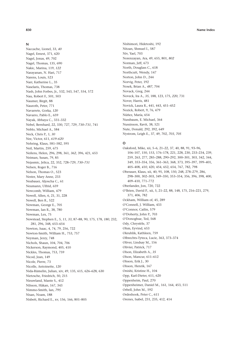### N

Naccache. Lionel. 33. 40 Nagel, Ernest, 371, 620 Nagel, Jonas, 49, 702 Nagel, Thomas, 135, 690 Nakic, Marina, 119, 122 Narayanan, N. Hari, 717 Narens, Louis, 523 Narr, Katherine L., 35 Naselaris, Thomas, 738 Nash, John Forbes, Jr., 532, 543, 547, 554, 572 Nau, Robert F., 501, 503 Naumer, Birgit, 88 Nauroth, Peter, 771 Navarrete, Gorka, 120 Navarro, Pablo E., 659 Nayak, Abhaya C., 331-332 Nebel, Bernhard, 22, 330, 727, 729, 730-731, 741 Neblo, Michael A., 584 Neck, Chris P., 1, 30 Nee, Victor, 611, 619-620 Nehring, Klaus, 581-582, 595 Neil, Martin, 259, 675 Neilens, Helen, 296, 298, 361, 362, 396, 421, 653 Neiman, Susan, 79, 85 Nejasmic, Jelica, 22, 352, 728-729, 730-731 Nelsen, Roger B., 716 Nelson, Thomas O., 523 Nester, Mary Anne, 233 Neubauer, Aljoscha C., 61 Neumann, Ulfrid, 659 Newcomb, William, 479 Newell, Allen, 6, 21, 31, 228 Newell, Ben R., 522 Newman, George E., 705 Newman, Ian R., 38, 780 Newman, Lex, 75 Newstead, Stephen E., 5, 11, 33, 87-88, 90, 175, 178, 180, 232, 281, 296, 348, 653-654 Newton, Isaac, 4, 74, 79, 256, 722 Newton-Smith, William H., 753, 757 Neyman, Jerzy, 748 Nichols, Shaun, 104, 704, 706 Nickerson, Raymond, 405, 410 Nickles, Thomas, 753, 759 Nicod, Jean, 149 Nicole, Pierre, 73 Nicolle, Antoinette, 120 Nida-Rümelin, Julian, xiv, 49, 135, 615, 626-628, 630 Nietzsche, Friedrich, 50, 215 Nieuwland, Mante S., 412 Nilsson, Håkan, 167, 343 Nimmo-Smith, Ian, 795 Nisan, Noam, 188 Nisbett, Richard E., xv, 156, 166, 801-805

Nishimori, Hidetoshi, 192 Nitzan, Shmuel I., 587 Niv, Yael, 703 Norenzayan, Ara, 49, 655, 801, 802 Norman, Jeff, 673 North, Douglass C., 618 Northcutt, Wendy, 147 Norton, John D., 244 Norvig, Peter, 192 Nosek, Brian A., 487, 704 Novack, Greg, 244 Noveck, Ira A., 35, 188, 123, 175, 220, 731 Nover, Harris, 481 Novick, Laura R., 441, 443, 451-452 Nozick, Robert, 9, 76, 479 Núñez. María. 654 Nussbaum, E. Michael, 364 Nussinson, Ravit, 38, 521 Nute, Donald, 292, 392, 649 Nystrom, Leigh E., 37, 49, 702, 703, 705

Oaksford, Mike, xii, 5-6, 21-22, 37, 40, 88, 91, 93-96, 106-107, 150, 153, 176-178, 221, 228, 230, 233-234, 239, 259, 263, 277, 285-288, 290-292, 300-301, 303, 342, 344, 349, 353-354, 356, 361-363, 368, 373, 395-397, 399-401, 405-408, 410, 420, 454, 652, 654, 767, 782, 798 Oberauer, Klaus, xii, 40, 95, 108, 150, 248, 278-279, 286, 298-300, 302-303, 349-350, 353-354, 356, 396, 398, 400, 409-410, 771-772 Oberlander, Jon, 720, 722 O'Brien, David P., xii, 5, 21-22, 88, 148, 175, 216-221, 279, 371, 406, 782 Ockham, William of, 45, 289 O'Connell, J. William, 433 O'Connor, Cailin, 579 O'Doherty, John P., 703 O'Donoghue, Ted, 568 Ody, Chrystèle, 37 Ohm, Eyvind, 653 Okruhlik, Kathleen, 759 Olbrechts-Tyteca, Lucie, 363, 373-374 Oliver, Lindsay M., 156 Olivier, Patrick, 717 Olson, Elizabeth A., 35 Olson, Mancur, 611-612 Olsson, Erik J., 30 Olsson, Henrik, 167 Onishi, Kristine H., 104 Opp, Karl-Dieter, 611, 620 Oppenheim, Paul, 270 Oppenheimer, Daniel M., 161, 164, 453, 511 Orbell, John M., 592 Ordeshook, Peter C., 611

Orenes, Isabel, 231, 235, 412, 414

### 830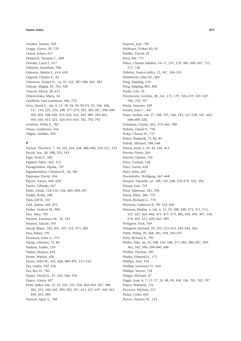Oreskes, Naomi, 769 Origgi, Gloria, 29, 770 Ormel, Johan, 617 Ormerod, Thomas C., 409 Orwant, Carol J., 617 Osborne, Jonathan, 768 Osborne, Martin J., 614, 618 Osgood, Charles E., 43 Osherson, Daniel N., 14, 35, 122, 287-288, 401, 582 Osman, Magda, 23, 356, 520 Ostrom, Elinor, 28, 611 Otworowska, Maria, 34 Ouellette, Lisa Larrimore, 586, 772 Over, David E., xiii, 6, 11, 18, 24, 90, 92-93, 95, 106, 108, 117, 150, 221, 234, 248, 277-279, 282, 285-287, 296-300, 302-303, 348-350, 353-354, 361, 362, 389, 395-401. 405-410, 413, 421, 520, 651-655, 782, 792-793 Overton, Willis F., 782 Owen, Guillermo, 564 Özgün, Aybüke, 320

## P

Pachur, Thorsten, 7, 34, 162, 164, 168, 488-490, 510-511, 512 Pacuit, Eric, 30, 188, 321, 543 Page, Scott E., 585 Paglieri, Fabio, 362, 373 Panagiotidou, Elpida, 739 Papadimitriou, Christos H., 34, 186 Papineau, David, 104 Parent, Xavier, 649, 659 Pareto, Vilfredo, 467 Parfit, Derek, 134-135, 144, 469, 690, 697 Parikh, Rohit, 188 Paris, Jeff B., 310 Park, Juhwa, 444, 453 Parker, Andrew M., 805 Parr, Alice, 795 Parsons, Lawrence M., 35, 122 Parsons, Talcott, 593 Pascal, Blaise, 242, 305, 307, 312, 473, 482 Pass, Rafael, 191 Passmore, John A., 215 Patzig, Günther, 72, 82 Paulesu, Eraldo, 120 Paulus, Markus, 654 Pavan, Marina, 626 Payne, John W., 165, 468, 489-491, 511-512 Paz. Azaria. 432. 436 Pea, Roy D., 782 Pearce, David G., 27, 543, 546, 550 Pearce, Glenn, 427 Pearl, Judea, xiii, 12, 33, 105, 193, 254, 262-263, 267, 280, 301, 331, 340-342, 390-392, 397, 413, 427-437, 442-443, 449, 453, 480 Pearson, Egon S., 748

Pearson, Joel, 738 Peckhaus, Volker, 82, 85 Peebles, David, 32 Peels, Rik, 773 Peirce, Charles Sanders, 16-17, 231, 270, 385, 500, 607, 715, 717.736 Pelletier, Francis Jeffry, 13, 347, 350-351 Pemberton, John M., 444 Peng, Danling, 118 Peng, Kaiping, 801, 802 Penke. Lars. 35 Pennycook, Gordon, 38, 161, 175, 179, 518-519, 520, 522, 780, 793, 797 Penta, Antonio, 549 Perales, José C., 441 Perea, Andrés, xiii, 27, 188, 191, 540, 543, 547-549, 567, 603, 608-609 626 Perelman, Chaim, 363, 374, 665, 780 Perkins, David N., 796 Perky, Cheves W., 737 Perler, Dominik, 75, 82, 85 Perloff, Michael, 188, 648 Perner, Josef, x, 39, 43, 104, 412 Perona, Pietro, 263 Perrow, Charles, 152 Perry, Conrad, 118 Perry, Gavin, 626 Perry, John, 605 Pesendorfer, Wolfgang, 467-468 Pessach, Danielle, xii, 108, 150, 248, 278-279, 353, 396 Pessoa, Luiz, 703 Peter, Fabienne, 581, 596 Peters, Ellen, 586, 772 Peters, Richard G., 770 Peterson, Cameron R., 90, 163, 450 Peterson, Martin, x, xiii, 6, 15, 19, 188, 248, 273, 311, 313, 337, 427, 465-466, 475, 477, 479, 485, 492, 495, 497, 536, 570, 602, 611, 629, 665, 690 Pettigrew, Nick, 769 Pettigrew, Richard, 29, 210, 212-213, 242-244, 362 Pettit, Philip, 29, 468, 581, 594, 596-597 Petty, Richard E., 795 Pfeifer, Niki, xii, 33, 108, 150, 248, 277-282, 286-287, 299, 301, 342, 396, 398-400, 408 Pfeiffer, Thomas, 585 Phelps, Edmund S., 571 Phillips, Ann, 105 Phillips. Lawrence D., 450 Phillips, Steven, 728 Phipps, Michael, 47 Piaget, Jean, 4, 7, 13, 17, 24, 88, 90, 104, 106, 705, 782, 787 Piazza, Manuela, 731 Piccione, Michele, 537 Picker, Colin, 665 Picton, Terence W., 123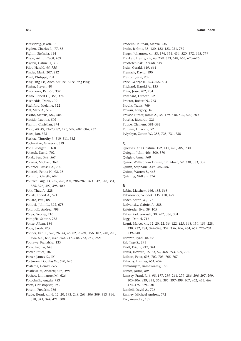Pietschnig, Jakob, 35 Pigden, Charles R., 77, 85 Pighin, Stefania, 444 Pigou, Arthur Cecil, 469 Pigozzi, Gabriella, 332 Pilot, Harald, *44*, *758* Pinder, Mark, 207, 212 Pinel, Philippe, 731 Ping Ping Tse, Alice. *See* Tse, Alice Ping Ping Pinker, Steven, 40 Pino Pérez, Ramón, 332 Pinto, Robert C., 368, 374 Pischedda, Doris, *120* Pitchford, Melanie, 522 Pitt, Mark A., 512 Pivato, Marcus, 582, 584 Placido, Laetitia, 502 Plantin, Christian, 374 Plato, 40, 49, 71–73, 82, 176, 592, 602, 684, 737 Plaza, Jan, 323 Pleskac, Timothy J., 510–511, *512* Pochwatko, Grzegorz, 519 Pohl, Rüdiger F., 168 Polacek, David, 702 Polak, Ben, 548, 567 Polanyi, Michael, 369 Poldrack, Russell A., 702 Poletiek, Fenna H., 92, 98 Polhill, J. Gareth, 689 Politzer, Guy, 13, 225, 228, *234*, 286–287, *303*, 342, 348, 351, 355, 396, *397*, 398–400 Polk, Thad A., 228 Pollak, Robert A., 571 Pollard, Paul, 88 Pollock, John L., 392, 675 Polonioli, Andrea, 798 Pólya, George, 716 Pompéia, Sabine, 735 Ponse, Alban, 186 Pope, Sarah, *769* Popper, Karl R., 5–6, 26, *44*, 45, 82, 90–91, 156, 187, 248, 290, 495, 620, 633, 639, 652, 747–748, 753, 757, *758* Poprawe, Franziska, 135 Pörn, Ingmar, 648 Porter, Bruce, 187 Porter, James N., *35* Portmore, Douglas W., 690, 696 Postema, Gerald, *665* Postlewaite, Andrew, 495, *498* Pothos, Emmanuel M., 626 Potochnik, Angela, 753 Potts, Christopher, 193 Potvin, Frédéric, 786 Prade, Henri, xii, 6, 12, 20, 193, 248, 263, 306–309, 313–314, 328, 341, 344, 421, 500

Pradella-Hallinan, Márcia, 735 Prado, Jérôme, 35, 120, 122–123, 731, 739 Prager, Johannes, xii, 53, 176, 354, 454, 520, 572, 665, 779 Prakken, Henry, xiv, 48, 259, 373, 648, 665, 670–676 Predtetchinski, Arkadi, 549 Prein, Gerald, 619, 664 Premack, David, 190 Preston, Jesse, 289 Price, George R., 553–555, 564 Prichard, Harold A., 135 Prinz, Jesse, 702, 704 Pritchard, Duncan, 52 Proctor, Robert N., 763 Proulx, Travis, 769 Provan, Gregory, 343 Prowse Turner, Jamie A., 38, 179, 518, *520*, *522*, 780 Pucella, Riccardo, 321 Puppe, Clemens, 581–582 Putnam, Hilary, 9, 52 Pylyshyn, Zenon W., 285, 728, 731, 738

# **Q**

Quelhas, Ana Cristina, 152, 411, 420, *421*, 730 Quiggin, John, 466, 500, 570 Quigley, Anna, *769* Quine, Willard Van Orman, 17, 24–25, 52, 330, 383, 387 Quinn, Stéphane, 349, 785–786 Quinn, Warren S., 463 Quisling, Vidkun, 374

### **R**

Rabin, Matthew, 466, 485, 568 Rabinowicz, Wlodek, 135, 478, 479 Rader, Aaron W., 175 Radvansky, Gabriel A., 288 Rafetseder, Eva, 39, 105 Rafiee Rad, Soroush, 30, *262*, 356, 301 Raggi, Daniel, 716 Ragni, Marco, xiv, 12, 20, 22, 36, 122, *123*, 148, 150, 153, 228, 230, 232, 234, 342–343, 352, 356, 406, 454, 652, 726–731, 739–740 Rahwan, Iyad, 48, *49* Rai, Tage S., 291 Raidl, Eric, x, 212, 341 Raiffa, Howard, 15, 33, 52, 468, 593, 629, 792 Railton, Peter, 695, 702–703, 705–707 Rakoczy, Hannes, 651, 654 Ramanujam, Ramaswamy, 188 Ramos, Jaime, *805* Ramsey, Frank P., 6, 95, 177, 239–241, 279, 286, 296–297, 299, 305–306, 339, 343, 353, 395, 397–399, 407, 462, 465, 469, 474–475, 629–630 Randell, David A., 726 Ranney, Michael Andrew, 772 Rao, Anand S., 189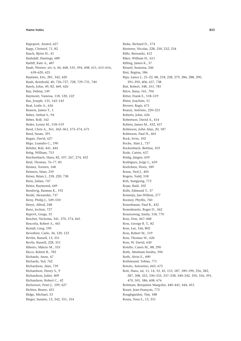Rapoport, Anatol, 627 Rapp, Christof, 71, 82 Rasch, Björn H., 41 Rashdall, Hastings, 689 Ratliff, Kate A., 487 Raub, Werner, xiv, 6, 44, 468, 535, 594, 608, 611, 615-616, 618-620, 625 Raufaste, Eric, 281, 342, 420 Rauh, Reinhold, 40, 726-727, 728, 729-731, 740 Rawls, John, 49, 82, 469, 626 Ray, Debraj, 149 Raymont, Vanessa, 118, 120, 122 Raz, Joseph, 135, 142-143 Real, Leslie A., 636 Reason, James T., 1 Reber, Arthur S., 94 Reber, Rolf, 162 Reder, Lynne M., 518-519 Reed, Chris A., 361, 362-363, 373-374, 675 Reed, Susan, 391 Regan, David, 627 Rêgo, Leandro C., 190 Rehder, Bob, 441, 444 Rehg, William, 753 Reichenbach, Hans, 82, 107, 267, 274, 452 Reid, Thomas, 76-77, 85 Reimer. Torsten. 168 Reimers, Stian, 259 Reiser, Brian J., 218, 220, 738 Reiss, Julian, 747 Reiter, Raymond, 649 Rendsvig, Rasmus K., 192 Renkl, Alexander, 737 Reny, Philip J., 549-550 Rényi, Alfred, 248 Renz, Jochen, 727 Repovš, Grega, 35 Rescher, Nicholas, 341, 370, 374, 665 Rescorla, Robert A., 441 Restall, Greg, 190 Reverberi, Carlo, 36, 120, 123 Revlin, Russell, 13, 351 Revlis, Russell, 228, 351 Ribeiro, Márcio M., 333 Ricco, Robert B., 782 Richards, Anne, 47 Richards, Ted, 762 Richardson, Alan, 739 Richardson, Henry S., 9 Richardson, Juliet, 409 Richardson, Robert C., 42 Richerson, Peter J., 109, 627 Richter, Bruno, 421 Ridge, Michael, 53 Rieger, Susann, 13, 342, 351, 354

Rieke, Richard D., 374 Riesterer, Nicolas, 228, 230, 232, 234 Riffo, Bernardo, 412 Riker, William H., 611 Rilling, James K., 37 Rinard, Susanna, 246 Rini, Regina, 586 Rips, Lance J., 21-22, 88, 218, 228, 279, 286, 288, 290, 391-392, 406, 637, 738 Rist, Robert, 348, 351, 785 Ritov, Ilana, 161, 704 Ritter, Frank E., 518-519 Ritter, Joachim, 51 Riveret, Regis, 675 Roazzi, Antônio, 220-221 Roberts, John, 626 Robertson, David A., 414 Robins, James M., 432, 437 Robinson, John Alan, 20, 187 Robinson, Paul H., 665 Rock, Irvin, 102 Rocke, Alan J., 737 Rockenbach, Bettina, 103 Rode, Catrin, 637 Rödig, Jürgen, 659 Rodríguez, Jorge L., 659 Roelofsen, Floris, 189 Roese, Neil J., 405 Rogers, Todd, 518 Roh, Sungjong, 772 Rojas, Raúl, 102 Rolls, Edmund T., 37 Romeijn, Jan-Willem, 277 Rooney, Phyllis, 760 Rosenbaum, Paul R., 432 Rosenkrantz, Roger D., 362 Rosenzweig, Emily, 518, 770 Ross, Don, 467-468 Ross, George R. T., 82 Ross, Lee, 166, 802 Ross, Robert M., 519 Ross. Thomas W., 626 Ross. W. David. 630 Rotello, Caren M., 88, 290 Roth, Abraham Sesshu, 596 Roth, Alvin E., 490 Rothmund, Tobias, 771 Rotolo, Antonino, 665, 675 Rott, Hans, xii, 11, 14, 33, 45, 153, 187, 189-190, 256, 282, 287, 308, 323, 330-333, 337-338, 340-342, 350, 356, 391, 470, 501, 586, 608, 676 Rottman, Benjamin Margolin, 440-441, 444, 453 Rouet, Jean-François, 773 Roughgarden, Tim, 188 Rouss, Tena S., 13, 351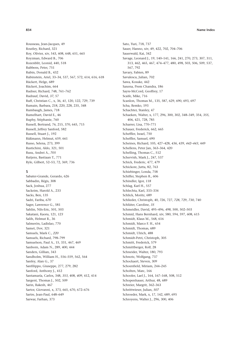Rousseau, Jean-Jacques, 49 Routley, Richard, 321 Roy, Olivier, xiv, 543, 608, 648, 651, 665 Royzman, Edward B., 706 Rozenblit, Leonid, 440, 518 Rubbens, Peter, 751 Rubin, Donald B., 432 Rubinstein, Ariel, 33–34, 537, 567, 572, 614, 616, 618 Rückert, Helge, 689 Rückert, Joachim, 664 Rudner, Richard, 748, 761–762 Rudrauf, David, *37*, 57 Ruff, Christian C., x, 36, *41*, 120, 122, 729, 739 Rumain, Barbara, 218, 220, 228, 235, 348 Rumbaugh, James, 718 Rumelhart, David E., 46 Ruphy, Stéphanie, 760 Russell, Bertrand, 76, 215, 370, 645, 715 Russell, Jeffrey Sanford, 582 Russell, Stuart J., 192 Rüßmann, Helmut, 659, 661 Russo, Selena, 273, 399 Rustichini, Aldo, 321, 501 Rusu, Andrei A., *705* Rutjens, Bastiaan T., 771 Ryle, Gilbert, 52–53, 72, 369, 736

### **S**

Sabater-Grande, Gerardo, 626 Sabbadin, Régis, 308 Sack, Joshua, 277 Sackeim, Harold A., 233 Sacks, Ben, 135 Sadri, Fariba, *670* Sager, Lawrence G., 581 Sahlin, Nils-Eric, 501, 503 Sakatani, Kaoru, 121, *123* Salih, Helmut R., 36 Salmerón, Ladislao, 770 Samet, Dov, 321 Samuels, Mark C., *220* Samuels, Richard, 798–799 Samuelson, Paul A., 15, 331, 467, 469 Sanborn, Adam N., 289, 400, 444 Sanders, Gillian, 343 Sandholm, William H., 556–559, 562, 564 Sanfey, Alan G., 37 Sanfilippo, Giuseppe, 277, 279, 282 Sanford, Anthony J., 412 Santamaría, Carlos, 348, *353*, 408, *409*, 412, 414 Sargent, Thomas J., 502, 509 Sarin, Rakesh, 467 Sartor, Giovanni, x, 373, 665, 670, 672–676 Sartre, Jean-Paul, 648–649 Sarwar, Farhan, 373

Sato, Yuri, 718, 737 Sauer, Hanno, xiv, 49, 422, 702, 704–706 Sauerwald, Kai, 342 Savage, Leonard J., 19, 140–141, 166, 241, 270, 273, 307, 311, 313, 462, 465, 467, 474–477, 480, 498, 503, 506, 509, 537, 567, 792 Savary, Fabien, 89 Savulescu, Julian, 702 Sawa, Kosuke, 442 Saxena, Prem Chandra, 186 Sayre-McCord, Geoffrey, 17 Scaife, Mike, 716 Scanlon, Thomas M., 135, 587, 629, 690, 693, 697 Scha, Remko, 193 Schachter, Stanley, 47 Schaeken, Walter, x, 177, 296, 300, 302, 348–349, 354, *355*, 406, 421, 728, 785 Scharrer, Lisa, 770–771 Schauer, Frederick, 662, 665 Scheffler, Israel, 750 Scheffler, Samuel, 690 Scheines, Richard, 105, 427–428, *436*, 439, *442–443*, 449 Schellens, Peter Jan, 363–364, 420 Schelling, Thomas C., 512 Schervish, Mark J., 247, 537 Schick, Frederic, 477, 479 Schickore, Jutta, 82, 763 Schiebinger, Londa, 758 Schiffer, Stephen R., 606 Schindler, Igor, *118* Schlag, Karl H., 557 Schlechta, Karl, 333–334 Schlick, Moritz, 689 Schlieder, Christoph, 40, *726*, 727, *728*, 729, *730*, 740 Schlüter, Caroline, *35* Schmeidler, David, 495–496, *498*, 500, 502–503 Schmid, Hans Bernhard, xiv, 580, 594, 597, 608, 615 Schmidt, Klaus M., 568, 616 Schmidt, Marco F. H., 654 Schmidt, Thomas, 689 Schmidt, Ulrich, 488 Schmidt-Petri, Christoph, 305 Schmitt, Frederick, 579 Schmittberger, Rolf, 28 Schneider, Walter, 180, 793 Schnotz, Wolfgang, 737 Schockaert, Steven, 309 Schoenfield, Miriam, 244–245 Scholten, Marc, 166 Schooler, Lael J., 164, 167–168, 508, 512 Schopenhauer, Arthur, 48, 689 Schreier, Margrit, 362–363 Schrittwieser, Julian, *507* Schroeder, Mark, x, 17, 142, 689, 695 Schroyens, Walter J., 296, 300, 406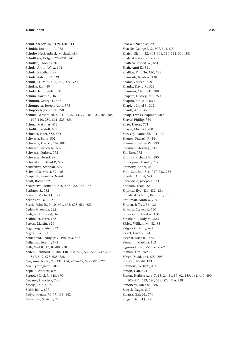Schul, Yaacov, 167, 179–180, 414 Schuldt, Jonathon P., 772 Schulte-Mecklenbeck, Michael, 490 Schultheis, Holger, 729–731, 741 Schultze, Thomas, 30 Schulz, Armin W., x, 104 Schulz, Jonathan, *49* Schulz, Katrin, 193, 391 Schulz, Laura E., 421, *422*, *441*, *443* Schulze, Ralf, 40 Schulz-Hardt, Stefan, 30 Schum, David A., 363 Schumm, George F., 463 Schumpeter, Joseph Alois, 595 Schupbach, Jonah N., 290 Schurz, Gerhard, xi, 5, 24–25, 27, 44, 77, 101–102, 104–105, 107–110, 280, 511, 523, 654 Schurz, Matthias, 412 Schüßler, Rudolf, 689 Schuster, Peter, 555, *561* Schwartz, Barry, 802 Schwartz, Lisa M., 167, 803 Schwarz, Baruch B., 364 Schwarz, Norbert, 772 Schwarze, Bernd, 28 Schweikard, David P., 597 Schweitzer, Stephan, 689 Schwitalla, Maria, 39, 105 Scopelliti, Irene, *803–804* Scott, Robert, 82 Scozzafava, Romano, 278–279, 282, 286–287 Scribner, S., 782 Scriven, Michael J., 371 Seabright, Paul, 627 Searle, John R., 9–10, 601, 605, 628, 651, 653 Sędek, Grzegorz, *122* Sedgewick, Robert, 34 Sedlmeier, Peter, 162 Sefton, Martin, 626 Segerberg, Krister, 332 Segev, Ella, 321 Seidenfeld, Teddy, 247, 498, 503, 537 Seligman, Jeremy, 192 Sells, Saul B., 13, 87–88, 228 Selten, Reinhard, 6, 106, 148, 508, 529, 533–535, 539–540, 547, 549, 573, 625, 728 Sen, Amartya K., 28, 331, 464, 467–468, 592, 595, 627 Seo, Kyoungwon, 503 Sepielli, Andrew, 695 Sergot, Marek J., 648, 670 Serrano, Francisca, 739 Šešelja, Dunja, 759 Sethi, Rajiv, 627 Setiya, Kieran, 76–77, 139, 142 Seyranian, Viviane, 770

Shackel, Nicholas, *702* Shackle, George L. S., 307, 341, 500 Shafer, Glenn, 52, 305–306, 310–312, 314, 341 Shafer-Landau, Russ, 705 Shaffern, Robert W., 661 Shah, Anuj K., 511 Shallice, Tim, 36, 120, 123 Shamosh, Noah A., 118 Shams, Zohreh, 718 Shanks, David R., 522 Shannon, Claude E., 288 Shapere, Dudley, 748, 750 Shapiro, Ian, 619–620 Shapley, Lloyd S., 312 Shariff, Azim, *49*, 53 Sharp, Frank Chapman, 689 Shaver, Phillip, 784 Shaw, Daron, 771 Shayer, Michael, 780 Sheesley, Laura, 36, 121, *122* Shenoy, Prakash P., 344 Sherman, Jeffrey W., 793 Sherman, Steven J., 519 Shi, Jing, 772 Shiffrin, Richard M., 180 Shimojima, Atsushi, 717 Shimony, Abner, 242 Shin, Sun-Joo, 715, 717–718, 736 Shleifer, Andrei, 574 Shoenfield, Joseph R., 33 Shoham, Yoav, 188 Shpitser, Ilya, 431–432, 434 Shrader-Frechette, Kristin S., 758 Shtulman, Andrew, 769 Shuren, Jeffrey, 36, 121 Shwartz, Steven P., 740 Shweder, Richard A., 160 Shynkaruk, Jody M., 522 Sibley, William M., 82, 85 Sidgwick, Henry, 684 Siegel, Harvey, 374 Siegrist, Michael, 772 Siemann, Martina, 102 Sigmund, Karl, 555, 561–562 Silman, Tim, *769* Silver, David, 161, 507, *705* Sima'an, Khalil, 193 Simmons, W. Kyle, 414 Simon, Dan, 491 Simon, Herbert A., 6–7, 15, 21, 31, 89, 92, 159, 164, 440, 490, 505–511, 513, 520, 523, 573, 716, 728 Simoneau, Michael, 786 Şimşek, Özgür, 512 Sinatra, Gale M., 770 Singer, Daniel J., 77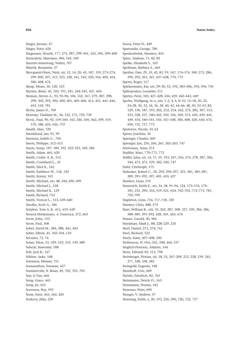Singer, Jerome, 47 Singer, Peter, 626

- Singmann, Henrik, 177, 273, 287, 299–301, 343, 396, 399–400
- Siniscalchi, Marciano, 496, 543, 549
- Sinnott-Armstrong, Walter, 707
- Sklarek, Benjamin, 37

Snow, John, 152 Snow, Paul, 308

Socrates, 72, 76

Son, Ji Yun, 666 Song, Grace, 445 Song, Jie, 653 Sorensen, Roy, 592 Šorm, Ester, 363, *364*, 420 Soskova, Jitka, 220

Solecki, Slawomir, 188 Soll, Jack B., 167 Söllner, Anke, 168 Solomon, Miriam, 751 Somanathan, Eswaran, 627

Sobel, David M., 384, 388, *441*, *443* Sober, Elliott, 45, 102–104, 110

Solan, Eilon, 53, 529, *532*, *535*, *539*, 689

Sommerville, R. Brian, 49, 702, *703*, *705*

- Skovgaard-Olsen, Niels, xii, 12, 14, 20, 45, 187, 193, 273–274, 299–300, 307, *313*, 323, 328, 341, 343, 350, 356, 400, 454, 586, 608, 676 Skrap, Miran, 36, 120, 123
- Skyrms, Brian, 43, 103, 191, 241, 244–245, 427, 604 Sloman, Steven A., 93, 95–96, 106, 162, 167, 279, 287, 298,
- *299*, *302*, 392, 396, *400*, 401, 405–406, 413, 421, 441–444, 453, 518, 781 Slotta, James D., 769 Sloutsky, Vladimir M., 36, 122, 175, 729, 739 Slovic, Paul, 90, *92*, 159–160, 162, 246, 450, 462, 509, 519, 570, *586*, 625, 636, *772* Smaill, Alan, 720 Smedslund, Jan, 91, 99 Smetana, Judith G., 704 Smets, Philippe, 312–313 Smets, Sonja, 187, 189, 192, 322–323, 549, 586 Smith, Adam, 465, 620 Smith, Cedric A. B., 312 Smith, Courtland L., *35* Smith, Eliot R., 162 Smith, Kathleen W., 118, *120* Smith, Kenny, 103 Smith, Michael, xiv, 48, 344, 690, 699 Smith, Michael J., 558
- Smith, Michael R., 129 Smith, Richard, 752 Smith, Vernon L., 513, 639–640 Smolka, Scott A., 186 Snijders, Tom A. B., 611, 619, *620* Snoeck Henkemans, A. Francisca, 372, *665*
- Spellman, Barbara A., 665 Sperber, Dan, 29, *35*, 42, 83, 93, 147, 174–176, 180, 273, 286, 290, 292, 361, 367, 637–638, 770, 773 Sperry, Roger, 117 Spiekermann, Kai, xiv, 29–30, 53, 192, 583–586, 594, 596, 750 Spiliopoulos, Leonidas, 511 Spirtes, Peter, 105, 427–428, 436, 439, 442–443, 449 Spohn, Wolfgang, ix–x, xiii, 1–2, 4, 6, 8–10, 12–18, 20, 22, 24–28, 30, 32, 34, 36, 38, 40, 42, 44–46, 48, 50, 52–53, 82, 129, 150, 187, 193, 202, 212, 254, 262, 274, 282, 307, 313, 323, 328, 337, 340–343, 350, 356, 369, 374, 436, 439, 441, 449, 454, 540–541, 543, 547–548, 586, 608, 620, 630, 676, 690, 722, 757, 772 Spotorno, Nicola, *35*, 62 Spreer, Joachim, 36 Sprenger, Charles, 469 Sprenger, Jan, 256, 260, *261*, 262–263, 747 Srinivasan, Amia, 212 Stadtler, Marc, 770–771, 773 Staffel, Julia, xii, 14, 17, 19, 193, 247, 256, 274, 278, 287, 306, 344, 473, 475, 529, 582, 630, 747 Stahl, Christoph, 175 Stalnaker, Robert C., 20, 292, 296–297, 321, 381, 385–387, 389, 391–392, 397, 405, 410, 427 Stankov, Lazar, 519 Stanovich, Keith E., xiv, 34, 38, 91–94, 124, 173–176, 179– 181, 235, 290, 354, 519–521, 654, 702–703, 772–773, 781, 792–799 Stapleton, Gem, *716*, 717–718, *720* Starmer, Chris, 488, 574 Starr, William B., xiii, 33, 262, 287, 308, 327, 339, 384, 386, 388–389, 391–392, 428, 501, 665, 676 Stasser, Garold, 30, 586 Steedman, Mark J., 88, 228–229, 235 Steel, Daniel, 271, 274, 761 Steel, Richard, 522 Steele, Katie, 497–498, 500 Stefánsson, H. Orri, 241, 248, 466, 537 Steglich-Petersen, Asbjorn, 144 Stein, Edward, 83, 513, 798 Steinberger, Florian, xii, 18, 33, 207–209, 212, 228, 239, 241, 277, 328, 338, 382 Steingold, Eugenia, 148 Steinhoff, Uwe, 609

Sozou, Peter D., 469 Spanoudis, George, 780 Speekenbrink, Maarten, 443 Speer, Andreas, *71*, *82*, 85 Spelke, Elizabeth S., 105

- Steinle, Friedrich, 82, 763
- Steinmann, Derick O., 163
- Steinmann, Florian, 162
- Stemmer, Peter, 690
- Stenger, V. Andrew, 37
- Stenning, Keith, x, 20, 193, 226, 290, 720, 722, 737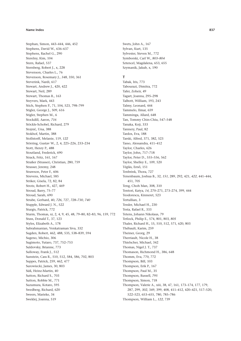Stephan, Simon, 443-444, 446, 452 Stephens, David W., 636-637 Stephens, Rachel G., 290 Sterelny, Kim, 104 Stern, Rafael, 537 Sternberg, Robert J., x, 228 Stevenson, Charles L., 76 Stevenson, Rosemary J., 348, 350, 361 Steverink, Nardi, 617 Stewart, Andrew J., 420, 422 Stewart, Neil, 289 Stewart, Thomas R., 163 Steyvers, Mark, 443 Stich, Stephen P., 71, 104, 523, 798-799 Stigler, George J., 509, 616 Stigler, Stephen M., 6 Stockdill, Aaron, 716 Stöckle-Schobel, Richard, 279 Stojnić, Una, 388 Stokhof, Martin, 388 Stollstorff, Melanie, 119, 122 Störring, Gustav W., 2, 4, 225-226, 233-234 Stott, Henry P., 488 Stoutland, Frederick, 690 Strack, Fritz, 161, 167 Straßer (Strasser), Christian, 280, 759 Strasser, Jeremy, 248 Strawson, Peter F., 606 Strevens. Michael. 585 Striker, Gisela, 72, 82, 84 Strotz, Robert H., 427, 469 Stroud, Barry, 75-77 Stroud, Sarah, 690 Strube, Gerhard, 40, 726, 727, 728-730, 740 Stupple, Edward J. N., 522 Sturgis, Patrick, 772 Sturm, Thomas, xi, 2, 4, 9, 45, 48, 79-80, 82-83, 96, 159, 772 Stuss, Donald T., 37, 123 Styles, Elizabeth A., 178 Subrahmanian, Venkatraman Siva, 332 Sugden, Robert, 462, 488, 535, 538-839, 594 Sugeno, Michio, 306 Sugimoto, Yutaro, 737, 752-753 Suldovsky, Brianne, 773 Sulloway, Frank J., 512 Sunstein, Cass R., 510, 512, 584, 586, 702, 803 Suppes, Patrick, 259, 462, 477 Surowiecki, James, 30, 803 Süß, Heinz-Martin, 40 Sutton, Richard S., 703 Sutton, Robbie M., 771 Suzumura, Kotaro, 595 Swedberg, Richard, 620 Sweers, Marieke, 34 Sweklej, Joanna, 519

Swets, John A., 167 Sylvan, Kurt, 135 Sylvester, Steven M., 772 Symborski, Carl W., 803-804 Sztencel, Magdalena, 653, 655 Szymanik, Jakub, x, 190

# $\mathsf{T}$

Tabak, Iris, 773 Tabourazi, Dimitra, 772 Tafer, Zoheir, 49 Tagart, Joanna, 295-298 Talbott, William, 193, 243 Talmy, Leonard, 444 Tammelo, Ilmar, 659 Tamminga, Allard, 648 Tan, Tommy Chin-Chiu, 547-548 Tanaka, Koji, 333 Tannery, Paul, 82 Tardos, Eva, 188 Tarski, Alfred, 371, 382, 523 Tasso, Alessandra, 411-412 Taylor, Charles, 626 Taylor, John, 717-718 Taylor, Peter D., 555-556, 562 Taylor, Shelley E., 109, 520 Téglás, Ernő, 151 Tenbrink, Thora, 727 Tenenbaum, Joshua B., 32, 151, 289, 292, 421, 422, 441-444, 451.705 Teng, Choh Man, 308, 310 Tentori, Katya, 14, 270-271, 273-274, 399, 444 Teodorescu, Kinneret, 523 Tertullian. 3 Tessler, Michael H., 230 Testa, Rafael R., 333 Tetens, Johann Nikolaus, 79 Tetlock, Philip E., 574, 801, 803, 805 Thaler, Richard H., 15, 510, 512, 571, 620, 803 Thébault, Karim, 259 Theiner, Georg, 29 Therriault, Nicole H., 38 Thielscher, Michael, 342 Thomas, Nigel J. T., 737 Thomason, Richmond H., 386, 648 Thomm, Eva, 770, 772 Thompson, Bill, 103 Thompson, Erik P., 167 Thompson, Paul M., 35 Thompson, Russell, 795 Thompson, Simon, 718 Thompson, Valerie A., xiii, 38, 47, 161, 173-174, 177, 179, 287, 299, 302, 349, 399, 408, 411-412, 420-421, 517-520, 522-523, 653-655, 780, 785-786 Thompson, William L., 122, 739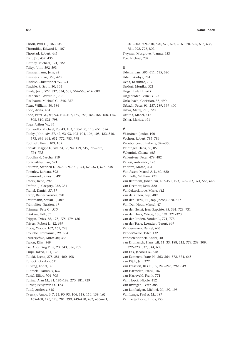Thorn, Paul D., 107-108 Thorndike, Edward L., 107 Thorstad, Robert, 445 Tian, Jin, 432, 435 Tierney, Michael, 121, 122 Tilley, John, 592-593 Timmermann, Jens, 82 Timmers, Rian, 363, 420 Tindale, Christopher W., 374 Tindale, R. Scott, 30, 364 Tirole, Jean, 529, 532, 534, 537, 567-568, 614, 689 Titchener, Edward B., 738 Titelbaum, Michael G., 246, 257 Titus, William, 30, 586 Todd, Anita, 454 Todd. Peter M., 83, 93, 106-107, 159, 163, 164-166, 168, 175. 508, 510, 521, 798 Toga, Arthur W., 35 Tomasello, Michael, 28, 43, 103, 105-106, 110, 651, 654 Tooby, John, xiv, 27, 42, 92-93, 103-104, 106, 108, 422, 510, 573, 636-641, 652, 772, 783, 798 Topitsch, Ernst, 103, 105 Toplak, Maggie E., xiv, 34, 38, 94, 179, 519, 792-793, 794-795 Topolinski, Sascha, 519 Torgovitsky, Ilan, 521 Toulmin, Stephen E., 367, 369-371, 374, 670-671, 675, 748 Townley, Barbara, 592 Townsend, James T., 491 Tracey, Irene, 702 Trafton, J. Gregory, 232, 234 Tranel, Daniel, 37, 57 Trapp, Rainer Werner, 690 Trautmann, Stefan T., 489 Trémolière, Bastien, 47 Trimmer, Pete C., 510 Trinkaus, Erik, 35 Trippas, Dries, 88, 175, 178, 179, 180 Trivers, Robert L., 42, 639 Trope, Yaacov, 162, 167, 793 Trouche, Emmanuel, 29, 364 Truszczyński, Mirosław, 333 Tsakas, Elias, 549 Tse, Alice Ping Ping, 20, 343, 356, 739 Tsujii, Takeo, 121, 123 Tulkki, Leena, 278-281, 400, 408 Tullock, Gordon, 611 Tulving, Endel, 39 Tuomela, Raimo, x, 627 Turiel. Elliot. 704-705 Turing, Alan M., 31, 186-188, 270, 381, 729 Turner, Benjamin O., 123 Tutić, Andreas, 615 Tversky, Amos, 6-7, 24, 90-93, 106, 118, 154, 159-162, 165-168, 176, 178, 281, 399, 449-450, 482, 485-491,

501-502, 509-510, 570, 572, 574, 616, 620, 625, 633, 636, 781, 792, 798, 802 Twyman-Musgrove, Joanna, 653 Tye, Michael, 737

# $\mathbf{U}$

Udehn, Lars, 595, 611, 615, 620 Udell, Wadiya, 781 Ueda, Kazuhiro, 737 Undorf, Monika, 521 Ungar, Lyle H., 805 Ungerleider, Leslie G., 23 Unkelbach, Christian, 38, 490 Urbach, Peter, 91, 257, 289, 399-400 Urbas, Matej, 718, 720 Urrutia. Mabel. 412 Usher, Marius, 491

# $\mathbf{v}$

Väänänen, Jouko, 190 Vachon, Robert, 785-786 Vadeboncoeur, Isabelle, 349-350 Vaihinger, Hans, 80, 85 Valentini, Chiara, 665 Vallentyne, Peter, 479, 482 Vallesi, Antonino, 123 Valtorta. Marco. 431 Van Assen, Marcel A. L. M., 620 Van Belle, William, 421 van Benthem, Johan, xii, 187-191, 193, 322-323, 374, 586, 648 van Deemter, Kees, 320 Vandekerckhove, Marie, 412 van de Kuilen, Gijs, 489 van den Herik, H. Jaap (Jacob), 670, 671 Van Den Hout, Marcel, 47 van der Henst, Jean-Baptiste, 35, 361, 728, 731 van der Hoek, Wiebe, 188, 191, 321-323 van der Linden, Sander L., 771, 773 van der Torre, Leendert (Leon), 649 Vanderveken, Daniel, 605 VanderWeele, Tyler, 432 Vandierendonck, André, 40 van Ditmarsch, Hans, xii, 11, 33, 188, 212, 323, 239, 309, 322-323, 337, 344, 608 van Eck, Jacobus A., 648 van Eemeren, Frans H., 362-364, 372, 374, 665 van Eijck, Jan, 322 van Fraassen, Bas C., 39, 243-245, 292, 649 van Harmelen, Frank, 187 van Harreveld, Frenk, 771 Van Hoeck, Nicole, 412 van Inwagen, Peter, 385 van Lambalgen, Michiel, 20, 192-193 Van Lange, Paul A. M., 487 Van Leijenhorst, Linda, 729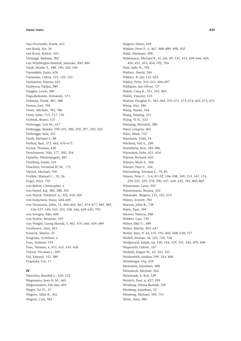Van Overwalle, Frank, 412 van Rooij, Iris, 34 van Rooij, Robert, 193 Vantaggi, Barbara, 282 van Wijnbergen-Huitink, Janneke, 300, 400 Vardi, Moshe Y., 188, 190, 320, 540 Varoufakis, Yanis, 626 Vartanian, Oshin, 121, 122, 123 Vartiainen, Hannu, 625 Vasilyeva, Nadya, 289 Vaughn, Lewis, 689 Vega-Redondo, Fernando, 573 Veltman, Frank, 381, 388 Veness, Joel, 705 Venet, Michèle, 785, 786 Venn. John. 715, 717, 736 Verbeek, Bruno, 537 Verbrugge, Lois M., 617 Verbrugge, Rineke, 190-191, 286, 292, 297, 320, 322 Verbrugge, Sara, 421 Verde, Michael F., 88 Verheij, Bart, 373, 665, 670-671 Verma, Thomas, 430 Verschueren, Niki, 177, 302, 354 Vianello, Michelangelo, 487 Vineberg, Susan, 241 Visschers. Vivianne H. M., 772 Vlerick, Michael, 769 Voelkle, Manuel C., 35, 56 Vogel, Peter, 739 von Bülow, Christopher, x von Fintel, Kai, 386, 388, 391 von Hayek, Friedrich A., 322, 618, 620 von Kutschera, Franz, 604-605 von Neumann, John, 15, 464-465, 467, 474-477, 482, 485, 536-537, 540, 543, 553, 558, 566, 629-630, 792 von Savigny, Eike, 606 von Sydow, Momme, 259 von Wright, Georg Henrik, 3, 461, 470, 645, 659, 689 Voorhoeve, Alex, 463 Voracek, Martin, 35 Vosgerau, Gottfried, x Voss. Andreas. 519 Voss, Thomas, x, 611, 615, 619, 620 Vriend, Nicolaas J., 509 Vul, Edward, 151, 289 Vygotsky, Lev, 17

# $\mathbf{M}$

Waechter, Randall L., 120, 122 Wagemans, Jean H. M., 665 Wagenmakers, Eric-Jan, 443 Wager, Tor D., 37 Wagner, Allan R., 441 Wagner, Carl, 582

Wagner, Heinz, 659 Wakker, Peter P., x, 467, 488-489, 498, 502 Wald, Abraham, 308 Waldmann, Michael R., ix, xiii, 49, 135, 413, 439-446, 449, 450, 451, 453, 454, 702, 704 Wall, Sally N., 783 Wallace, David, 244 Wallace, R. Jay, 135, 629 Walley, Peter, 312-313, 496-497 Wallgrün, Jan Oliver, 727 Walsh, Clare R., 351, 355, 405 Walsh, Vincent, 123 Walton, Douglas N., 361-364, 370-371, 373-374, 665, 672, 675 Wang, Hao, 186 Wang, Yanan, 364 Wang, Yaniing, 321 Wáng, Yì N., 323 Wansing, Heinrich, 280 Ward, Gregory, 605 Ware, Mark, 752 Wareham, Todd, 34 Warfield, Ted A., 248 Warmbröd, Ken, 385-386 Warneken, Felix, 651, 654 Warner, Richard, 665 Warren, Mark E., 584 Warren. Paul A., 166 Wartenberg, Thomas E., 79, 85 Wason, Peter C., 5-6, 87-92, 106-108, 149, 153, 167, 174, 220-221, 229, 278, 290, 637, 639, 652, 783, 802-803 Wasserman, Larry, 503 Wassermann, Renata, 333 Watanabe, Shigeru, 121, 123, 212 Waters, Everett, 783 Watson, John B., 738 Watts, Paul, 399 Weaver, Warren, 288 Webber, Lara, 730 Weber, Elke U., 489 Weber, Martin, 495, 637 Weber, Max, 9, 44, 135, 595, 602, 608, 618, 757 Wedell, Florian, 36, 123, 739, 758 Wedgwood, Ralph, xii, 130, 144, 159, 331, 344, 499, 608 Wegwarth, Odette, 167 Weibull, Jörgen W., 43, 103, 555 Weidenfeld, Andrea, 299, 354, 400 Weinberger, Ota, 659 Weinstein. Jonathan. 498 Weinstock, Michael, 364 Weintraub, E. Roy, 529 Weirich, Paul, x, 427, 593 Weisberg, Deena Skolnik, 105 Weisberg, Jonathan, 52 Weisberg, Michael, 585, 751 Weiss, Arne, 586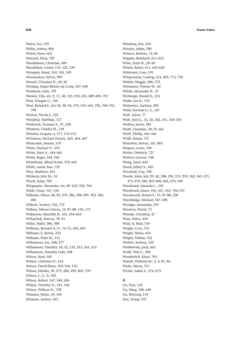Welch, Ivo, 192 Weller, Joshua, 805 Welzel, Hans, 663 Wenczel, Flora, 729 Wendelborn, Christian, 689 Wendelken, Carter, 119, 122, *729* Wenegrat, Brant, 103, 105, 109 Wenmackers, Sylvia, 299 Wenzel, Christian H., 49, 82 Werlang, Sérgio Ribeiro da Costa, 547–548 Wertheim, Julia, 729 Wessels, Ulla, xiv, 9, 17, 48, 133, 593, 625, 689–690, 707 West, Douglas C., 166 West, Richard F., xiv, 34, 38, 94, 179, 519, 654, 792, *794–795*, 798 Weston, Nicola J., 522 Westphal, Matthias, 727 Wetherick, Norman E., 91, 228 Wharton, Charles M., 118 Wheeler, Gregory, x, 277, 512–513 Whinston, Michael Dennis, 463, *464*, *467* Whitcomb, Dennis, 579 White, Michael V., 470 White, Peter A., 444–445 White, Roger, 244, 246 Whitehead, Alfred North, 370, 645 Whitt, Laurie Ann, 759 Wice, Matthew, 655 Wicherts, Jelte M., 35 Wiech, Katja, *702* Wiegmann, Alexander, xiv, 49, 422, 702, 704 Wilde, Oscar, 147, 156 Wilhelm, Oliver, 40, 95, 279, 286, 298–299, 302, 396, 400 Wilholt, Torsten, 762, 770 Wilkins, Minna Cheves, 13, 87–88, 120, 175 Wilkinson, Meredith R., 421, 654–655 Willaschek, Marcus, 78, 83 Willer, Malte, 386, 388 Williams, Bernard A. O., 74–75, 649, 695 Williams, E. Belvin, 233 Williams, Peter M., 312 Williamson, Jon, 248, 277 Williamson, Timothy, 16, 52, 132, 213, 243, 413 Williamson, Timothy Luke, 248 Wilson, Brad, *585* Wilson, Christine D., 414 Wilson, David Sloan, 103–104, 110 Wilson, Deirdre, 29, 273, 286, 290, 605, *770* Wilson, L. A., II, 592 Wilson, Robert, 547, 549, 626 Wilson, Timothy D., 161, 166 Wilson, William H., 728 Wimmer, Heinz, 43, 104 Winman, Anders, 343

Winsberg, Eric, 259 Winsler, Adam, 780 Winters, Barbara, 76, 86 Wippler, Reinhard, 611–612 Witte, Erich H., 29–30 Wittek, Rafael, 611, 619–620 Witteveen, Cees, 191 Wittgenstein, Ludwig, 216, 605, 715, 736 Wittlin, Maggie, *586*, *772* Wittmann, Werner W., 40 Witzki, Alexander H., *37* Wohlrapp, Harald R., 374 Woike, Jan K., 512 Wojtowicz, Zachary, 290 Wold, Herman O. A., 427 Wolf, Aaron, 77 Wolf, Ann G., 13, 32, 342, 351, 354–355 Wolfers, Justin, 585 Wolff, Christian, 78–79, 661 Wolff, Phillip, 445–446 Wölfl, Stefan, 727 Woloshin, Steven, 167, 803 Wolpert, Lewis, 769 Wolter, Diedrich, 727 Wolters, Gereon, 748 Wong, Jared, 442 Wood, Jeffrey S., 420 Woodruff, Guy, 190 Woods, John, xiii, 29, 42, 188, 190, 215, 259, 362, 367–371, 373–374, 586, 605–606, 665, 676, 690 Woodward, Amanda L., 105 Woodward, James, 105, 427, 452, 706–707 Woodworth, Robert S., 13, 87–88, 228 Wooldridge, Michael, 187–188 Woolgar, Alexandra, *795* Wootton, David, 73 Wranke, Christina, 47 Wray, Helen, 420 Wray, K. Brad, 750 Wright, Cory, 753 Wright, Helen, 654 Wright, Wilbur, 152 Wróbel, Andrzej, *122* Wróblewski, Jerzy, 662 Wulff, Dirk U., 490 Wunderlich, Klaus, 703 Wundt, Wilhelm M., 2, 4, 81, 86 Wylie, Alison, 751 Wyner, Adam Z., 374, 673

# **X**

Xu, Duo, *118* Xu, Ming, 188, 648 Xu, Shiyong, *118* Xue, Yunqi, 192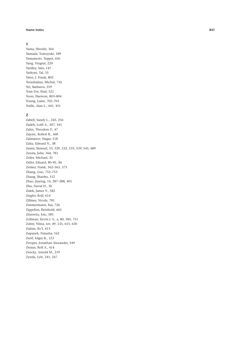### **Y**

Yama, Hiroshi, 364 Yamada, Tomoyuki, 189 Yamamoto, Teppei, 436 Yang, Yingrui, 220 Yardley, Iain, 147 Yarkoni, Tal, 35 Yates, J. Frank, 802 Yerushalmy, Michal, 736 Yet, Barbaros, 259 Yom-Tov, Elad, 521 Yoon, Haewon, *803–804* Young, Liane, 702–703 Yuille, Alan L., 441, 451

## **Z**

Zabell, Sandy L., 245, 256 Zadeh, Lotfi A., 307, 341 Zahn, Theodore P., 47 Zajonc, Robert B., 468 Zalmanov, Hagar, 518 Zalta, Edward N., 38 Zamir, Shmuel, 53, 529, *532*, *535*, *539*, 545, 689 Zavala, Julia, 364, 781 Zeiler, Michael, 35 Zeller, Eduard, 80–81, 86 Zenker, Frank, 362–363, 373 Zhang, Guo, 752–753 Zhang, Shaobo, 512 Zhao, Jiaying, 14, 287–288, 401 Zhu, David H., 30 Zidek, James V., 582 Ziegler, Rolf, 614 Zillmer, Nicole, 781 Zimmermann, Kai, 726 Zippelius, Reinhold, 665 Zitzewitz, Eric, 585 Zollman, Kevin J. S., x, 80, 585, 751 Zuber, Niina, xiv, 49, 135, 615, 630 Zultan, Ro'l, 413 Zupanek, Natasha, 162 Zurif, Edgar B., 123 Zvesper, Jonathan Alexander, 549 Zwaan, Rolf A., 414 Zwicky, Arnold M., 219 Zynda, Lyle, 241, 247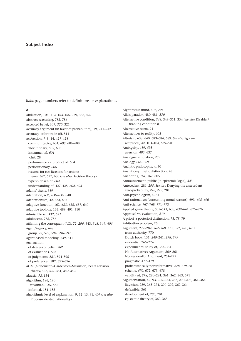*Italic* page numbers refer to definitions or explanations.

### **A**

Abduction, 104, 112, 153–155, 279, 368, 429 Abstract reasoning, 782, 786 Accepted belief, 307, *320*, 321 Accuracy argument (in favor of probabilities), 19, 241–242 Accuracy–effort trade-off, 511 Act/Action, 7–8, 14, 427–428 communicative, 601, *603*, 606–608 illocutionary, 605, 606 instrumental, *601* joint, 28 performance vs. product of, *604* perlocutionary, *606* reasons for (*see* Reasons for action) theory, 367, 627, 630 (*see also* Decision theory) type vs. token of, *604* understanding of, 427–428, *602*, *603* Adams' thesis, 389 Adaptation, *635*, 636–638, 640 Adaptationism, 42, 633, *635* Adaptive function, 162, *633*, 635, 637, 640 Adaptive toolbox, 164, 489, 491, 510 Admissible set, 432, *671* Adolescent, 785, 786 Affirming the consequent (AC), 72, *296*, 343, *348*, 349, *406* Agent/Agency, 648 group, 29, 579, 594, 596–597 Agent-based modeling, 639, 641 Aggregation of degrees of belief, *582* of evaluations, *582* of judgments, *581*, 594–595 of preferences, 582, 595–596 AGM (Alchourrón–Gärdenfors–Makinson) belief revision theory, 327, 329–331, 340–342 Akrasia, *72*, 134 Algorithm, 186, 190 Darwinian, 635, *652* informal, 154–155 Algorithmic level of explanation, 9, 12, 15, 31, 407 (*see also* Process-oriented rationality)

Algorithmic mind, 407, *794* Allais paradox, 480–481, *570* Alternative condition, *348*, 349–351, 354 (*see also* Disabler/ Disabling conditions) Alternative norm, 91 Alternatives to reality, 405 Altruism, 633, 640, 683–684, 689. *See also* Egoism reciprocal, 42, 103–104, 639–640 Ambiguity, 489, *495* aversion, *495*, 637 Analogue simulation, 259 Analogy, 664, 669 Analytic philosophy, 4, 50 Analytic–synthetic distinction, 76 Anchoring, *161*, 167, 805 Announcement, public (in epistemic logic), *323* Antecedent, 281, *295*. *See also* Denying the antecedent zero-probability, *278*, 279, 281 Anti-psychologism, 4, 81 Anti-rationalism (concerning moral reasons), 693, *695–696* Anti-science, 767–768, 771–773 Applied game theory, *535*–541, 638, *639*–641, 675–676 Appraisal vs. evaluation, *210* A priori–a posteriori distinction, 75, *78*, 79 Arbitration problem, 26 Argument, 277–282, *367–368*, 371, 372, 420, 670 from authority, 770 Dutch book, 151, *240*–241, *278*, *399* evidential, 265–274 experimental study of, 363–364 No-Alternatives Argument, *260*–261 No-Reason-For Argument, *261*–272 pragmatic, 477–479 probabilistically noninformative, *278*, 279–281 scheme, *670*, 672, 673, 675 validity of, *278*, 280–281, 361, 362, 363, 671 Argumentation, 42, 93, 265–274, 282, 290–292, 361–364 Bayesian, 259, 265–274, 290–292, 362–364 defeasible, 361 development of, *780*, 781 epistemic theory of, 362–363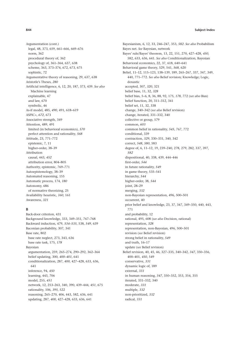Argumentation (cont.) legal, 48, 373, 659, 661–666, 669–676 norm, 362 procedural theory of, 362 psychology of, 361–364, 637, 638 scheme, 363, 373–374, 672, 673, 675 sophistic, 72 Argumentative theory of reasoning, 29, 637, 638 Aristotle's Theses, *280* Artificial intelligence, 6, 12, 20, 187, 373, 439. *See also* Machine learning explainable, 47 and law, 670 symbolic, 46 As-if model, 485, *490*, 491, 618–619 ASPIC<sub>+</sub>, 672, 673 Associative strength, 349 Attention, 489, 491 limited (in behavioral economics), *570* perfect attention and rationality, *568* Attitude, 23, 771–772 epistemic, 7, 11 higher-order, 38–39 Attribution causal, 443, *452* attribution error, 804–805 Authority, epistemic, 769–771 Autoepistemology, 38–39 Automated reasoning, 155 Automatic process, 174, *180* Autonomy, 686 of normative theorizing, 25 Availability heuristic, *160*, 161 Awareness, *321*

## **B**

Back-door criterion, 431 Background knowledge, 333, 349–351, 767–768 Backward induction, 479, *534–535*, 538, *549*, 639 Baconian probability, 307, 341 Base rate, 802 base rate neglect, 273, 343, 636 base rate task, 175, *178* Bayesian argumentation, 259, 265–274, 290–292, 362–364 belief updating, 300, *400–401*, 641 conditionalization, 287, *400*, 427–428, 633, 636, 641 inference, 94, *450* learning, 443, 706 model, 255, *451* network, 12, 253–263, 340, 390, 439–444, *451*, 675 rationality, 106, *395*, 522 reasoning, 265–270, 406, 443, 582, 636, 641 updating, 287, *400*, 427–428, 633, 636, 641

Bayesianism, 6, 12, 33, 246–247, 353, *582*. *See also* Probabilism Bayes net. *See* Bayesian, network Bayes' rule/Bayes' theorem, 13, 22, 151, 270, 427–428, *450*, 582, 633, 636, 641. *See also* Conditionalization, Bayesian Behavioral economics, 22, 37, 618, 640–641 Behavioral game theory, 529, 541, *568*, 620 Belief, 11–12, 115–123, 138–139, 189, 265–267, 337, 347, 349, 440, 771–772. *See also* Belief revision; Knowledge; Logic, doxastic accepted, 307, *320*, 321 belief base, 11, 32, *328* belief bias, 5–6, 8, 36, 88, 92, 175, *178*, 772 (*see also* Bias) belief function, 20, 311–312, 341 belief set, 11, 32, 338 change, 340–342 (*see also* Belief revision) change, iterated, 331–332, 340 collective or group, 579 common, *603* common belief in rationality, *545*, 767, 772 conditional, 339 contraction, *329*, 330–331, 340, 342 correct, *548*, *580*, 583 degree of, 6, 11–12, 19, 239–240, 278, 279, 282, 337, 397, *582* dispositional, 40, 338, 439, 444–446 first-order, *544* in future rationality, *549* in game theory, 535–541 hierarchy, *544* higher-order, 38, *544* joint, 28–29 merging, *332* non-Bayesian representation, 496, 500–501 occurrent, 40 prior belief and knowledge, 23, 37, 347, 349–350, 440, 443, 771 and probability, 12 rational, 495, 608 (*see also* Decision, rational) representation, *328* representation, non-Bayesian, 496, 500–501 revision (*see* Belief revision) strong belief in rationality, *549* and truth, 16–17 update (*see* Belief revision) Belief revision, 40, 45, 46, 327–335, 340–342, *347*, 350–356, 400–401, *450*, 549 conservative, *331* dynamic logic of, 189 external, *331* in human reasoning, *347*, 350–352, 353, 354, 355 iterated, 331–332, 340 moderate, *331* multiple, *332* non-prioritized, *332* radical, *331*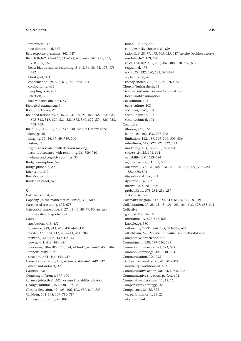restrained, *331* two-dimensional, *332* Best-response dynamics, 562, 647 Bias, 160–162, 436–437, 518–521, 633, 640, 641, 751, 752, 758, 759, 762 belief bias in human reasoning, 5–6, 8, 36, 88, 92, 175, *178*, 772 blind spot, 804 confirmation, 29, 638, 639, 771, 772, 804 confounding, 432 sampling, *490*, 491 selection, 435 bias-variance dilemma, *512* Biological naturalism, 9 Boethius' Theses, *280* Bounded rationality, 6, 15, 24, 34, 89, 92, 164–165, *322*, 490, *505–*513, 518, 520, 521, 523, *573*, 569, 572, 574, 625, 728, 768–769 Brain, 35, 117–125, 736, 739, 740. *See also* Cortex; Lobe damage, 36 imaging, 35, 36, 37, 49, 739, 740 lesion, 36 regions associated with decision making, 36 regions associated with reasoning, 36, 739, 740 volume and cognitive abilities, 35 Bridge assumption, *612* Bridge principle, *206* Brier score, *242* Broca's area, 35 Burden of proof, *675*

# **C**

Calculus, causal, 430 Capacity (in the mathematical sense), 306, 500 Case-based reasoning, 672, 673 Categorical imperative, 9, 27, 45–46, 48, *79*, 80. *See also* Imperative, hypothetical Causal attribution, 443, *452* inference, 279, 411, 413, 439–446, 451 model, 371, 374, 413, 439–444, 451, 702 network, 429–435, 439–444, *451* power, 441, 442, 444, *451* reasoning, 104–105, 371, 374, 411–413, 439–446, 451, 786 responsibility, 452 structure, 431, 441, 443, *451* Causation, causality, 105, 427–437, 439–446, *449*, 537 direct and indirect, *433* Caution, 498 Centering inference, *399–400* Chance (objective), *240*. *See also* Probability, physical Change, minimal, 153, 330, 332, 350 Cheater detection, 42, 103, 106, 108, *639*, 640, *783* Children, 104–105, 107, 780–787 Chinese philosophy, 49, 802

Choice, 138–139, 485 complex risky choice task, *489* rational, 6, 28, 77, 473, 505, 625, 647 (*see also* Decision theory) resolute, 462, 479, 690 risky, 474–482, 485, 486, 487, 488, 510, 636, 637 sequential, 478 social, 29, 332, 580, 583, 595–597 sophisticated, 479 theory choice, 748, 749–750, 760, 761 Church–Turing thesis, 31 Civil law, 661–662. *See also* Criminal law Closed world assumption, 8 Coevolution, 101 gene–culture, 103 socio-cognitive, 104 socio-linguistic, 103 socio-technical, 104 Cognitive illusion, 162, 166 labor, 101, 103, 108, *767–768* limitation, 162, 489, 505–506, 509, 636 miserliness, 517, *520*, 521, 522, 523 modelling, 491, 729–730, 740–741 success, 24–25, 101, 511 variability, 651, 653–654 Cognitive science, 31, 33, 50, 51 Coherence, 130–131, 165, *278*–281, 328–331, *399*, *519*, 520, 523, 630, 801 dispositional, *330*, 331 dynamic, *330*, 333 interval, 278, 281, *399* probabilistic, *278*–281, 286–287 static, *278*, *329* Coleman's diagram, *611–612*, 613, 614, 616, 618, 619 Collaboration, 27, 28, 42–43, 101, 103–104, 615, *627*, 638–641 Collective good, *612*, 613–615 intentionality, 597–598, 609 knowledge, 580 rationality, 28–31, *580*, 585, *591–598*, 627 Collectivism, 626. *See also* Individualism, methodological Combinative preference, 461 Commitment, 328, 539–540, 598 Common difference effect, *571*, 574 Common knowledge, *321*, 540, *603* Communication, 290–293 Gricean account of, 29, 45, 601–603 normality conditions of, 603 Communicative action, 601, *603*, 606, 608 Communicative situation, perfect, 604 Comparative theorizing, 11, 12, 15 Compensatory strategy, 164 Competence, 21, 25, 328 vs. performance, 1, 23, 25 of voters, *584*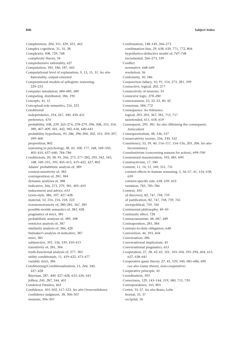Completeness, *204*, 331, 429, 431, *462* Complex cognition, 31, 35, 38 Complexity, 508, 729, 768 complexity theory, 34 Comprehensive rationality, 627 Computation, 185, 186, 187, 443 Computational level of explanation, 9, 13, 15, 31. *See also* Rationality, output-oriented Computational models of syllogistic reasoning, 229–233 Computer simulation, 684–685, 689 Computing, distributed, 186, 190 Concepts, 41, 51 Conceptual-role semantics, 216, 223 Conditional independence, *254*, 267, 340, 430–431 preference, 470 probability, 108, *239*, 265–274, *278–279*, *296*, 308, *353*, 354, 389, 407–409, 441, 442, 582, *636*, 640–641 probability hypothesis, *95*, *286*, *296*–300, 302, *353*, *395*–397, 399–400 proposition, 802 reasoning in psychology, 38, 43, 108, 177, *348*, 349–350, 405–410, 637–640, 784–786 Conditionals, 20, 38, 95, 266, 273, 277–282, *295*, 342, 343, *348*, 349–355, *395*, 405–415, 419–422, 427, 802 Adams' probabilistic analysis of, 389 context-sensitivity of, 382 contraposition of, *281*, 384 dynamic analyses of, 388 indicative, 266, 273, 279, 381, 405–410 inducement and advice, *653* Lewis-style, 386, *397*, 427–428 material, 52, 216, 216, 218, 222 nonmonotonicity of, 280–281, 367, 385 possible-worlds semantics of, 383, 428 pragmatics of strict, 385 probabilistic analyses of, 389, *398* restrictor analysis of, 387 similarity analysis of, 386, 428 Stalnaker's analysis of indicative, 387 strict, 385 subjunctive, 391, 536, 539, 410–415 transitivity of, 281, 384 truth-functional analysis of, 277, 383 utility conditionals, 11, *419*–422, 473–477 variably strict, 386 Conditioning/Conditionalization, 13, *244*, 340, 427–428 Bayesian, 287, *400*, 427–428, 633, 636, 641 Jeffrey, *245*, 287, 344, *401* Condorcet Paradox, 463 Confidence, *501*–502, 517–523. *See also* Overconfidence confidence judgment, 38, 306–307 measure, 306–307

Confirmation, 148–149, 266–273 confirmation bias, 29, 638, 639, 771, 772, 804 hypothetico-deductive model of, *747–748* incremental, 266–273, 339 Conflict normative, *648*–649 resolution, 36 Conformity, 30, 586 Conjunction fallacy, 10, 91, 154, 273, *281*, *399* Connective, logical, *202*, 277 Connectivity of neurons, 35 Connexive logic, *278–280* Consciousness, 23, 32–33, 40, 42 Consensus, 584, 772 Consequence. *See* Inference logical, *203*, *205*, *367*, 381, 715, 717 unintended, 611, 618, 619 Consequent, *295*, 381. *See also* Affirming the consequent; Antecedent Consequentialism, 48, *536*, 537 Conservativity (norm), 256, 330, 332 Consistency, 33, 39, 40, 116–117, 154–156, *203*, *206*. *See also* Inconsistency Constitutivism (concerning reasons for action), *699–700* Constrained maximization, 593, 685, 690 Constructivism, 17, 580 Content, 11, 14, 51, 349, 351, 731 content effects in human reasoning, 5, 36–37, 41, 154, *638*, 639 content-specific rule, *638*, 639, 652 variation, 783, 785–786 Context, 350 of discovery, 82, 747, *758*, 759 of justification, 82, 747, *758*, 759, 761 sociopolitical, 759, 760 Continental philosophy, 49–50 Continuity effect, 728 Contractarianism, 48, 687, 689 Contraposition, *281*, 384 Contrary-to-duty obligation, *648* Convention, 46, 593, *604* Conversation, 286 Conversational implicature, 45 Conversational pragmatics, *653* Cooperation, 27, 28, 42–43, 101, 103–104, *591–594*, 604, 615, *627*, 638–641 Cooperative game theory, *27*, 45, 529, 540, 685–686, 690 (*see also* Game theory, non-cooperative) Cooperative principle, 45 Coordination, *593* Correctness, 129, 143–144, *319*, *580*, 715, 720 Correspondence, 165, 801 Cortex, 35–37. *See also* Brain; Lobe frontal, 35, 37 occipital, 36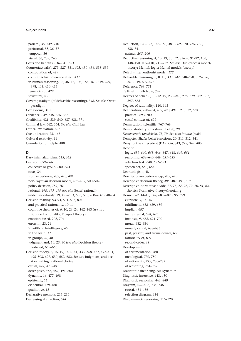parietal, 36, 739, 740 prefrontal, 35, 36, 37 temporal, 36 visual, 36, 739, 740 Costs and benefits, 636–641, 653 Counterfactual(s), 279, 327, 381, *405*, 430–436, 538–539 computation of, 429 counterfactual inference effect, *411* in human reasoning, 33, 36, 42, 105, 154, 161, 219, 279, 398, 405, 410–415 semantics of, 429 structural, 430 Covert paradigm (of defeasible reasoning), *348*. *See also* Overt paradigm Cox axioms, 310 Credence, *239*–248, 265–267 Credibility, 421, 539–540, 637–638, 771 Criminal law, 662, 664. *See also* Civil law Critical evaluation, 627 Cue utilization, 23, 163 Cultural relativity, 41 Cumulation principle, 488

# **D**

Darwinian algorithm, 635, *652* Decision, 659–666 collective or group, 580, *583* costs, 34 from experience, *489*, 490, 491 non-Bayesian decision model, 496–497, 500–502 policy decision, 757, 761 rational, 495, *497–499* (*see also* Belief, rational) under uncertainty, 19, 495–503, 506, 513, 636–637, 640–641 Decision making, 93–94, 801–802, 804 and practical rationality, 10–11 cognitive theories of, 6, 10, 23–24, 162–163 (*see also* Bounded rationality; Prospect theory) emotion-based, 702, 704 errors in, 23, 24 in artificial intelligence, 46 in the brain, 37 in groups, 29, 30 judgment and, 10, 23, 30 (*see also* Decision theory) rule-based, 659–666 Decision theory, 6, 15, 19, 140–141, 333, 368, 427, 473–484, 495–503, 627, 630, 652, 682. *See also* Judgment, and decision making; Rational choice causal, 427, 479–480 descriptive, *485*, 487, 491, 502 dynamic, 16, 477, 498 epistemic, 11 evidential, 479–480 qualitative, 15 Declarative memory, 215–216 Decreasing abstraction, *614*

Deduction, 120–123, 148–150, 381, 669–670, 735, 736, 638–741 natural, *203*, *206* Deductive reasoning, 4, 13, 19, 33, *72*, 87–89, 91–92, 106, 148–150, 405–410, 715–722. *See also* Dual-process model/ theory; Mental, logic; Mental models (theory) Default-interventionist model, *173* Defeasible reasoning, 5, 8, 13, *333*, *347*, 348–350, 352–356, 361, 649, 669–672 Deference, 769–771 de Finetti truth table, *398* Degrees of belief, 6, 11–12, 19, 239–240, 278, 279, 282, 337, 397, *582* Degrees of rationality, 140, 143 Deliberation, 228–234, 489, 490, 491, 521, 522, *584* practical, 693–700 social context of, 699 Demarcation, scientific, 767–768 Demonstrability (of a shared belief), 29 *Demonstratio* (*apodeixis*), *73*, 79. See also *Intuitio* (*noûs*) Dempster–Shafer belief functions, 20, 311–312, 341 Denying the antecedent (DA), *296*, 343, *348*, 349, *406* Deontic logic, 639–640, *645*, 646, 647, 648, 649, *651* reasoning, 638–640, 649, *651*–655 selection task, *640*, *651*–653 speech act, *653*, 654 Deontologism, 48 Description–experience gap, *489*, 490 Descriptive decision theory, *485*, 487, 491, 502 Descriptive–normative divide, *71*, 73, *77*, 78, 79, 80, *81*, 82. *See also* Normative theory/theorizing Desire, 8–9, 14–16, 142, 681–689, 695, 699 extrinsic, *9*, 14, 15 fulfillment, 682–689, 689 implicit, *682* instrumental, *694*, 695 intrinsic, *9*, *682*, 694–700 moral, 682–684 morally causal, 683–685 past, present, and future desires, 685 rationality of, 8–9 second-order, 38 Development of argumentation, 780 metalogical, *779*, 780 of rationality, *779*, 780–787 of reasoning, 781–787 Diachronic theorizing. *See* Dynamics Diagnostic inference, 443, 450 Diagnostic reasoning, 443, *449* Diagram, 429–435, 735, 736 causal, 431–436 selection diagram, 434 Diagrammatic reasoning, 715–720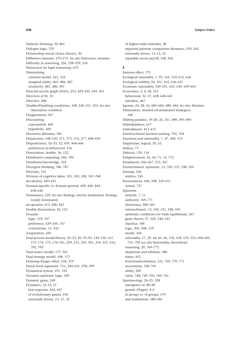Dialectic thinking, 50, 801 Dialogue logic, 370 Dictatorship (social choice theory), 30 Difference measure, 270–273. *See also* Relevance, measure Difficulty in reasoning, 226, 228–229, 234 Dimension (in legal reasoning), *672* Diminishing criterion model, *521*, 523 marginal utility, *465*, 486, 487 sensitivity, 485, *486*, 491 Directed acyclic graph (DAG), *253*, 429–435, 441, *451* Direction of fit, 10 Directive, *208* Disabler/Disabling conditions, *348*, 349–351, 354. *See also* Alternative condition Disagreement, 247 Discounting exponential, *469* hyperbolic, 469 Discursive dilemma, *581* Disjunction, 148–150, 271, 273, 274, 277, 408–410 Disposition(s), 32–33, 52, 439, 444–446 preferences as behavioral, 536 Dissociation, double, 36, 122 Distributed computing, 186, 190 Distributed knowledge, *322* Divergent thinking, *786*, 787 Diversity, 763 Division of cognitive labor, 101, 103, 108, *767–768 do*-calculus, 430–431 Domain-specific vs. domain-general, 439, 440, 443, *638*–640 Dominance, *210*. *See also* Strategy, strictly dominated; Strategy, weakly dominated *do*-operator, 413, 428, 442 Double dissociation, 36, 122 Doxastic logic, *319*, 337 preference, 329–330, *331* voluntarism, 11, 333 *d*-separation, 430 Dual-process model/theory, 22–23, 49, 93–95, 149–150, 167, *173*, 174, 175, 176–181, 229, 231, 233, 301, *354*, 355, 616, 702, *792* Dual-source model, *177*, 301 Dual-strategy model, 108, *177* Dunning–Kruger effect, 518, *519* Dutch book argument, 151, *240*–241, *278*, *399* Dynamical system, 191, 192 Dynamic-epistemic logic, 189 Dynamic game, *549* Dynamics, *12–14*, 15 best-response, 562, 647 of evolutionary games, 556 externally driven, 13, 15, 32

of higher-order attitudes, 38 impartial pairwise comparison dynamics, 559, 562 internally driven, 12–13, 32 separable excess payoff, 558, 562

# **E**

Easiness effect, *771* Ecological rationality, 7, 93, 165, *510*–512, *636* Ecological validity, 24, 101, 163, *636*–637 Economic rationality, 330–331, 625, 630, 639–641 Economics, 3, 6, 28, 331 behavioral, 22, 37, 618, 640–641 mindless, 467 Egoism, 24, 28, 43, 683–684, 689, 694. *See also* Altruism Elimination, iterated (of dominated strategies), *546* Ellsberg paradox, 19–20, 26, 311, 489, 495–496 Embeddedness, *617* Embodiment, 413–415 Emotion-based decision making, 702, 704 Emotions and rationality, 7, *47*, *568*, 572 Empiricism, logical, 20, 52 *Endoxa*, 73 *Enkrasia*, 129, *134* Enlightenment, 16, 44, 71, 74, 772 Entailment, 266–267, 272, 367 Entrenchment, epistemic, 13, 330, *331*, 338, 350 Entropy, 244 relative, 245 Environment, 506, 508, 510–511 virtual, 737 Epistemic attitude, 7, 11 authority, 769–771 democracy, *580–581* entrenchment, 13, 330, *331*, 338, 350 epistemic conditions for Nash equilibrium, *567* game theory, 27, 529, 540, 543 injustice, *586* logic, 305, 308, *319* model, *544* rationality, 17, 29, 44–45, 46, *176*, *518*, 519, 523, 694–695, 735, *792* (*see also* Rationality, theoretical) reasoning, 29, 769–772 skepticism and nihilism, *586* status, 412 trust/trustworthiness, 351, 769, *770*, 771 uncertainty, 768–769 utility, *209* value, 748, 749–750, *760*, 761 Epistemology, 24–25, 328 emergence of, *80–82* genetic (Piaget), 4–5 in groups vs. of groups, *579* and institutions, 580–581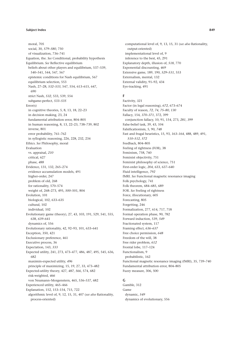moral, 705 social, 30, *579–580*, 750 of visualization, 736–741 Equation, the. *See* Conditional, probability hypothesis Equilibrium. *See* Reflective equilibrium beliefs about other players and equilibrium, 537–539, 540–541, 544, 547, 567 epistemic conditions for Nash equilibrium, 567 equilibrium selection, 553 Nash, 27–28, *532–533*, 547, 554, 613–615, 647, 690 strict Nash, *532*, 533, 539, 554 subgame-perfect, *533–535* Error(s) in cognitive theories, 5, 8, 13, 18, 22–23 in decision making, 23, 24 fundamental attribution error, 804–805 in human reasoning, 8, 13, 22–23, 738–739, 802 inverse, 801 error probability, 761–762 in syllogistic reasoning, 226, 228, 232, 234 Ethics. *See* Philosophy, moral Evaluation vs. appraisal, *210* critical, 627 phase, *488* Evidence, 131, 132, 265–274 evidence accumulation models, 491 higher-order, 247 problem of old, 268 for rationality, 570–574 weight of, 268–273, 495, *500*–501, 804 Evolution, 101 biological, 102, 633–635 cultural, 102 individual, 102 Evolutionary game (theory), 27, 43, 103, 191, 529, 541, 555, 638, *639*–641 dynamics of, 556 Evolutionary rationality, 42, 92–93, 101, 633–641 Exception, 350, 421 Exclusionary preference, 461 Executive process, 36 Expectation, 143, *333* Expected utility, 241, 273, 473–477, 486, 487, 495, 545, 636, 682 maximin-expected utility, *496* principle of maximizing, 15, 19, 27, 33, 473–482 Expected-utility theory, 427, *487*, *566*, 574, 682 risk-weighted, *466* von Neumann–Morgenstern, 465, 536–537, 682 Experienced utility, 465–466 Explanation, 152, 153–154, 715, 722 algorithmic level of, 9, 12, 15, 31, 407 (*see also* Rationality, process-oriented)

computational level of, 9, 13, 15, 31 (*see also* Rationality, output-oriented) implementational level of, 9 inference to the best, 45, 291 Explanatory depth, illusion of, *518*, 770 Exponential discounting, *469* Extensive game, 189, 190, *529–531*, 553 Externalism, mental, 132 External validity, 91–92, 434 Eye-tracking, 491

# **F**

Factivity, *321* Factor (in legal reasoning), *672*, 673–674 Faculty of reason, *72*, *74*, *75–80*, *130* Fallacy, 154, *370–371*, 372, 399 conjunction fallacy, 10, 91, 154, 273, *281*, *399* False-belief task, 39, 43, 104 Falsificationism, 5, 90, *748* Fast and frugal heuristics, 15, 93, *163–164*, 488, 489, 491, *510–512*, *572* Feedback, 804–805 Feeling of rightness (FOR), 38 Feminism, 758, 760 Feminist objectivity, 751 Feminist philosophy of science, 751 First-order logic, *204*, 633, 637–640 Fluid intelligence, *792* fMRI. *See* Functional magnetic resonance imaging Folk psychology, 741 Folk theorem, 684–685, 689 FOR. *See* Feeling of rightness Force, illocutionary, 605 Forecasting, 805 Forgetting, 246 Formalization, 277, 614, 717, 718 Formal operation phase, 90, 782 Forward induction, 539, *549* Fractionated system, 117 Framing effect, *636–637* Free choice permission, *648* Freedom of the will, 38 Free rider problem, *612* Frontal lobe, 117–124 Functionalism, 9 probabilistic, 162 Functional magnetic resonance imaging (fMRI), 35, 739–740 Fundamental attribution error, 804–805 Fuzzy measure, 306, 500

# **G**

Gamble, 312 Game dynamic, *549* dynamics of evolutionary, 556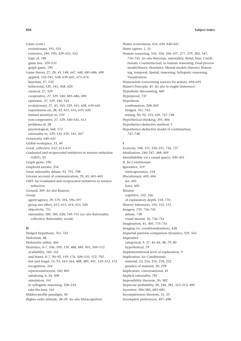Game (cont.) evolutionary, 191, 555 extensive, 189, 190, *529–531*, 553 logic of, 189 game tree, *529–531* graph game, 190 Game theory, 27, 28, 43, 148, 647, 648, 685–686, 690 applied, *535*–541, 638, *639*–641, 675–676 Bayesian, 27, 532 behavioral, 529, 541, *568*, 620 classical, 27, *529* cooperative, *27*, 529, 540, 685–686, 690 epistemic, 27, 529, 540, 543 evolutionary, 27, 43, 103, 529, 541, 638, *639*–641 experiments on, 28, 43, 615, 616, 619, 620 limited attention in, *570* non-cooperative, *27*, 529, 540–541, 613 problems of, 28 psychological, *568*, 572 rationality in, 529, 535–539, 541, *567* Generosity, 640–641 Global workspace, 33, 40 Good, collective, *612*, 613–615 Graduated and reciprocated initiatives in tension reduction (GRIT), 43 Graph game, 190 Graphoid axioms, 254 Great rationality debate, 93, 791, *798* Gricean account of communication, 29, 45, 601–603 GRIT. *See* Graduated and reciprocated initiatives in tension reduction Ground, 369. *See also* Reasons Group agent/agency, 29, 579, 594, 596–597 group size effect, 612, *613*, 614, 615, 620 objectivity, 751 rationality, *580*, 585, 628, 749–751 (*see also* Rationality,

### **H**

collective; Rationality, social)

Hedged hypothesis, *761*, 762 Hedonism, 48 Hedonistic utility, 466 Heuristics, 6–7, 106, 109, *159*, 488, 489, 491, 509–512 availability, *160*, 161 and biases, 6–7, 90–92, *159*, 176, *509–510*, *572*, *792* fast and frugal, 15, 93, *163–164*, 488, 489, 491, *510–512*, *572* recognition, *164* representativeness, *160*, 805 satisficing, 6, 34, *508* simulation, *161* in syllogistic reasoning, 228–234 take-the-best, *165* Hidden-profile paradigm, 30 Higher-order attitude, 38–39. *See also* Metacognition

Homo economicus, 616, 630, *640*–641 *Homo sapiens*, 1, 35 Human reasoning, 102, 104, 106–107, 277, 279, 282, 347, 736–741. *See also* Bayesian, rationality; Belief, bias; Conditionals; Counterfactual, in human reasoning; Dual-process model/theory; Heuristics; Mental models (theory); Reasoning, temporal; Spatial, reasoning; Syllogistic reasoning; Visualization Humeanism (concerning reasons for action), *694–695* Hume's Principle, 45. *See also* Is–ought (inference) Hyperbolic discounting, 469 Hyperproof, 737 Hypothesis confirmation, 268–269 hedged, *761*, 762 testing, 90, 92, 153, 639, 747–748 Hypothetical thinking, 295, 406 Hypothetico-deductive method, 5 Hypothetico-deductive model of confirmation, *747–748*

# **I**

Iconicity, 148, 151, 230–231, 736, 737 Idealization, 246–247, *368–369* Identifiability (of a causal query), 430–431 If. *See* Conditionals Ignorance, *319* meta-ignorance, 518 Illocutionary, *605*, 606 act, 605 force, 605 Illusion cognitive, 162, 166 of explanatory depth, *518*, 770 Illusory inferences, 150, 152, 155 Imagery, *735*, 736–741 debate, 738 visual mental, 36, 736–741 Imagination, 41, 405, 735–741 Imaging (vs. conditionalization), 428 Impartial pairwise comparison dynamics, 559, 562 Imperative categorical, 9, 27, 45–46, 48, *79*, 80 hypothetical, *79* Implementational level of explanation, 9 Implication. *See* Conditionals material, 52, 216, 216, 218, 222 paradox of material, 20, *278* Implicature, conversational, 45 Implicit rationality, *781* Impossibility theorem, 30, 582 Imprecise probability, 20, 246, 281, 312–313, *496* Incentive, 584–585, 683–685 Incompleteness theorem, 31, 33 Incomplete preferences, 497–*498*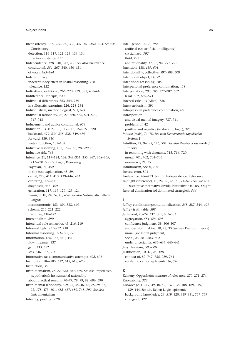Inconsistency, 327, 329–330, 333, 347, 351–352, 353. *See also* **Consistency** detection, 116–117, 122–123, 153–154 time inconsistency, *571* Independence, 328, 340, 342, 430. *See also* Irrelevance conditional, *254*, 267, 340, 430–431 of votes, *583–584* Indeterminacy indeterminacy effect in spatial reasoning, 728 tolerance, 122 Indicative conditional, 266, 273, 279, 381, 405–410 Indifference Principle, *243* Individual differences, 363–364, 739 in syllogistic reasoning, 226, 228–234 Individualism, methodological, 601, *611* Individual rationality, *26*, 27, 580, 585, 591–592, 747–748 Inducement and advice conditional, *653* Induction, 13, 102, 106, 117–118, 152–153, 720 backward, 479, *534–535*, 538, 549, 639 forward, 539, *550* meta-induction, 107–108 Inductive reasoning, 107, 152–153, 289–290 Inductive risk, *761* Inference, 21, 117–124, 162, 348–351, 355, 367, *368–369*, 717–720. *See also* Logic; Reasoning Bayesian, 94, *450* to the best explanation, 45, 291 causal, 279, 411, 413, 439–446, *451* centering, *399–400* diagnostic, 443, *450* generation, 117, 119–120, 123–124 is–ought, 18, 24, 26, 45, *654* (*see also* Naturalistic fallacy; Ought) nonmonotonic, 153–154, 333, 649 schema, 216–221, 222 transitive, 118–122 Inferentialism, *299* Inferential-role semantics, 45, 216, 219 Informal logic, *371–372*, 718 Informal reasoning, *371–372*, 770 Information, 186, 187, 440, 441 flow in games, 537 gain, 333, 652 loss, 246, 327, 333 Informative (as a communicative attempt), *602*, 606 Institution, 584–585, 612, 615, 618, 620 Instruction, 350 Instrumentalism, *76–77*, *682*–687, 689. *See also* Imperative, hypothetical; Instrumental rationality about practical reasons, *76–77*, 78, 79, 82, 686, 690 Instrumental rationality, 8–9, 27, 45–46, 48, *76–79*, 87, 92, *175*, 473, 601, *682*–687, 689, 748, *792*. *See also* Instrumentalism Integrity, practical, 628

Intelligence, 37–38, *792* artificial (*see* Artificial intelligence) crystallized, *792* fluid, *792* and rationality, 37, 38, 94, *791*, *792* Intention, 138, *139*, *601* Intentionality, collective, 597–598, 609 Intentional object, 14, 52 Intentional reasoning, 105 Interpersonal preference combination, 468 Interpretation, *203*, *205*, 277–282, 662 legal, 662, 669–674 Interval calculus (Allen), 726 Interventionism, 391 Intrapersonal preference combination, 468 Introspection and visual mental imagery, 737, 741 problems of, 42 positive and negative (in doxastic logic), *320 Intuitio* (*noûs*), 71–75. See also *Demonstratio* (*apodeixis*); System 1 Intuition, 74, 94, 95, 176, 507. *See also* Dual-process model/ theory in reasoning with diagrams, 715, 716, 720 moral, 701, 702, 704–706 normative, 21, 25 Intuitionism, social, 704 Inverse error, 801 Irrelevance, 266–273. *See also* Independence; Relevance Is–ought (inference), 18, 24, 26, 45, 71, 74–82, 654. *See also* Descriptive–normative divide; Naturalistic fallacy; Ought Iterated elimination (of dominated strategies), *546*

# **J**

Jeffrey conditioning/conditionalization, *245*, 287, 344, *401* Jeffrey truth table, *398* Judgment, 23–24, 337, 801, 802–803 aggregation, *581*, 594–595 confidence judgment, 38, 306–307 and decision making, 10, 23, 30 (*see also* Decision theory) moral (*see* Moral judgment) social, 23, 581–583, 802 under uncertainty, 636–637, 640–641 Jury theorems, *583–584* Justification, 10, 16, 25, 328 context of, 82, 747, *758*, 759, 761 epistemic vs. non-epistemic, 16, *320*

# **K**

Kemeny–Oppenheim measure of relevance, 270–271, 274 Knowability, *323* Knowledge, 16–17, 39–40, 52, 137–138, 188, 189, 349, 439–444. *See also* Belief; Logic, epistemic background knowledge, 23, *319*, 320, 349–351, 767–769 change of, *322*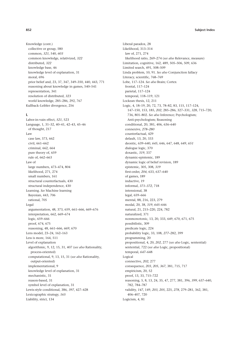Knowledge (cont.) collective or group, 580 common, *321*, 540, *603* common knowledge, relativized, *322* distributed, *322* knowledge base, 46 knowledge level of explanation, 31 moral, 696 prior belief and, 23, 37, 347, 349–350, 440, 443, 771 reasoning about knowledge in games, 540–541 representation, 341 resolution of distributed, *323* world knowledge, 285–286, 292, 767 Kullback–Leibler divergence, 256

## **L**

Labor-in-vain effect, *521*, 523 Language, 1, 31–32, 40–41, 42–43, 45–46 of thought, 217 Law case law, 373, 662 civil, 661–662 criminal, 662, 664 pure theory of, 659 rule of, 662–663 Law of large numbers, 473–474, 804 likelihood, 271, 274 small numbers, 161 structural counterfactuals, 430 structural independence, 430 Learning. *See* Machine learning Bayesian, 443, 706 rational, 705 Legal argumentation, 48, 373, 659, 661–666, 669–676 interpretation, 662, 669–674 logic, 659–666 proof, 674, 675 reasoning, 48, 661–666, *669*, 670 Lens model, 23–24, 162–163 Less is more, 164, 511 Level of explanation algorithmic, 9, 12, 15, 31, 407 (*see also* Rationality, process-oriented) computational, 9, 13, 15, 31 (*see also* Rationality, output-oriented) implementational, 9 knowledge level of explanation, 31 mechanistic, 31 reason-based, 31 symbol level of explanation, 31 Lewis-style conditional, 386, *397*, 427–428 Lexicographic strategy, *165* Liability, strict, 134

Liberal paradox, 28 Likelihood, 313–314 law of, 271, 274 likelihood ratio, 269–274 (*see also* Relevance, measure) Limitation, cognitive, 162, 489, 505–506, 509, 636 Limited search, 491, 508–509 Linda problem, 10, 91. *See also* Conjunction fallacy Literacy, scientific, 768–769 Lobe, 117–124. *See also* Brain; Cortex frontal, 117–124 parietal, 117–124 temporal, 118–119, 121 Lockean thesis, 12, 211 Logic, 4, 18–19, 20, 72, 73, 78–82, 83, 115, 117–124, 147–150, 153, 185, *202*, 285–286, 327–331, *328*, 715–720, 736, 801–802. *See also* Inference; Psychologism; Anti-psychologism; Reasoning conditional, 20, 381, 406, 636–640 connexive, *278–280* counterfactual, 429 default, 13, 20, 333 deontic, 639–640, *645*, 646, 647, 648, 649, *651* dialogue logic, 370 doxastic, *319*, 337 dynamic-epistemic, 189 dynamic logic of belief revision, 189 epistemic, 305, 308, *319* first-order, *204*, 633, 637–640 of games, 189 inductive, 19 informal, *371–372*, 718 intensional, 38 legal, 659–666 mental, 88, 216, 223, 279 modal, 20, 38, *319*, *645*–646 natural, 21, 215–220, 224, 782 naturalized, 371 nonmonotonic, 13, 20, 333, 649, 670, 671, 675 possibilistic, 309 predicate logic, 224 probability logic, 33, 108, *277*–282, 399 programming, 20 propositional, 4, 20, *202*, 277 (*see also* Logic, sentential) sentential, 722 (*see also* Logic, propositional) temporal, *647*–648 Logical connective, *202*, 277 consequence, *203*, *205*, *367*, 381, 715, 717 empiricism, 20, 52 proof, 13, 33, 715–722 reasoning, 5, 8, 13, 24, 35, 47, 277, 381, 396, *399*, 637–640, 782, 784–787 validity, *147*, 149, *203*, *205*, 225, *278*, 279–281, 362, 381, 406–407, 720 Logicism, 4, 81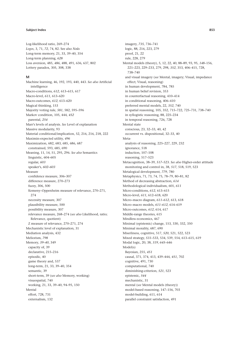Log-likelihood ratio, 269–274 *Logos*, 3, 71, *72*, 74, 82. See also *Noûs* Long-term memory, 21, 33, 39–40, 354 Long-term planning, *628* Loss aversion, 485, *486*, 488, 491, 636, 637, 802 Lottery paradox, 305, 308, 338

#### **M**

Machine learning, 46, 192, 193, 440, 443. *See also* Artificial intelligence Macro-conditions, *612*, 613–615, 617 Macro-level, *611*, 613–620 Macro-outcomes, *612*, 613–620 Magical thinking, 153 Majority voting rule, *581*, 582, 595–596 Markov condition, 105, 444, *452* parental, *254* Marr's levels of analysis. *See* Level of explanation Massive modularity, 93 Material conditional/implication, 52, 216, 216, 218, 222 Maximin-expected utility, *496* Maximization, 682, 683, 685, 686, 687 constrained, 593, 685, 690 Meaning, 11, 14, 51, 295, 296. *See also* Semantics linguistic, 604–605 regular, *603* speaker's, *602–603* Measure confidence measure, 306–307 difference measure, 270–273 fuzzy, 306, 500 Kemeny–Oppenheim measure of relevance, 270–271, 274 necessity measure, 307 plausibility measure, 500 possibility measure, 307 relevance measure, 268–274 (*see also* Likelihood, ratio; Relevance, quotient) Z measure of relevance, 270–271, 274 Mechanistic level of explanation, 31 Mediation analysis, 432 Meliorism, *798* Memory, *39–40*, 349 capacity of, 39 declarative, 215–216 episodic, 40 game theory and, 537 long-term, 21, 33, 39–40, 354 semantic, 39 short-term, 39 (*see also* Memory, working) visuospatial, 740 working, 21, 33, 39–40, 94–95, 150 Mental effort, 728, 731 externalism, 132

imagery, *735*, 736–741 logic, 88, 216, 223, 279 proof, 21, 22 rule, 228, 279 Mental models (theory), 5, 12, 22, 40, 88–89, 93, 95, *148*–156, 221–223, 229–233, 279, 298, *352*, 353, 406–415, 728, 738–740 and visual imagery (*see* Mental, imagery; Visual, impedance effect; Visual, reasoning) in human development, 784, 785 in human belief revision, 353 in counterfactual reasoning, 410–414 in conditional reasoning, 406–410 preferred mental models, 22, *352*, 740 in spatial reasoning, 105, 352, 715–722, 725–731, 738–740 in syllogistic reasoning, 88, 225–234 in temporal reasoning, 726, 728 Mental state conscious, 23, 32–33, 40, 42 occurrent vs. dispositional, 32–33, 40 Metaanalysis of reasoning, 225–227, 229, 232 ignorance, 518 induction, 107–108 reasoning, 517–523 Metacognition, 38–39, *517*–523. *See also* Higher-order attitude monitoring and control in, 38, *517*, 518, 519, 523 Metalogical development, *779*, 780 Metaphysics, 71, 73, 74, 75*,* 78–79, 80–81, 82 Method of decreasing abstraction, *614* Methodological individualism, 601, *611* Micro-conditions, *612*, 613–615 Micro-level, *611*, 612–618, 620 Micro–macro diagram, *611–612*, 613, 618 Micro–macro models, *611–612*, 614–619 Micro-outcomes, *612*, 614, 617 Middle-range theories, 615 Mindless economics, 467 Minimal (epistemic) change, 153, 330, 332, 350 Minimal morality, 687, 690 Miserliness, cognitive, 517, *520*, 521, 522, 523 Mixed strategy, *531*–533, 534, 539, 554, 613–615, 619 Modal logic, 20, 38, *319*, *645*–646 Model(s) Bayesian, 255, *451* causal, 371, 374, 413, 439–444, *451*, 702 cognitive, 491, 730 computational, 740 diminishing-criterion, *521*, 523 epistemic, *544* mechanistic, 31 mental (*see* Mental models (theory)) model-based reasoning, 147–156, 703 model-building, 611, 614 parallel constraint satisfaction, 491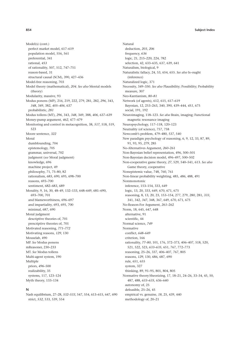Model(s) (cont.) perfect market model, 617–619 population model, 556, 561 preferential, 341 rational, *453* of rationality, 507, 512, 747–751 reason-based, 31 structural causal (SCM), 390, 427–436 Model-free reasoning, 703 Model theory (mathematical), *204*. *See also* Mental models (theory) Modularity, massive, 93 Modus ponens (MP), 216, 219, 222, 279, 281, 282, *296*, 343, *348*, 349, 382, *405–406*, 637 probabilistic, *281* Modus tollens (MT), *296*, 343, *348*, 349, 388, *406*, 637–639 Money-pump argument, *462*, 477–479 Monitoring and control in metacognition, 38, *517*, 518, 519, 523 Moore sentence, *322* Moral dumbfounding, 704 epistemology, 705 grammar, universal, 702 judgment (*see* Moral judgment) knowledge, 696 machine project, 49 philosophy, 71, 75–80, 82 rationalism, *685*, 690, 695, 698–700 reasons, 693–700 sentiment, 682–683, 689 Morality, 9, 16, 30, 48–49, 132–133, 648–649, 681–690, 693–700, 701 and blameworthiness, 696–697 and impartiality, 693, 695, 700 minimal, 687, 690 Moral judgment descriptive theories of, 701 prescriptive theories of, 701 Motivated reasoning, *771–772* Motivating reasons, *129*, 130 Mouselab, 490 MP. *See* Modus ponens mReasoner, 230–233 MT. *See* Modus tollens Multi-agent system, 190 Multiple priors, *496*–500 realizability, 35 systems, 117, 123–124 Myth theory, 133–134

#### **N**

Nash equilibrium, 27–28, *532–533*, 547, 554, 613–615, 647, 690 strict, *532*, 533, 539, 554

Natural deduction, *203*, *206* frequency, *636* logic, 21, 215–220, 224, 782 selection, 42, 633–635, 637, 639, 641 Naturalism, biological, 9 Naturalistic fallacy, 24, 53, 654, 655. *See also* Is–ought (inference) Naturalized logic, 371 Necessity, 349–350. *See also* Plausibility; Possibility; Probability measure, 307 Neo-Kantianism, *80–81* Network (of agents), 612, 615, 617–619 Bayesian, 12, 253–263, 340, 390, 439–444, *451*, 675 social, 191, 192 Neuroimaging, 118–123. *See also* Brain, imaging; Functional magnetic resonance imaging Neuropsychology, 117–118, 120–123 Neutrality (of science), 757, 758 Newcomb's problem, 479–480, 537, 540 New paradigm psychology of reasoning, 6, 9, 12, 33, 87, 89, 91, 93, 95, *279*, 285 No-Alternatives Argument, *260*–261 Non-Bayesian belief representation, 496, 500–501 Non-Bayesian decision model, 496–497, 500–502 Non-cooperative game theory, *27*, 529, 540–541, 613. *See also* Game theory, cooperative Nonepistemic value, 748, 760, 761 Non-linear probability weighting, 485, *486*, 488, 491 Nonmonotonic inference, 153–154, 333, 649 logic, 13, 20, 333, 649, 670, 671, 675 reasoning, 8, 13, 20, 23, 153–154, 277, 279, *280*, 281, *333*, 341, 342, *347*, 348, 367, 649, 670, 671, 675 No-Reason-For Argument, *261*–262 Norm, 18, 645, 647, 648 alternative, 91 scientific, 44 Normal science, *749* Normative conflict, *648*–649 criterion, 166 rationality, *77–80*, 101, 176, 372–373, 406–407, 518, 520, 521, 522, 523, *633–635*, 651, 767, 772–773 reasoning, 25–26, 337, 406–407, 767, 805 reasons, *129*, 130, 686, 687, 690 rule, 651, 655 system, 327 thinking, 89, 91–95, 801, 804, 805 Normative theory/theorizing, 17, 18–21, 24–26, 33–34, 45, 50, 487, 488, *633–635*, 636–640 autonomy of, 25 defeasible, 25–26, 45 empirical vs. genuine, *18*, 25, 439, 440 methodology of, 20–21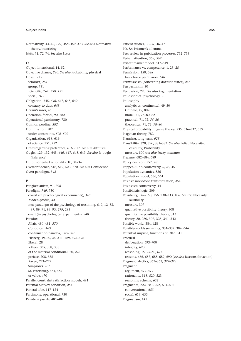Normativity, 44–45, *129*, *368–369*, 373. *See also* Normative theory/theorizing *Noûs*, 71, 72–74. See also *Logos*

### **O**

Object, intentional, 14, 52 Objective chance, *240*. *See also* Probability, physical Objectivity feminist, *751* group, 751 scientific, 747, 750, 751 social, 763 Obligation, 645, *646*, 647, 648, 649 contrary-to-duty, *648* Occam's razor, 45 Operation, formal, 90, 782 Operational parsimony, 730 Opinion pooling, *582* Optimization, 507 under constraints, *508–509* Organization, 618, 619 of science, 751, 752 Other-regarding preference, 616, 617. *See also* Altruism Ought, 129–132, 645, *646*, 647, 648, 649. *See also* Is–ought (inference) Output-oriented rationality, 10, 31–34 Overconfidence, 518, 519, 523, 770. *See also* Confidence Overt paradigm, *348*

## **P**

Panglossianism, 91, *798* Paradigm, *749*, 750 covert (in psychological experiments), *348* hidden-profile, 30 new paradigm of the psychology of reasoning, 6, 9, 12, 33, 87, 89, 91, 93, 95, *279*, 285 overt (in psychological experiments), *348* Paradox Allais, 480–481, *570* Condorcet, 463 confirmation paradox, 148–149 Ellsberg, 19–20, 26, 311, 489, 495–496 liberal, 28 lottery, 305, 308, 338 of the material conditional, 20, *278* preface, 208, 338 Raven, 271–272 Simpson's, 267 St. Petersburg, 481, 487 of value, 470 Parallel constraint satisfaction models, 491 Parental Markov condition, *254* Parietal lobe, 117–124 Parsimony, operational, 730 Pasadena puzzle, 481–482

Patient studies, 36–37, 46–47 PD. *See* Prisoner's dilemma Peer review in publication processes, 752–753 Perfect attention, *568*, *569* Perfect market model, 617–619 Performance vs. competence, 1, 23, 25 Permission, 150, *648* free choice permission, *648* Permissivism (concerning doxastic states), *245* Perspectivism, 50 Persuasion, 290. *See also* Argumentation Philosophical psychology, 2 Philosophy analytic vs. continental, 49–50 Chinese, 49, 802 moral, 71, 75–80, 82 practical, 71, 72, *75–80* theoretical, 71, 72, *78–80* Physical probability in game theory, 535, 536–537, 539 Piagetian theory, 782 Planning, long-term, *628* Plausibility, 328, *330*, 331–332. *See also* Belief; Necessity; Possibility; Probability measure, 500 (*see also* Fuzzy measure) Pleasure, 682–684, 689 Policy decision, 757, 761 Popper–Kuhn controversy, 5, 26, 45 Population dynamics, 556 Population model, 556, 561 Positive monotone transformation, *464* Positivism controversy, 44 Possibilistic logic, 309 Possibility, 147–150, 156, 230–233, 406. *See also* Necessity; Plausibility measure, 307 qualitative possibility theory, 308 quantitative possibility theory, 313 theory, 20, 280, 307, 328, 341, 342 Possible world, 384, 428 Possible-worlds semantics, 331–332, 384, *646* Potential surprise, functions of, 307, 341 Practical deliberation, 693–700 integrity, 628 reasoning, 15, *75–80*, 674 reasons, 686, 687, 688–689, 690 (*see also* Reasons for action) Pragma-dialectics, 362–363, *372–373* Pragmatic argument, 477–479 rationality, 518, 520, 523 reasoning schema, *652* Pragmatics, 222, 281, 292, 604–605 conversational, *653* social, 653, 655 Pragmatism, 141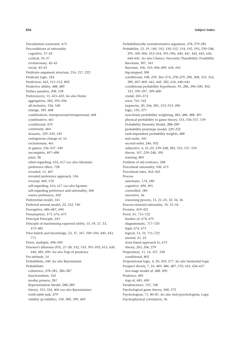Precedential constraint, *673* Preconditions of rationality cognitive, 37–42 cortical, 35–37 evolutionary, 42–43 social, 42–43 Predicate–argument structure, 216, 217, 222 Predicate logic, 224 Prediction, 443, 511–512, 802 Predictive ability, *488*, 489 Preface paradox, *208*, 338 Preference(s), 15, 421–422. *See also* Desire aggregation, 582, 595–596 all-inclusive, 536, 540 change, 189, *468* combination, interpersonal/intrapersonal, 468 combinative, 461 conditional, 470 continuity, *464* doxastic, 329–330, *330* endogenous change of, 16 exclusionary, 461 in games, 536–537, 540 incomplete, 497–*498* joint, 28 other-regarding, 616, 617 (*see also* Altruism) preference effect, 728 revealed, 15, *467* revealed preference approach, 536 reversal, 469, *570* self-regarding, 616, 617 (*see also* Egoism) self-regarding preference and rationality, *568* source preference, *502* Preferential model, 341 Preferred mental model, 22, *352*, 740 Prerogative, 686–687, 690 Presumption, 373, 674, *675* Principal Principle, *243* Principle of maximizing expected utility, 15, 19, 27, 33, 473–482 Prior beliefs and knowledge, 23, 37, 347, 349–350, 440, 443, 771 Priors, multiple, *496*–500 Prisoner's dilemma (PD), 27–28, 532, 533, *591–592*, 615, *626*, 640, 685, 690. *See also* Trap of prudence Pro-attitude, *14* Probabilism, *240*. *See also* Bayesianism Probabilistic coherence, *278*–281, 286–287 functionalism, 162 modus ponens, *281* Representation Model, 288–289 theory, *353*, 354, 406 (*see also* Bayesianism) truth-table task, *279* validity (p-validity), *150*, 389, *399*, *409*

Probabilistically noninformative argument, *278*, 279–281 Probability, 12, 19, 140, 143, 150–152, 154, 192, 193, 239–248, 295, 305–306, 353–354, 395–396, 440, 441, 442, 443, 636, 640–641. *See also* Chance; Necessity; Plausibility; Possibility Baconian, 307, 341 Bayesian, 106, 310, 406–409, 636, 641 big-stepped, 308 conditional, 108, *239*, 265–274, *278–279*, *296*, 308, *353*, 354, 389, 407–409, 441, 442, 582, *636*, 640–641 conditional probability hypothesis, *95*, *286*, *296*–300, 302, *353*, *395*–397, 399–400 credal, 265–274 error, 761–762 imprecise, 20, 246, 281, 312–313, *496* logic, 150, *277* non-linear probability weighting, 485, *486*, 488, 491 physical probability in game theory, 535, 536–537, 539 Probability Heuristic Model, 288–289 probability prototype model, 229–232 rank-dependent probability weights, *488* and ranks, 341 second-order, 246, 502 subjective, 6, 21–22, 239–248, 285, 535, 537, 539 theory, 107, 239–248, *395* training, 805 Problem of old evidence, 268 Procedural rationality, *506*, 675 Procedural rules, 362–363 Process automatic, 174, *180* cognitive, *490*, 491 controlled, *180* executive, 36 reasoning process, 13, 21–23, 32, 34, 36 Process-oriented rationality, 10, 31–34 Promise, 419–421 Proof, 41, 715–722 burden of, 674, *675* diagrammatic, 717–720 legal, 674, 675 logical, 13, 33, 715–722 mental, 21, 22 story-based approach to, *675* theory, *203*, *206*, 279 Proposition, 11, 14, 337, 338 conditional, 802 Propositional logic, 4, 20, *202*, 277. *See also* Sentential logic Prospect theory, 7, 24, *485*, *486*, *487*, *570*, 616, 636–637 two-stage model of, *488*, 490 Prudence, 685 trap of, 685, 690 Pseudoscience, *767*, 768 Psychological game theory, *568*, 572 Psychologism, 71, *80–81*. *See also* Anti-psychologism; Logic Psychophysical correlation, 36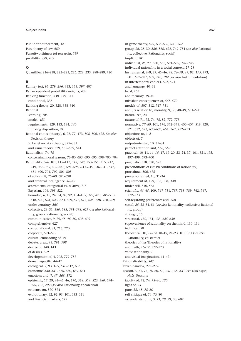Public announcement, *323* Pure theory of law, 659 Pursuitworthiness (of research), 759 p-validity, *399*, *409*

#### **Q**

Quantifier, 216–218, 222–223, 226, 228, 233, 288–289, 720

### **R**

Ramsey test, 95, 279, *296*, 343, 353, *397*, 407 Rank-dependent probability weights, *488* Ranking function, *338*, *339*, 341 conditional, 338 Ranking theory, 20, 328, 338–340 Rational learning, 705 model, *453* requirements, 129, 133, 134, *140* thinking disposition, 94 Rational choice (theory), 6, 28, 77, 473, 505–506, 625. *See also* Decision theory in belief revision theory, 329–331 and game theory, 529, 535–539, 541 Rationalism, 74–75 concerning moral reasons, 76–80, *685*, 690, 695, 698–700, 704 Rationality, 3–4, 101, 115–117, 147, *148*, 153–155, 215, 217, 219, *368–369*, 439–446, 591–598, *633–635*, 636–641, *647*, 681–690, 704, *792*, 801–805 of actions, 8, *75–80*, 681–690 and artificial intelligence, *46–47* assessments, categorical vs. relative, 7–8 Bayesian, 106, *395*, 522 bounded, 6, 15, 24, 34, 89, 92, 164–165, *322*, 490, *505–*513, 518, 520, 521, 523, *573*, 569, 572, 574, 625, 728, 768–769 under certainty, *565* collective, 28–31, *580*, 585, *591–598*, 627 (*see also* Rationality, group; Rationality, social) communicative, 9, 29, *45–46*, 50, 608–609 comprehensive, 627 computational, 31, 715, 720 corporate, 591–592 cultural embedding of, 49 debate, great, 93, 791, *798* degree of, 140, 143 of desires, 8–9 development of, 4, 705, 779–787 domain-specific, 44–47 ecological, 7, 93, 165, *510*–512, *636* economic, 330–331, 625, 630, 639–641 emotions and, 7, *47*, *568*, 572 epistemic, 17, 29, 44–45, 46, *176*, *518*, 519, 523, *580*, 694– 695, 735, *792* (*see also* Rationality, theoretical) evidence on, 570–574 evolutionary, 42, 92–93, 101, 633–641 and financial markets, *573*

in game theory, 529, 535–539, 541, *567* group, *26*, 28–30, *580*, 585, 628, 749–751 (*see also* Rationality, collective; Rationality, social) implicit, *781* individual, *26*, 27, 580, 585, 591–592, 747–748 individual rationality in a social context, 27–28 instrumental, 8–9, 27, 45–46, 48, *76–79*, 87, 92, *175*, 473, 601, *682*–687, 689, 748, *792* (*see also* Instrumentalism) in intertemporal choices, *567*, 571 and language, 40–41 local, 767 and memory, 39–40 mistaken consequences of, *568–570* models of, 507, 512, 747–751 and (its relation to) morality, 9, 30, 48–49, 681–690 naturalized, 24 nature of, 71, 72, 74, 75, 82, 772–773 normative, *77–80*, 101, 176, 372–373, 406–407, 518, 520, 521, 522, 523, *633–635*, 651, 767, 772–773 objections to, 1–2 objects of, 7 output-oriented, 10, 31–34 perfect attention and, *568*, *569* practical, 10–11, *14–16*, 17, 19–20, 23–24, 37, 101, 331, 495, 497–499, 693–700 pragmatic, 518, 520, 523 preconditions of (*see* Preconditions of rationality) procedural, *506*, 675 process-oriented, 10, 31–34 requirement of, 129, 133, 134, *140* under risk, 510, *566* scientific, *44–45*, 109, 747–751, *757*, 758, 759, 762, 767, 772–773 self-regarding preferences and, *568* social, *26*, 28–31, 51 (*see also* Rationality, collective; Rationality, group) strategic, 15 structural, *130*, 131, 133, *625–630* supervenience of rationality on the mind, 130–134 technical, 50 theoretical, 10, *11–14*, 18–19, 21–23, 101, 331 (*see also* Rationality, epistemic) theories of (*see* Theories of rationality) and truth, *16–17*, 772–773 value rationality, 9 and visual imagination, 41–42 Rationalizability, *543* Raven paradox, 271–272 Reason, 3, 71, 74, 75–80, 82, 137–138, 331. See also *Logos*; *Noûs*; Reasons faculty of, 72, 74, 75–80, *130* light of, *74* pure, 25, 48, *78–80* self-critique of, 74, 75–80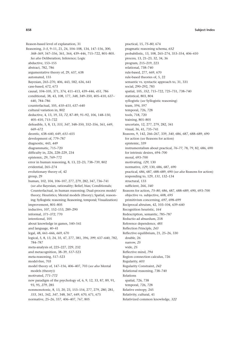Reason-based level of explanation, 31 Reasoning, *3–5*, 9–11, 21, 24, 104–108, 134, 147–156, 300, *368–369*, 347–356, 361, 364, 439–446, 715–722, 801–805. *See also* Deliberation; Inference; Logic abductive, 153–155 abstract, 782, 786 argumentative theory of, 29, 637, 638 automated, 155 Bayesian, 265–270, 406, 443, 582, 636, 641 case-based, 672, 673 causal, 104–105, 371, 374, 411–413, 439–446, *451*, 786 conditional, 38, 43, 108, 177, *348*, 349–350, 405–410, 637– 640, 784–786 counterfactual, 105, *410–415*, 637–640 cultural variation in, 802 deductive, 4, 13, 19, 33, *72*, 87–89, 91–92, 106, 148–150, 405–410, 715–722 defeasible, 5, 8, 13, *333*, *347*, 348–350, 352–356, 361, 649, 669–672 deontic, 638–640, 649, *651*–655 development of, 779–787 diagnostic, 443, *449* diagrammatic, 715–720 difficulty in, 226, 228–229, 234 epistemic, 29, 769–772 error in human reasoning, 8, 13, 22–23, 738–739, 802 evidential, 265–274 evolutionary theory of, 42 group, 29 human, 102, 104, 106–107, 277, 279, 282, 347, 736–741 (*see also* Bayesian, rationality; Belief, bias; Conditionals; Counterfactual, in human reasoning; Dual-process model/ theory; Heuristics; Mental models (theory); Spatial, reasoning; Syllogistic reasoning; Reasoning, temporal; Visualization) improvement, 801–805 inductive, 107, 152–153, 289–290 informal, *371–372*, 770 intentional, 105 about knowledge in games, 540–541 and language, 40–41 legal, 48, 661–666, *669*, 670 logical, 5, 8, 13, 24, 35, 47, 277, 381, 396, *399*, 637–640, 782, 784–787 meta-analysis of, 225–227, 229, 232 and metacognition, 38–39, *517*–523 meta-reasoning, 517–523 model-free, 703 model theory of, 147–156, 406–407, 703 (*see also* Mental models (theory)) motivated, *771–772* new paradigm of the psychology of, 6, 9, 12, 33, 87, 89, 91, 93, 95, *279*, 285 nonmonotonic, 8, 13, 20, 23, 153–154, 277, 279, *280*, 281, *333*, 341, 342, *347*, 348, 367, 649, 670, 671, 675 normative, 25–26, 337, 406–407, 767, 805

practical, 15, *75–80*, 674 pragmatic reasoning schema, *652* probabilistic, 13, 108, 265–274, 353–354, 406–410 process, 13, 21–23, 32, 34, 36 program, 215–219, 223 relational, 738–740 rule-based, 277, 669, 670 rule-based theories of, 5, 22 semantic vs. syntactic approach to, 31, 331 social, 290–292, 783 spatial, 105, *352*, 715–722, 725–731, 738–740 statistical, 803, 804 syllogistic (*see* Syllogistic reasoning) team, 594, 597 temporal, 726, 728 tools, 718, 720 training, 801–805 uncertain, 12, 277, 279, 282, 341 visual, 36, 41, 735–741 Reasons, 9, 142, 266–267, 339, *340*, 686, 687, 688–689, 690 for action (*see* Reasons for action) epistemic, 339 instrumentalism about practical, *76–77*, 78, 79, 82, 686, 690 for intrinsic desires, 694–700 moral, 693–700 motivating, *129*, 130 normative, *129*, 130, 686, 687, 690 practical, 686, 687, 688–689, 690 (*see also* Reasons for action) responding to, 129, *131*, 132–134 structural, 133 sufficient, 266, *340* Reasons for action, *75–80*, 686, 687, 688–689, 690, 693–700 objective vs. subjective, 608, *695* primitivism concerning, *697*, 698–699 Reciprocal altruism, 42, 103–104, 639–640 Recognition heuristic, *164* Redescription, semantic, 785–787 Reductio ad absurdum, 218 Reference dependence, *485* Reflection Principle, *243* Reflective equilibrium, 21, 25–26, 330 double, 26 narrow, *25* wide, *25* Reflective mind, *794* Region connection calculus, 726 Regularity, *603* Regularity Constraint, *242* Relational reasoning, 738–740 Relations spatial, 726, 738 temporal, 726, 728 Relative entropy, 245 Relativity, cultural, 41 Relativized common knowledge, *322*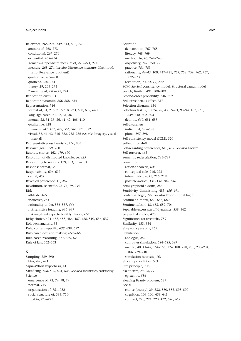Relevance, 265–274, 339, 343, 605, 728 amount of, 268–273 conditional, 267–274 evidential, 265–274 Kemeny–Oppenheim measure of, 270–271, 274 measure, 268–274 (*see also* Difference measure; Likelihood, ratio; Relevance, quotient) qualitative, 265–268 quotient, 270–274 theory, 29, 265–274 Z measure of, 270–271, 274 Replication crisis, 53 Replicator dynamics, 556–558, 634 Representation, 716 format of, 31, 215, 217–218, 223, 638, 639, 640 language-based, 21–22, 31, 36 mental, 22, 31–33, 36, 41–42, 405–410 qualitative, 328 theorem, *241*, 467, *497*, *566*, 567, 571, 572 visual, 36, 41–42, 716–722, 735–736 (*see also* Imagery, visual mental) Representativeness heuristic, *160*, 805 Research goal, 759, 760 Resolute choice, 462, 479, 690 Resolution of distributed knowledge, *323* Responding to reasons, 129, *131*, 132–134 Response format, 350 Responsibility, 696–697 causal, *452* Revealed preference, 15, *467* Revolution, scientific, *73–74*, 79, *749* Risk attitude, 465 inductive, *761* rationality under, 536–537, *566* risk-sensitive foraging, 636–637 risk-weighted expected-utility theory, *466* Risky choice, 474–482, 485, 486, 487, 488, 510, 636, 637 Roll-back analysis, 33 Rule, content-specific, *638*, 639, 652 Rule-based decision making, 659–666 Rule-based reasoning, 277, 669, 670 Rule of law, 662–663

## **S**

Sampling, 289–290 bias, *490*, 491 Sapir–Whorf hypothesis, 41 Satisficing, *508*, *520*, 521, 523. *See also* Heuristics, satisficing Science emergence of, 73, 74, 78, 79 normal, *749* organization of, 751, 752 social structure of, 585, 750 trust in, *769–772*

Scientific demarcation, 767–768 literacy, 768–769 method, 16, 45, 747–748 objectivity, 747, 750, 751 practice, 751–753 rationality, *44–45*, 109, 747–751, *757*, 758, 759, 762, 767, 772–773 revolution, *73–74*, 79, *749* SCM. *See* Self-consistency model; Structural causal model Search, limited, 491, 508–509 Second-order probability, 246, 502 Seductive details effect, 737 Selection diagram, 434 Selection task, *5*, 10, 26, 29, 43, 89–91, 93–94, 107, *153*, *639*–640, 802–803 deontic, *640*, 651–653 Self-awareness individual, 597–598 plural, 597–598 Self-consistency model (SCM), 520 Self-control, 469 Self-regarding preferences, 616, 617. *See also* Egoism Self-torturer, 463 Semantic redescription, 785–787 Semantics action-theoretic, 604 conceptual-role, 216, 223 inferential-role, 45, 216, 219 possible-worlds, 331–332, 384, *646* Semi-graphoid axioms, 254 Sensitivity, diminishing, 485, *486*, 491 Sentential logic, 722. *See also* Propositional logic Sentiment, moral, 682–683, 689 Sentimentalism, 48, 683, 689, 704 Separable excess payoff dynamics, 558, 562 Sequential choice, 478 Significance (of research), 759 Similarity, 153, 334 Simpson's paradox, 267 Simulation analogue, 259 computer simulation, 684–685, 689 mental, 40, 41–42, 154–155, 174, 180, 228, 230, 233–234, 406, 739–740 simulation heuristic, *161* Sincerity condition, *603* Size principle, 706 Skepticism, *74*, *75*, 77 epistemic, *586* Sleeping Beauty problem, 537 Social choice (theory), 29, 332, 580, 583, 595–597 cognition, 103–104, 638–641 contract, 220, 221, 223, 422, *640*, *652*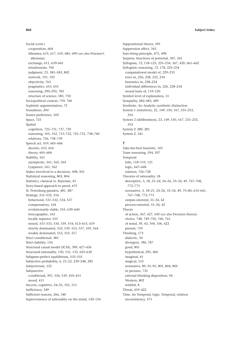Social (cont.) cooperation, 604 dilemma, *615*, 617, 619, 685, 690 (*see also* Prisoner's dilemma) exchange, 611, *639*–641 intuitionism, 704 judgment, 23, 581–583, 802 network, 191, 192 objectivity, 763 pragmatics, 653, 655 reasoning, 290–292, 783 structure of science, 585, 750 Sociopolitical context, 759, 760 Sophistic argumentation, 72 Soundness, *204* Source preference, *502* Space, 725 Spatial cognition, 725–731, 737, 739 reasoning, 105, *352*, 715–722, 725–731, 738–740 relations, 726, 738–739 Speech act, 419, 605–606 deontic, *653*, 654 theory, 605–606 Stability, 561 asymptotic, 561, 562, 564 Lyapunov, 561, 562 Stakes (involved in a decision), 498, 501 Statistical reasoning, 803, 804 Statistics, classical vs. Bayesian, 45 Story-based approach to proof, *675* St. Petersburg paradox, 481, 487 Strategy, *531*–532, 554 behavioral, *531*–532, 534, 537 compensatory, 164 evolutionarily stable, 555, 639–640 lexicographic, *165* locally superior, 555 mixed, *531*–533, 534, 539, 554, 613–615, 619 strictly dominated, *532*, 539, 553, 557, 559, 564 weakly dominated, 553, 555, 557 Strict conditional, 385 Strict liability, 134 Structural causal model (SCM), 390, 427–436 Structural rationality, *130*, 131, 133, *625–630* Subgame-perfect equilibrium, *533–535* Subjective probability, 6, 21–22, 239–248, 285 Subjectivism, 132 Subjunctive conditional, 391, 536, 539, 410–415 mood, 411 Success, cognitive, 24–25, 101, 511 Sufficiency, 349 Sufficient reasons, 266, *340* Supervenience of rationality on the mind, 130–134

Suppositional theory, *395* Suppression effect, 343 Sure-thing principle, 475, *498* Surprise, functions of potential, 307, 341 Syllogism, *72*, 118–123, 225–234, 367, 420, 661–662 Syllogistic reasoning, *72*, 178, 225–234 computational model of, 229–233 error in, 226, 228, 232, 234 heuristics in, 228–234 individual differences in, 226, 228–234 neural basis of, 119–120 Symbol level of explanation, 31 Sympathy, 682–683, 689 Synthetic. *See* Analytic–synthetic distinction System 1 (intuition), 22, *149*, 150, 167, 231–233, 354 System 2 (deliberation), 23, *149*, 150, 167, 231–233, 354 System P, *280*, 281 System Z, 341

## **T**

Take-the-best heuristic, *165* Team reasoning, 594, 597 Temporal lobe, 118–119, 121 logic, *647*–648 relation, 726–728 Theories of rationality, 18 descriptive, 3, 18, *21–24*, 24–26, 33–34, 49, 767–768, 772–773 normative, 3, *18–21*, 24–26, 33–34, 49, *75–80*, *633*–641, 767–768, 772–773 output-oriented, 31–34, 42 process-oriented, 31–34, 42 Theory of action, 367, 627, 630 (*see also* Decision theory) choice, 748, 749–750, 760, 761 of mind, 39, 43, 104, 106, 422 pursuit, 759 Thinking, 173 dialectic, 50 divergent, *786*, 787 good, 801 hypothetical, 295, 406 imaginal, 41 magical, 153 normative, 89, 91–95, 801, 804, 805 in pictures, 735 rational thinking disposition, 94 Western, 802 wishful, 8 Threat, 419–422 Time. *See* Temporal, logic; Temporal, relation inconsistency, *571*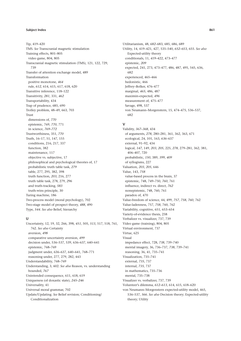Tip, 419–420 TMS. *See* Transcranial magnetic stimulation Training effects, 801–805 video game, 804, 805 Transcranial magnetic stimulation (TMS), 121, 122, 729, 739 Transfer of attention exchange model, 489 Transformation positive monotone, *464* rule, *612*, 614, 615, 617, 618, 620 Transitive inference, 118–122 Transitivity, *281*, 331, *462* Transportability, 434 Trap of prudence, 685, 690 Trolley problem, 48–49, 663, 703 Trust dimensions of, *770* epistemic, 769, *770*, 771 in science, *769–772* Trustworthiness, 351, *770* Truth, 16–17, 51, 147, 155 conditions, 216, 217, 337 function, 382 maintenance, 117 objective vs. subjective, 17 philosophical and psychological theories of, 17 probabilistic truth table task, *279* table, 277, 295, 382, 398 truth function, *203*, 216, 277 truth table task, 278, 279, *296* and truth-tracking, *583* truth-wins principle, 30 Turing machine, 186 Two-process model (moral psychology), 702 Two-stage model of prospect theory, *488*, 490 Type, *544*. *See also* Belief, hierarchy

## **U**

Uncertainty, 12, 19, 32, 266, 398, *451*, 505, *513*, 517, 518, 761, 762. *See also* Certainty aversion, *498* comparative uncertainty aversion, *499* decision under, 536–537, 539, 636–637, 640–641 epistemic, 768–769 judgment under, 636–637, 640–641, 768–771 reasoning under, 277, 279, 282, 443 Understandability, 768–769 Understanding, 3, 602. *See also* Reason, vs. understanding bounded, *767* Unintended consequence, 611, 618, 619 Uniqueness (of doxastic state), *245–246* Universality, 41 Universal moral grammar, 702 Update/Updating. *See* Belief revision; Conditioning/ Conditionalization

Utilitarianism, 48, *682*–683, 685, 686, 689 Utility, 14, 419–421, 427, 535–540, *652*–653, 655. *See also* Expected-utility theory conditionals, 11, *419*–422, 473–477 epistemic, *209* expected, 241, 273, 473–477, 486, 487, 495, 545, 636, 682 experienced, 465–466 hedonistic, 466 Jeffrey–Bolker, 476–477 marginal, *465*, 486, 487 maximin-expected, *496* measurement of, 475–477 Savage, 498, 537 von Neumann–Morgenstern, 15, 474–475, 536–537, 682

#### **V**

Validity, *367–368*, 434 of arguments, *278*, 280–281, 361, 362, 363, 671 ecological, 24, 101, 163, *636*–637 external, 91–92, 434 logical, *147*, 149, *203*, *205*, 225, *278*, 279–281, 362, 381, 406–407, 720 probabilistic, *150*, 389, *399*, *409* of syllogisms, 227 Valuation, *203*, *205*, 646 Value, 143, *758* value-based process in the brain, 37 epistemic, 748, 749–750, *760*, 761 influence, indirect vs. direct, *762* nonepistemic, 748, 760, 761 paradox of, 470 Value-freedom of science, 44, 499, *757*, *758*, *760*, 762 Value-ladenness, 757, *758*, 760, 762 Variability, cognitive, 651, 653–654 Variety-of-evidence thesis, 258 Verbalizer vs. visualizer, 737, 739 Video game (training), 804, 805 Virtual environment, 737 Virtue, 625 Visual impedance effect, 728, *738*, 739–740 mental imagery, 36, 736–737, *738*, 739–741 reasoning, 36, 41, 735–741 Visualization, 735–741 external, *735*, 737 internal, *735*, 737 in mathematics, 735–736 mental, 735–738 Visualizer vs. verbalizer, 737, 739 Volunteer's dilemma, *612–613*, 614, 615, 618–620 von Neumann–Morgenstern expected-utility model, 465, 536–537, *566*. *See also* Decision theory; Expected-utility

theory; Utility